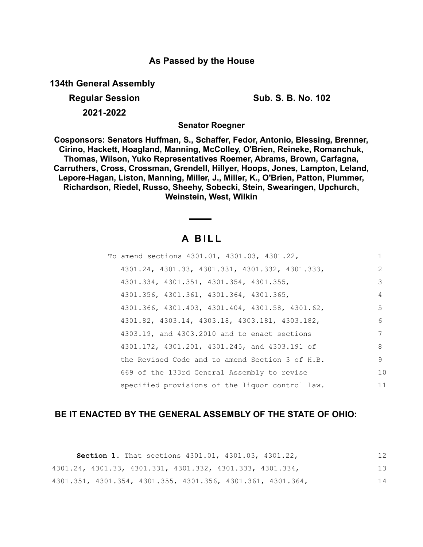## **As Passed by the House**

**134th General Assembly**

**2021-2022**

**Regular Session Sub. S. B. No. 102** 

**Senator Roegner**

**Cosponsors: Senators Huffman, S., Schaffer, Fedor, Antonio, Blessing, Brenner, Cirino, Hackett, Hoagland, Manning, McColley, O'Brien, Reineke, Romanchuk, Thomas, Wilson, Yuko Representatives Roemer, Abrams, Brown, Carfagna, Carruthers, Cross, Crossman, Grendell, Hillyer, Hoops, Jones, Lampton, Leland, Lepore-Hagan, Liston, Manning, Miller, J., Miller, K., O'Brien, Patton, Plummer, Richardson, Riedel, Russo, Sheehy, Sobecki, Stein, Swearingen, Upchurch, Weinstein, West, Wilkin**

# **A B I L L**

| To amend sections 4301.01, 4301.03, 4301.22,    | 1             |
|-------------------------------------------------|---------------|
| 4301.24, 4301.33, 4301.331, 4301.332, 4301.333, | $\mathcal{L}$ |
| 4301.334, 4301.351, 4301.354, 4301.355,         | 3             |
| 4301.356, 4301.361, 4301.364, 4301.365,         | 4             |
| 4301.366, 4301.403, 4301.404, 4301.58, 4301.62, | 5             |
| 4301.82, 4303.14, 4303.18, 4303.181, 4303.182,  | 6             |
| 4303.19, and 4303.2010 and to enact sections    | 7             |
| 4301.172, 4301.201, 4301.245, and 4303.191 of   | 8             |
| the Revised Code and to amend Section 3 of H.B. | 9             |
| 669 of the 133rd General Assembly to revise     | 10            |
| specified provisions of the liquor control law. | 11            |

## **BE IT ENACTED BY THE GENERAL ASSEMBLY OF THE STATE OF OHIO:**

| <b>Section 1.</b> That sections 4301.01, 4301.03, 4301.22,  |    |
|-------------------------------------------------------------|----|
| 4301.24, 4301.33, 4301.331, 4301.332, 4301.333, 4301.334,   |    |
| 4301.351, 4301.354, 4301.355, 4301.356, 4301.361, 4301.364, | 14 |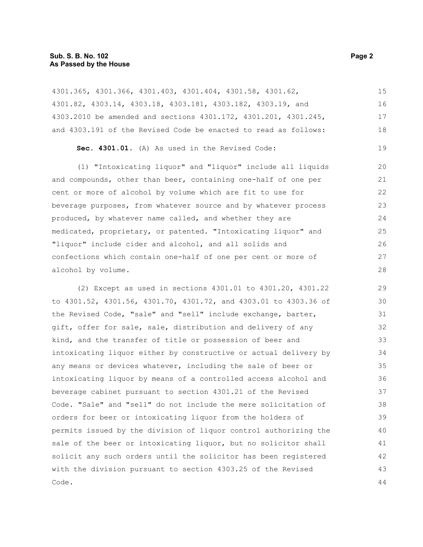#### **Sub. S. B. No. 102 Page 2 As Passed by the House**

4301.365, 4301.366, 4301.403, 4301.404, 4301.58, 4301.62, 4301.82, 4303.14, 4303.18, 4303.181, 4303.182, 4303.19, and 4303.2010 be amended and sections 4301.172, 4301.201, 4301.245, and 4303.191 of the Revised Code be enacted to read as follows: 15 16 17 18

```
Sec. 4301.01. (A) As used in the Revised Code:
```
(1) "Intoxicating liquor" and "liquor" include all liquids and compounds, other than beer, containing one-half of one per cent or more of alcohol by volume which are fit to use for beverage purposes, from whatever source and by whatever process produced, by whatever name called, and whether they are medicated, proprietary, or patented. "Intoxicating liquor" and "liquor" include cider and alcohol, and all solids and confections which contain one-half of one per cent or more of alcohol by volume. 20 21 22 23 24 25 26 27 28

(2) Except as used in sections 4301.01 to 4301.20, 4301.22 to 4301.52, 4301.56, 4301.70, 4301.72, and 4303.01 to 4303.36 of the Revised Code, "sale" and "sell" include exchange, barter, gift, offer for sale, sale, distribution and delivery of any kind, and the transfer of title or possession of beer and intoxicating liquor either by constructive or actual delivery by any means or devices whatever, including the sale of beer or intoxicating liquor by means of a controlled access alcohol and beverage cabinet pursuant to section 4301.21 of the Revised Code. "Sale" and "sell" do not include the mere solicitation of orders for beer or intoxicating liquor from the holders of permits issued by the division of liquor control authorizing the sale of the beer or intoxicating liquor, but no solicitor shall solicit any such orders until the solicitor has been registered with the division pursuant to section 4303.25 of the Revised Code. 29 30 31 32 33 34 35 36 37 38 39 40 41 42 43 44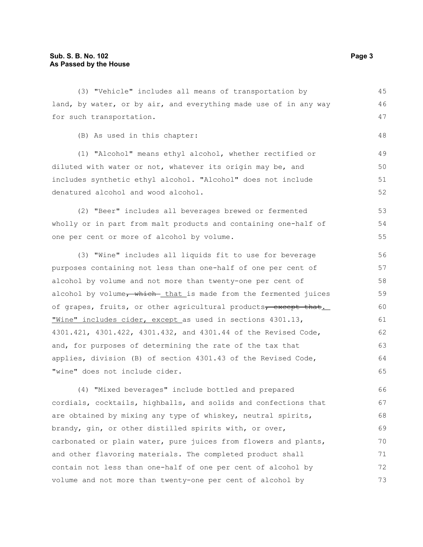(3) "Vehicle" includes all means of transportation by land, by water, or by air, and everything made use of in any way for such transportation. 45 46 47

(B) As used in this chapter:

(1) "Alcohol" means ethyl alcohol, whether rectified or diluted with water or not, whatever its origin may be, and includes synthetic ethyl alcohol. "Alcohol" does not include denatured alcohol and wood alcohol.

(2) "Beer" includes all beverages brewed or fermented wholly or in part from malt products and containing one-half of one per cent or more of alcohol by volume.

(3) "Wine" includes all liquids fit to use for beverage purposes containing not less than one-half of one per cent of alcohol by volume and not more than twenty-one per cent of alcohol by volume<del>, which</del> that is made from the fermented juices of grapes, fruits, or other agricultural products<del>, except that</del>. "Wine" includes cider, except as used in sections 4301.13, 4301.421, 4301.422, 4301.432, and 4301.44 of the Revised Code, and, for purposes of determining the rate of the tax that applies, division (B) of section 4301.43 of the Revised Code, "wine" does not include cider. 56 57 58 59 60 61 62 63 64 65

(4) "Mixed beverages" include bottled and prepared cordials, cocktails, highballs, and solids and confections that are obtained by mixing any type of whiskey, neutral spirits, brandy, gin, or other distilled spirits with, or over, carbonated or plain water, pure juices from flowers and plants, and other flavoring materials. The completed product shall contain not less than one-half of one per cent of alcohol by volume and not more than twenty-one per cent of alcohol by 66 67 68 69 70 71 72 73

48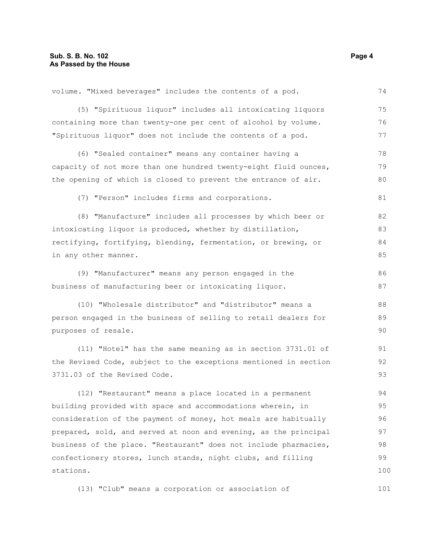| volume. "Mixed beverages" includes the contents of a pod.        | 74  |
|------------------------------------------------------------------|-----|
| (5) "Spirituous liquor" includes all intoxicating liquors        | 75  |
| containing more than twenty-one per cent of alcohol by volume.   | 76  |
| "Spirituous liquor" does not include the contents of a pod.      | 77  |
| (6) "Sealed container" means any container having a              | 78  |
| capacity of not more than one hundred twenty-eight fluid ounces, | 79  |
| the opening of which is closed to prevent the entrance of air.   | 80  |
| (7) "Person" includes firms and corporations.                    | 81  |
| (8) "Manufacture" includes all processes by which beer or        | 82  |
| intoxicating liquor is produced, whether by distillation,        | 83  |
| rectifying, fortifying, blending, fermentation, or brewing, or   | 84  |
| in any other manner.                                             | 85  |
| (9) "Manufacturer" means any person engaged in the               | 86  |
| business of manufacturing beer or intoxicating liquor.           | 87  |
| (10) "Wholesale distributor" and "distributor" means a           | 88  |
| person engaged in the business of selling to retail dealers for  | 89  |
| purposes of resale.                                              | 90  |
| (11) "Hotel" has the same meaning as in section 3731.01 of       | 91  |
| the Revised Code, subject to the exceptions mentioned in section | 92  |
| 3731.03 of the Revised Code.                                     | 93  |
| (12) "Restaurant" means a place located in a permanent           | 94  |
| building provided with space and accommodations wherein, in      | 95  |
| consideration of the payment of money, hot meals are habitually  | 96  |
| prepared, sold, and served at noon and evening, as the principal | 97  |
| business of the place. "Restaurant" does not include pharmacies, | 98  |
| confectionery stores, lunch stands, night clubs, and filling     | 99  |
| stations.                                                        | 100 |
|                                                                  |     |

(13) "Club" means a corporation or association of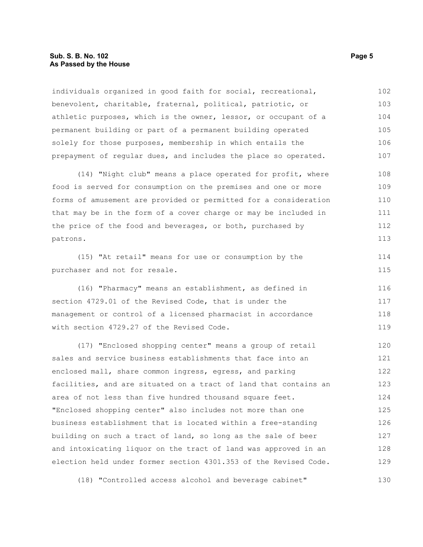#### **Sub. S. B. No. 102 Page 5 As Passed by the House**

individuals organized in good faith for social, recreational, benevolent, charitable, fraternal, political, patriotic, or athletic purposes, which is the owner, lessor, or occupant of a permanent building or part of a permanent building operated solely for those purposes, membership in which entails the prepayment of regular dues, and includes the place so operated. 102 103 104 105 106 107

(14) "Night club" means a place operated for profit, where food is served for consumption on the premises and one or more forms of amusement are provided or permitted for a consideration that may be in the form of a cover charge or may be included in the price of the food and beverages, or both, purchased by patrons. 108 109 110 111 112 113

(15) "At retail" means for use or consumption by the purchaser and not for resale.

(16) "Pharmacy" means an establishment, as defined in section 4729.01 of the Revised Code, that is under the management or control of a licensed pharmacist in accordance with section 4729.27 of the Revised Code. 116 117 118 119

(17) "Enclosed shopping center" means a group of retail sales and service business establishments that face into an enclosed mall, share common ingress, egress, and parking facilities, and are situated on a tract of land that contains an area of not less than five hundred thousand square feet. "Enclosed shopping center" also includes not more than one business establishment that is located within a free-standing building on such a tract of land, so long as the sale of beer and intoxicating liquor on the tract of land was approved in an election held under former section 4301.353 of the Revised Code. 120 121 122 123 124 125 126 127 128 129

(18) "Controlled access alcohol and beverage cabinet"

114 115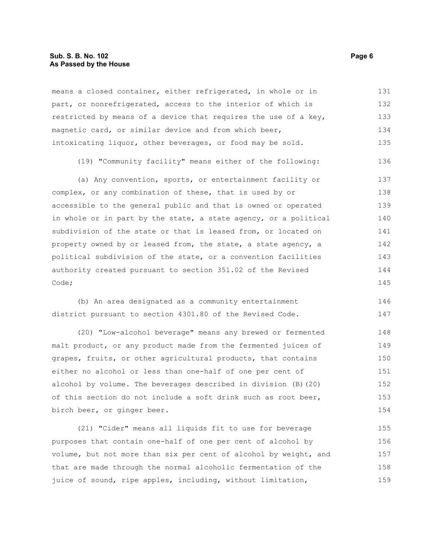#### **Sub. S. B. No. 102 Page 6 As Passed by the House**

means a closed container, either refrigerated, in whole or in part, or nonrefrigerated, access to the interior of which is restricted by means of a device that requires the use of a key, magnetic card, or similar device and from which beer, intoxicating liquor, other beverages, or food may be sold. 131 132 133 134 135

(19) "Community facility" means either of the following: 136

(a) Any convention, sports, or entertainment facility or complex, or any combination of these, that is used by or accessible to the general public and that is owned or operated in whole or in part by the state, a state agency, or a political subdivision of the state or that is leased from, or located on property owned by or leased from, the state, a state agency, a political subdivision of the state, or a convention facilities authority created pursuant to section 351.02 of the Revised Code; 137 138 139 140 141 142 143 144 145

(b) An area designated as a community entertainment district pursuant to section 4301.80 of the Revised Code. 146 147

(20) "Low-alcohol beverage" means any brewed or fermented malt product, or any product made from the fermented juices of grapes, fruits, or other agricultural products, that contains either no alcohol or less than one-half of one per cent of alcohol by volume. The beverages described in division (B)(20) of this section do not include a soft drink such as root beer, birch beer, or ginger beer. 148 149 150 151 152 153 154

(21) "Cider" means all liquids fit to use for beverage purposes that contain one-half of one per cent of alcohol by volume, but not more than six per cent of alcohol by weight, and that are made through the normal alcoholic fermentation of the juice of sound, ripe apples, including, without limitation, 155 156 157 158 159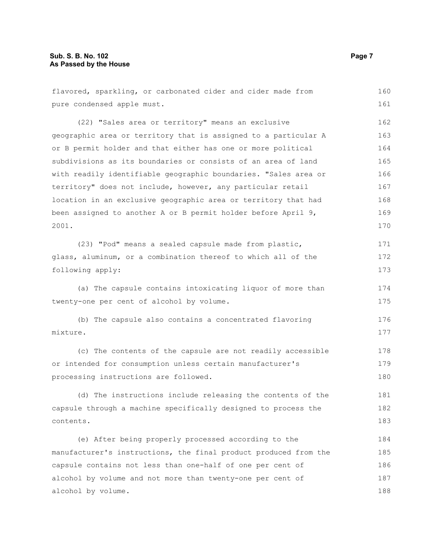flavored, sparkling, or carbonated cider and cider made from pure condensed apple must. (22) "Sales area or territory" means an exclusive geographic area or territory that is assigned to a particular A or B permit holder and that either has one or more political subdivisions as its boundaries or consists of an area of land with readily identifiable geographic boundaries. "Sales area or territory" does not include, however, any particular retail location in an exclusive geographic area or territory that had been assigned to another A or B permit holder before April 9, 2001. (23) "Pod" means a sealed capsule made from plastic, glass, aluminum, or a combination thereof to which all of the following apply: (a) The capsule contains intoxicating liquor of more than twenty-one per cent of alcohol by volume. (b) The capsule also contains a concentrated flavoring mixture. (c) The contents of the capsule are not readily accessible or intended for consumption unless certain manufacturer's processing instructions are followed. (d) The instructions include releasing the contents of the capsule through a machine specifically designed to process the contents. (e) After being properly processed according to the manufacturer's instructions, the final product produced from the capsule contains not less than one-half of one per cent of alcohol by volume and not more than twenty-one per cent of alcohol by volume. 160 161 162 163 164 165 166 167 168 169 170 171 172 173 174 175 176 177 178 179 180 181 182 183 184 185 186 187 188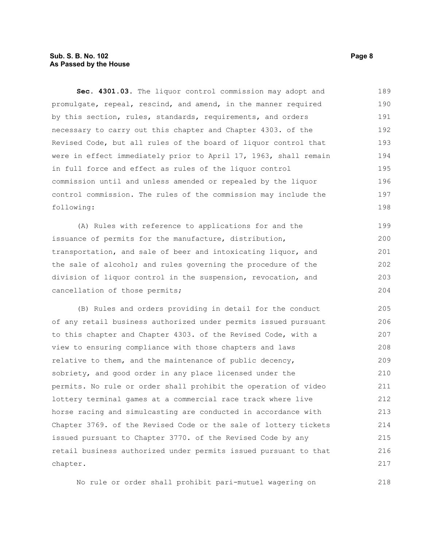#### **Sub. S. B. No. 102 Page 8 As Passed by the House**

**Sec. 4301.03.** The liquor control commission may adopt and promulgate, repeal, rescind, and amend, in the manner required by this section, rules, standards, requirements, and orders necessary to carry out this chapter and Chapter 4303. of the Revised Code, but all rules of the board of liquor control that were in effect immediately prior to April 17, 1963, shall remain in full force and effect as rules of the liquor control commission until and unless amended or repealed by the liquor control commission. The rules of the commission may include the following: 189 190 191 192 193 194 195 196 197 198

(A) Rules with reference to applications for and the issuance of permits for the manufacture, distribution, transportation, and sale of beer and intoxicating liquor, and the sale of alcohol; and rules governing the procedure of the division of liquor control in the suspension, revocation, and cancellation of those permits; 199 200 201 202 203 204

(B) Rules and orders providing in detail for the conduct of any retail business authorized under permits issued pursuant to this chapter and Chapter 4303. of the Revised Code, with a view to ensuring compliance with those chapters and laws relative to them, and the maintenance of public decency, sobriety, and good order in any place licensed under the permits. No rule or order shall prohibit the operation of video lottery terminal games at a commercial race track where live horse racing and simulcasting are conducted in accordance with Chapter 3769. of the Revised Code or the sale of lottery tickets issued pursuant to Chapter 3770. of the Revised Code by any retail business authorized under permits issued pursuant to that chapter. 205 206 207 208 209 210 211 212 213 214 215 216 217

No rule or order shall prohibit pari-mutuel wagering on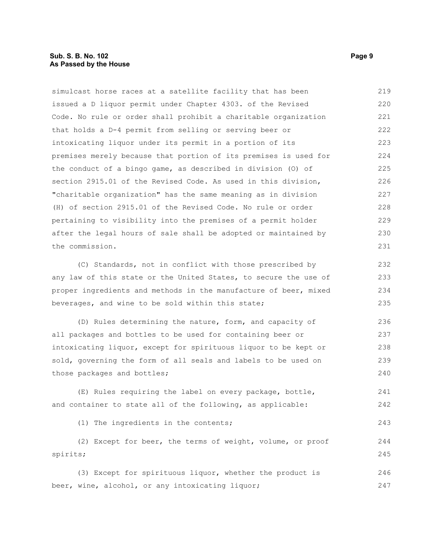#### **Sub. S. B. No. 102 Page 9 As Passed by the House**

simulcast horse races at a satellite facility that has been issued a D liquor permit under Chapter 4303. of the Revised Code. No rule or order shall prohibit a charitable organization that holds a D-4 permit from selling or serving beer or intoxicating liquor under its permit in a portion of its premises merely because that portion of its premises is used for the conduct of a bingo game, as described in division (O) of section 2915.01 of the Revised Code. As used in this division, "charitable organization" has the same meaning as in division (H) of section 2915.01 of the Revised Code. No rule or order pertaining to visibility into the premises of a permit holder after the legal hours of sale shall be adopted or maintained by the commission. 219 220 221 222 223 224 225 226 227 228 229 230 231

(C) Standards, not in conflict with those prescribed by any law of this state or the United States, to secure the use of proper ingredients and methods in the manufacture of beer, mixed beverages, and wine to be sold within this state; 232 233 234 235

(D) Rules determining the nature, form, and capacity of all packages and bottles to be used for containing beer or intoxicating liquor, except for spirituous liquor to be kept or sold, governing the form of all seals and labels to be used on those packages and bottles; 236 237 238 239 240

(E) Rules requiring the label on every package, bottle, and container to state all of the following, as applicable: 241 242

(1) The ingredients in the contents;

(2) Except for beer, the terms of weight, volume, or proof spirits; 244 245

(3) Except for spirituous liquor, whether the product is beer, wine, alcohol, or any intoxicating liquor; 246 247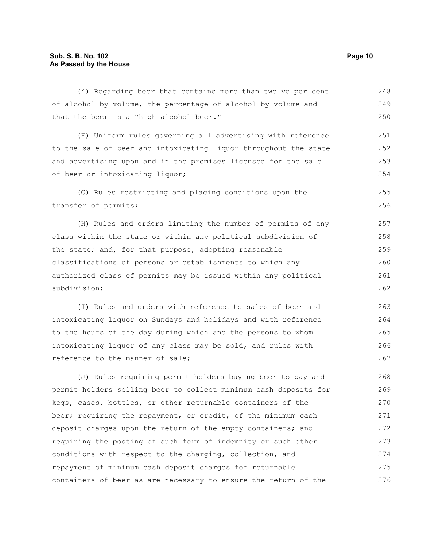### **Sub. S. B. No. 102 Page 10 As Passed by the House**

| (4) Regarding beer that contains more than twelve per cent       | 248 |
|------------------------------------------------------------------|-----|
| of alcohol by volume, the percentage of alcohol by volume and    | 249 |
| that the beer is a "high alcohol beer."                          | 250 |
| (F) Uniform rules governing all advertising with reference       | 251 |
| to the sale of beer and intoxicating liquor throughout the state | 252 |
| and advertising upon and in the premises licensed for the sale   | 253 |
| of beer or intoxicating liquor;                                  | 254 |
| (G) Rules restricting and placing conditions upon the            | 255 |
| transfer of permits;                                             | 256 |
| (H) Rules and orders limiting the number of permits of any       | 257 |
| class within the state or within any political subdivision of    | 258 |
| the state; and, for that purpose, adopting reasonable            | 259 |
| classifications of persons or establishments to which any        | 260 |
| authorized class of permits may be issued within any political   | 261 |
| subdivision;                                                     | 262 |
| (I) Rules and orders with reference to sales of beer and         | 263 |
| intoxicating liquor on Sundays and holidays and with reference   | 264 |
| to the hours of the day during which and the persons to whom     | 265 |
| intoxicating liquor of any class may be sold, and rules with     | 266 |
| reference to the manner of sale;                                 | 267 |
| (J) Rules requiring permit holders buying beer to pay and        | 268 |
| permit holders selling beer to collect minimum cash deposits for | 269 |
| keqs, cases, bottles, or other returnable containers of the      | 270 |
| beer; requiring the repayment, or credit, of the minimum cash    | 271 |
| deposit charges upon the return of the empty containers; and     | 272 |
| requiring the posting of such form of indemnity or such other    | 273 |
| conditions with respect to the charging, collection, and         | 274 |
| repayment of minimum cash deposit charges for returnable         | 275 |
| containers of beer as are necessary to ensure the return of the  | 276 |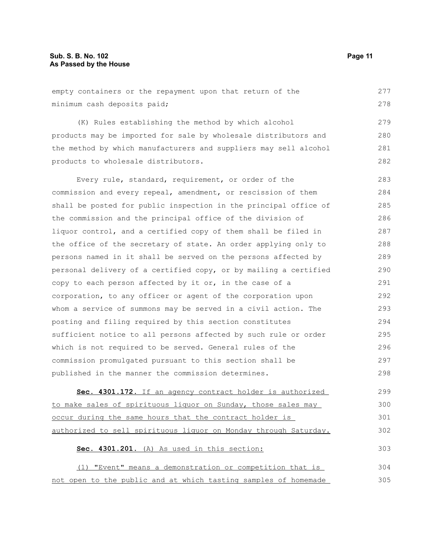empty containers or the repayment upon that return of the minimum cash deposits paid; (K) Rules establishing the method by which alcohol products may be imported for sale by wholesale distributors and the method by which manufacturers and suppliers may sell alcohol products to wholesale distributors. Every rule, standard, requirement, or order of the commission and every repeal, amendment, or rescission of them shall be posted for public inspection in the principal office of the commission and the principal office of the division of liquor control, and a certified copy of them shall be filed in the office of the secretary of state. An order applying only to persons named in it shall be served on the persons affected by personal delivery of a certified copy, or by mailing a certified copy to each person affected by it or, in the case of a corporation, to any officer or agent of the corporation upon whom a service of summons may be served in a civil action. The posting and filing required by this section constitutes sufficient notice to all persons affected by such rule or order which is not required to be served. General rules of the commission promulgated pursuant to this section shall be published in the manner the commission determines. **Sec. 4301.172.** If an agency contract holder is authorized to make sales of spirituous liquor on Sunday, those sales may occur during the same hours that the contract holder is authorized to sell spirituous liquor on Monday through Saturday. **Sec. 4301.201.** (A) As used in this section: (1) "Event" means a demonstration or competition that is not open to the public and at which tasting samples of homemade 277 278 279 280 281 282 283 284 285 286 287 288 289 290 291 292 293 294 295 296 297 298 299 300 301 302 303 304 305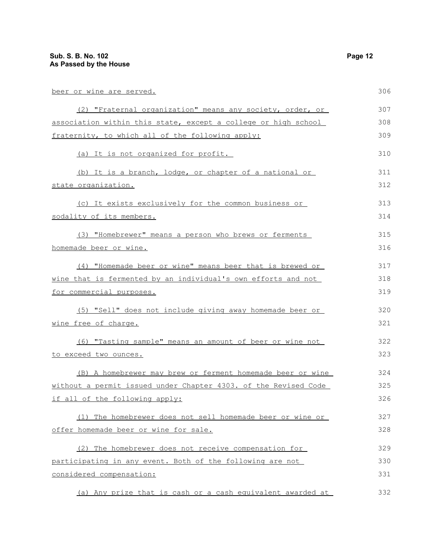| <u>beer or wine are served.</u>                                         | 306 |
|-------------------------------------------------------------------------|-----|
| (2) "Fraternal organization" means any society, order, or               | 307 |
| association within this state, except a college or high school          | 308 |
| fraternity, to which all of the following apply:                        | 309 |
| (a) It is not organized for profit.                                     | 310 |
| (b) It is a branch, lodge, or chapter of a national or                  | 311 |
| <u>state organization.</u>                                              | 312 |
| (c) It exists exclusively for the common business or                    | 313 |
| sodality of its members.                                                | 314 |
| (3) "Homebrewer" means a person who brews or ferments                   | 315 |
| <u>homemade beer or wine.</u>                                           | 316 |
| (4) "Homemade beer or wine" means beer that is brewed or                | 317 |
| wine that is fermented by an individual's own efforts and not           | 318 |
| for commercial purposes.                                                | 319 |
| (5) "Sell" does not include giving away homemade beer or                | 320 |
| wine free of charge.                                                    | 321 |
| (6) "Tasting sample" means an amount of beer or wine not                | 322 |
| <u>to exceed two ounces.</u>                                            | 323 |
| (B) A homebrewer may brew or ferment homemade beer or wine              | 324 |
| <u>without a permit issued under Chapter 4303. of the Revised Code </u> | 325 |
| if all of the following apply:                                          | 326 |
| (1) The homebrewer does not sell homemade beer or wine or               | 327 |
| offer homemade beer or wine for sale.                                   | 328 |
| (2) The homebrewer does not receive compensation for                    | 329 |
| participating in any event. Both of the following are not               | 330 |
| considered compensation:                                                | 331 |
| (a) Any prize that is cash or a cash equivalent awarded at              | 332 |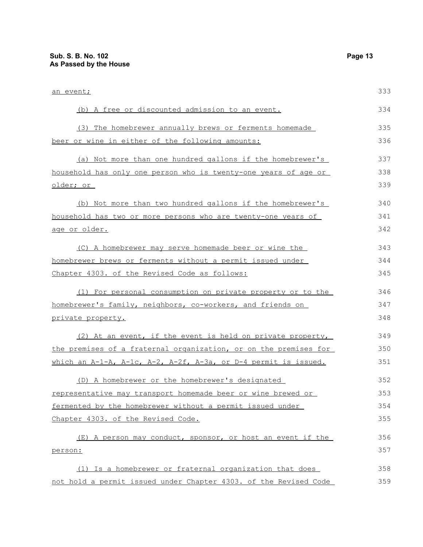| an event;                                                        | 333 |
|------------------------------------------------------------------|-----|
| (b) A free or discounted admission to an event.                  | 334 |
| (3) The homebrewer annually brews or ferments homemade           | 335 |
| beer or wine in either of the following amounts:                 | 336 |
| (a) Not more than one hundred gallons if the homebrewer's        | 337 |
| household has only one person who is twenty-one years of age or  | 338 |
| older; or                                                        | 339 |
| (b) Not more than two hundred gallons if the homebrewer's        | 340 |
| household has two or more persons who are twenty-one years of    | 341 |
| age or older.                                                    | 342 |
| (C) A homebrewer may serve homemade beer or wine the             | 343 |
| homebrewer brews or ferments without a permit issued under       | 344 |
| Chapter 4303. of the Revised Code as follows:                    | 345 |
| (1) For personal consumption on private property or to the       | 346 |
| homebrewer's family, neighbors, co-workers, and friends on       | 347 |
| private property.                                                | 348 |
| (2) At an event, if the event is held on private property,       | 349 |
| the premises of a fraternal organization, or on the premises for | 350 |
| which an A-1-A, A-1c, A-2, A-2f, A-3a, or D-4 permit is issued.  | 351 |
| (D) A homebrewer or the homebrewer's designated                  | 352 |
| representative may transport homemade beer or wine brewed or     | 353 |
| fermented by the homebrewer without a permit issued under        | 354 |
| Chapter 4303. of the Revised Code.                               | 355 |
| (E) A person may conduct, sponsor, or host an event if the       | 356 |
| person:                                                          | 357 |
| (1) Is a homebrewer or fraternal organization that does          | 358 |
| not hold a permit issued under Chapter 4303. of the Revised Code | 359 |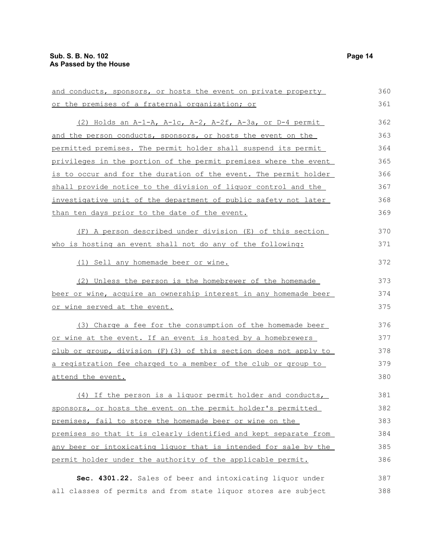and conducts, sponsors, or hosts the event on private property or the premises of a fraternal organization; or (2) Holds an  $A-1-A$ ,  $A-1c$ ,  $A-2$ ,  $A-2f$ ,  $A-3a$ , or  $D-4$  permit and the person conducts, sponsors, or hosts the event on the permitted premises. The permit holder shall suspend its permit privileges in the portion of the permit premises where the event is to occur and for the duration of the event. The permit holder shall provide notice to the division of liquor control and the investigative unit of the department of public safety not later than ten days prior to the date of the event. (F) A person described under division (E) of this section who is hosting an event shall not do any of the following: (1) Sell any homemade beer or wine. (2) Unless the person is the homebrewer of the homemade beer or wine, acquire an ownership interest in any homemade beer or wine served at the event. (3) Charge a fee for the consumption of the homemade beer or wine at the event. If an event is hosted by a homebrewers club or group, division (F)(3) of this section does not apply to a registration fee charged to a member of the club or group to attend the event. (4) If the person is a liquor permit holder and conducts, sponsors, or hosts the event on the permit holder's permitted premises, fail to store the homemade beer or wine on the premises so that it is clearly identified and kept separate from any beer or intoxicating liquor that is intended for sale by the permit holder under the authority of the applicable permit. **Sec. 4301.22.** Sales of beer and intoxicating liquor under 360 361 362 363 364 365 366 367 368 369 370 371 372 373 374 375 376 377 378 379 380 381 382 383 384 385 386 387

all classes of permits and from state liquor stores are subject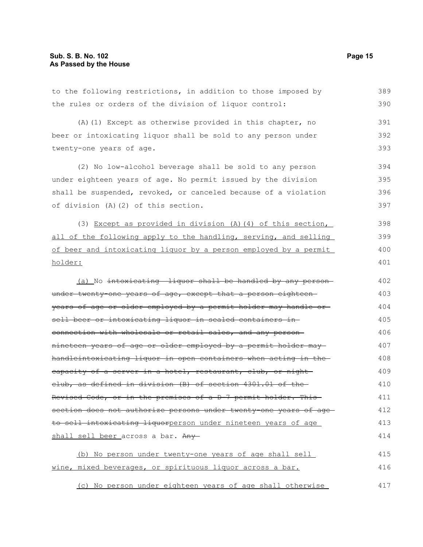to the following restrictions, in addition to those imposed by the rules or orders of the division of liquor control: (A)(1) Except as otherwise provided in this chapter, no beer or intoxicating liquor shall be sold to any person under twenty-one years of age. (2) No low-alcohol beverage shall be sold to any person under eighteen years of age. No permit issued by the division shall be suspended, revoked, or canceled because of a violation of division (A)(2) of this section. (3) Except as provided in division (A)(4) of this section, all of the following apply to the handling, serving, and selling of beer and intoxicating liquor by a person employed by a permit holder: (a) No intoxicating liquor shall be handled by any personunder twenty-one years of age, except that a person eighteenyears of age or older employed by a permit holder may handle or sell beer or intoxicating liquor in sealed containers inconnection with wholesale or retail sales, and any person nineteen years of age or older employed by a permit holder may handleintoxicating liquor in open containers when acting in the capacity of a server in a hotel, restaurant, club, or night club, as defined in division (B) of section 4301.01 of the Revised Code, or in the premises of a D-7 permit holder. This section does not authorize persons under twenty-one years of ageto sell intoxicating liquorperson under nineteen years of age shall sell beer across a bar. Any (b) No person under twenty-one years of age shall sell 389 390 391 392 393 394 395 396 397 398 399 400 401 402 403 404 405 406 407 408 409 410 411 412 413 414 415

(c) No person under eighteen years of age shall otherwise 417

wine, mixed beverages, or spirituous liquor across a bar.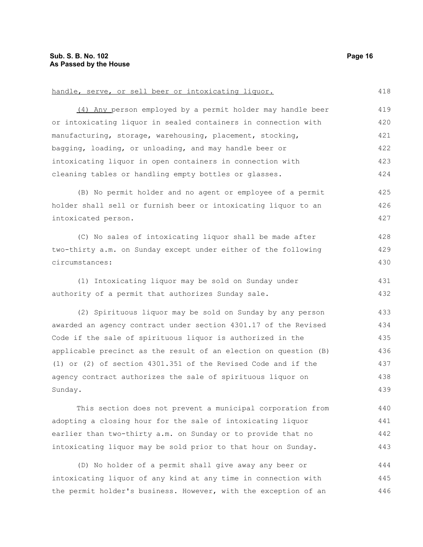|  |  |  | handle, serve, or sell beer or intoxicating liguor. |  |
|--|--|--|-----------------------------------------------------|--|
|  |  |  |                                                     |  |

| (4) Any person employed by a permit holder may handle beer     | 419 |
|----------------------------------------------------------------|-----|
| or intoxicating liquor in sealed containers in connection with | 420 |
| manufacturing, storage, warehousing, placement, stocking,      | 421 |
| bagging, loading, or unloading, and may handle beer or         | 422 |
| intoxicating liquor in open containers in connection with      | 423 |
| cleaning tables or handling empty bottles or glasses.          | 424 |

(B) No permit holder and no agent or employee of a permit holder shall sell or furnish beer or intoxicating liquor to an intoxicated person. 425 426 427

(C) No sales of intoxicating liquor shall be made after two-thirty a.m. on Sunday except under either of the following circumstances: 428 429 430

(1) Intoxicating liquor may be sold on Sunday under authority of a permit that authorizes Sunday sale. 431 432

(2) Spirituous liquor may be sold on Sunday by any person awarded an agency contract under section 4301.17 of the Revised Code if the sale of spirituous liquor is authorized in the applicable precinct as the result of an election on question (B) (1) or (2) of section 4301.351 of the Revised Code and if the agency contract authorizes the sale of spirituous liquor on Sunday. 433 434 435 436 437 438 439

This section does not prevent a municipal corporation from adopting a closing hour for the sale of intoxicating liquor earlier than two-thirty a.m. on Sunday or to provide that no intoxicating liquor may be sold prior to that hour on Sunday. 440 441 442 443

(D) No holder of a permit shall give away any beer or intoxicating liquor of any kind at any time in connection with the permit holder's business. However, with the exception of an 444 445 446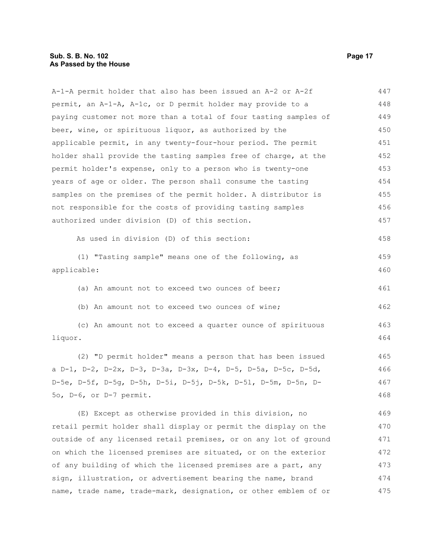A-1-A permit holder that also has been issued an A-2 or A-2f permit, an A-1-A, A-1c, or D permit holder may provide to a paying customer not more than a total of four tasting samples of beer, wine, or spirituous liquor, as authorized by the applicable permit, in any twenty-four-hour period. The permit holder shall provide the tasting samples free of charge, at the permit holder's expense, only to a person who is twenty-one years of age or older. The person shall consume the tasting samples on the premises of the permit holder. A distributor is not responsible for the costs of providing tasting samples authorized under division (D) of this section. 447 448 449 450 451 452 453 454 455 456 457

As used in division (D) of this section:

(1) "Tasting sample" means one of the following, as applicable: 459 460

(a) An amount not to exceed two ounces of beer;

(b) An amount not to exceed two ounces of wine;

(c) An amount not to exceed a quarter ounce of spirituous liquor. 463 464

(2) "D permit holder" means a person that has been issued a D-1, D-2, D-2x, D-3, D-3a, D-3x, D-4, D-5, D-5a, D-5c, D-5d, D-5e, D-5f, D-5g, D-5h, D-5i, D-5j, D-5k, D-5l, D-5m, D-5n, D-5o, D-6, or D-7 permit. 465 466 467 468

(E) Except as otherwise provided in this division, no retail permit holder shall display or permit the display on the outside of any licensed retail premises, or on any lot of ground on which the licensed premises are situated, or on the exterior of any building of which the licensed premises are a part, any sign, illustration, or advertisement bearing the name, brand name, trade name, trade-mark, designation, or other emblem of or 469 470 471 472 473 474 475

458

461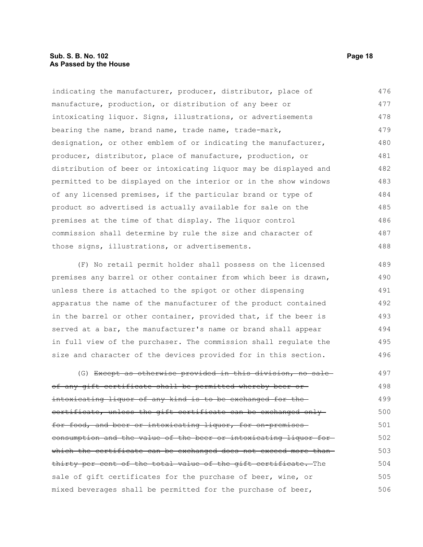indicating the manufacturer, producer, distributor, place of manufacture, production, or distribution of any beer or intoxicating liquor. Signs, illustrations, or advertisements bearing the name, brand name, trade name, trade-mark, designation, or other emblem of or indicating the manufacturer, producer, distributor, place of manufacture, production, or distribution of beer or intoxicating liquor may be displayed and permitted to be displayed on the interior or in the show windows of any licensed premises, if the particular brand or type of product so advertised is actually available for sale on the premises at the time of that display. The liquor control commission shall determine by rule the size and character of those signs, illustrations, or advertisements. 476 477 478 479 480 481 482 483 484 485 486 487 488

(F) No retail permit holder shall possess on the licensed premises any barrel or other container from which beer is drawn, unless there is attached to the spigot or other dispensing apparatus the name of the manufacturer of the product contained in the barrel or other container, provided that, if the beer is served at a bar, the manufacturer's name or brand shall appear in full view of the purchaser. The commission shall regulate the size and character of the devices provided for in this section. 489 490 491 492 493 494 495 496

(G) Except as otherwise provided in this division, no sale of any gift certificate shall be permitted whereby beer or intoxicating liquor of any kind is to be exchanged for the certificate, unless the gift certificate can be exchanged only for food, and beer or intoxicating liquor, for on-premises consumption and the value of the beer or intoxicating liquor for which the certificate can be exchanged does not exceed more than thirty per cent of the total value of the gift certificate. The sale of gift certificates for the purchase of beer, wine, or mixed beverages shall be permitted for the purchase of beer, 497 498 499 500 501 502 503 504 505 506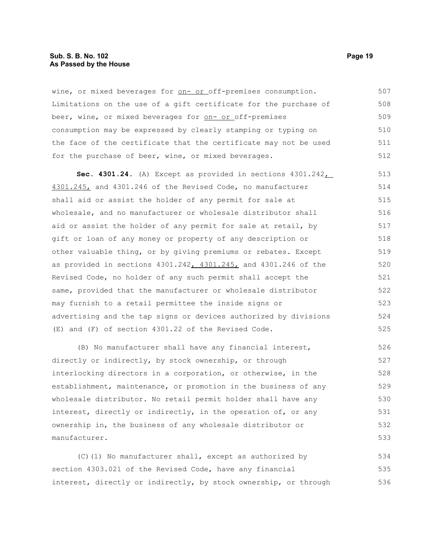#### **Sub. S. B. No. 102 Page 19 As Passed by the House**

wine, or mixed beverages for on- or off-premises consumption. Limitations on the use of a gift certificate for the purchase of beer, wine, or mixed beverages for on- or off-premises consumption may be expressed by clearly stamping or typing on the face of the certificate that the certificate may not be used for the purchase of beer, wine, or mixed beverages. 507 508 509 510 511 512

**Sec. 4301.24.** (A) Except as provided in sections 4301.242, 4301.245, and 4301.246 of the Revised Code, no manufacturer shall aid or assist the holder of any permit for sale at wholesale, and no manufacturer or wholesale distributor shall aid or assist the holder of any permit for sale at retail, by gift or loan of any money or property of any description or other valuable thing, or by giving premiums or rebates. Except as provided in sections  $4301.242$ ,  $4301.245$ , and  $4301.246$  of the Revised Code, no holder of any such permit shall accept the same, provided that the manufacturer or wholesale distributor may furnish to a retail permittee the inside signs or advertising and the tap signs or devices authorized by divisions (E) and (F) of section 4301.22 of the Revised Code. 513 514 515 516 517 518 519 520 521 522 523 524 525

(B) No manufacturer shall have any financial interest, directly or indirectly, by stock ownership, or through interlocking directors in a corporation, or otherwise, in the establishment, maintenance, or promotion in the business of any wholesale distributor. No retail permit holder shall have any interest, directly or indirectly, in the operation of, or any ownership in, the business of any wholesale distributor or manufacturer. 526 527 528 529 530 531 532 533

(C)(1) No manufacturer shall, except as authorized by section 4303.021 of the Revised Code, have any financial interest, directly or indirectly, by stock ownership, or through 534 535 536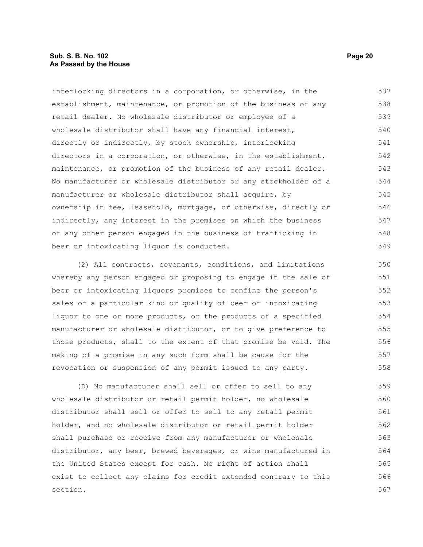interlocking directors in a corporation, or otherwise, in the establishment, maintenance, or promotion of the business of any retail dealer. No wholesale distributor or employee of a wholesale distributor shall have any financial interest, directly or indirectly, by stock ownership, interlocking directors in a corporation, or otherwise, in the establishment, maintenance, or promotion of the business of any retail dealer. No manufacturer or wholesale distributor or any stockholder of a manufacturer or wholesale distributor shall acquire, by ownership in fee, leasehold, mortgage, or otherwise, directly or indirectly, any interest in the premises on which the business of any other person engaged in the business of trafficking in beer or intoxicating liquor is conducted. 537 538 539 540 541 542 543 544 545 546 547 548 549

(2) All contracts, covenants, conditions, and limitations whereby any person engaged or proposing to engage in the sale of beer or intoxicating liquors promises to confine the person's sales of a particular kind or quality of beer or intoxicating liquor to one or more products, or the products of a specified manufacturer or wholesale distributor, or to give preference to those products, shall to the extent of that promise be void. The making of a promise in any such form shall be cause for the revocation or suspension of any permit issued to any party. 550 551 552 553 554 555 556 557 558

(D) No manufacturer shall sell or offer to sell to any wholesale distributor or retail permit holder, no wholesale distributor shall sell or offer to sell to any retail permit holder, and no wholesale distributor or retail permit holder shall purchase or receive from any manufacturer or wholesale distributor, any beer, brewed beverages, or wine manufactured in the United States except for cash. No right of action shall exist to collect any claims for credit extended contrary to this section. 559 560 561 562 563 564 565 566 567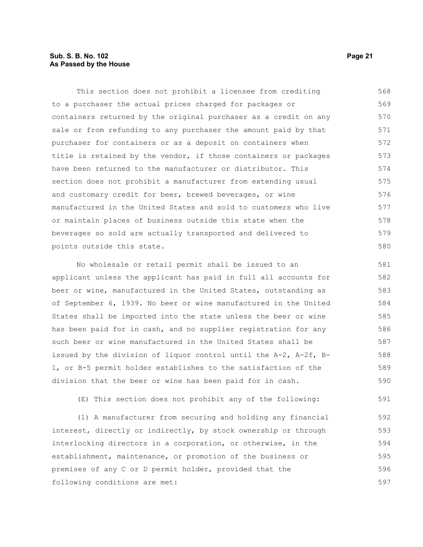#### **Sub. S. B. No. 102 Page 21 As Passed by the House**

This section does not prohibit a licensee from crediting to a purchaser the actual prices charged for packages or containers returned by the original purchaser as a credit on any sale or from refunding to any purchaser the amount paid by that purchaser for containers or as a deposit on containers when title is retained by the vendor, if those containers or packages have been returned to the manufacturer or distributor. This section does not prohibit a manufacturer from extending usual and customary credit for beer, brewed beverages, or wine manufactured in the United States and sold to customers who live or maintain places of business outside this state when the beverages so sold are actually transported and delivered to points outside this state. 568 569 570 571 572 573 574 575 576 577 578 579 580

No wholesale or retail permit shall be issued to an applicant unless the applicant has paid in full all accounts for beer or wine, manufactured in the United States, outstanding as of September 6, 1939. No beer or wine manufactured in the United States shall be imported into the state unless the beer or wine has been paid for in cash, and no supplier registration for any such beer or wine manufactured in the United States shall be issued by the division of liquor control until the A-2, A-2f, B-1, or B-5 permit holder establishes to the satisfaction of the division that the beer or wine has been paid for in cash. 581 582 583 584 585 586 587 588 589 590

(E) This section does not prohibit any of the following: 591

(1) A manufacturer from securing and holding any financial interest, directly or indirectly, by stock ownership or through interlocking directors in a corporation, or otherwise, in the establishment, maintenance, or promotion of the business or premises of any C or D permit holder, provided that the following conditions are met: 592 593 594 595 596 597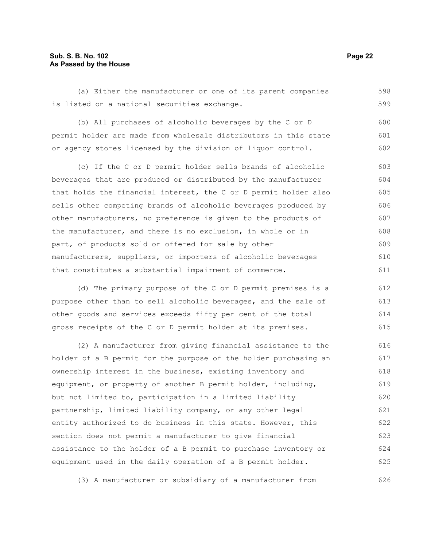#### **Sub. S. B. No. 102 Page 22 As Passed by the House**

(a) Either the manufacturer or one of its parent companies is listed on a national securities exchange. 598 599

(b) All purchases of alcoholic beverages by the C or D permit holder are made from wholesale distributors in this state or agency stores licensed by the division of liquor control. 600 601 602

(c) If the C or D permit holder sells brands of alcoholic beverages that are produced or distributed by the manufacturer that holds the financial interest, the C or D permit holder also sells other competing brands of alcoholic beverages produced by other manufacturers, no preference is given to the products of the manufacturer, and there is no exclusion, in whole or in part, of products sold or offered for sale by other manufacturers, suppliers, or importers of alcoholic beverages that constitutes a substantial impairment of commerce. 603 604 605 606 607 608 609 610 611

(d) The primary purpose of the C or D permit premises is a purpose other than to sell alcoholic beverages, and the sale of other goods and services exceeds fifty per cent of the total gross receipts of the C or D permit holder at its premises. 612 613 614 615

(2) A manufacturer from giving financial assistance to the holder of a B permit for the purpose of the holder purchasing an ownership interest in the business, existing inventory and equipment, or property of another B permit holder, including, but not limited to, participation in a limited liability partnership, limited liability company, or any other legal entity authorized to do business in this state. However, this section does not permit a manufacturer to give financial assistance to the holder of a B permit to purchase inventory or equipment used in the daily operation of a B permit holder. 616 617 618 619 620 621 622 623 624 625

(3) A manufacturer or subsidiary of a manufacturer from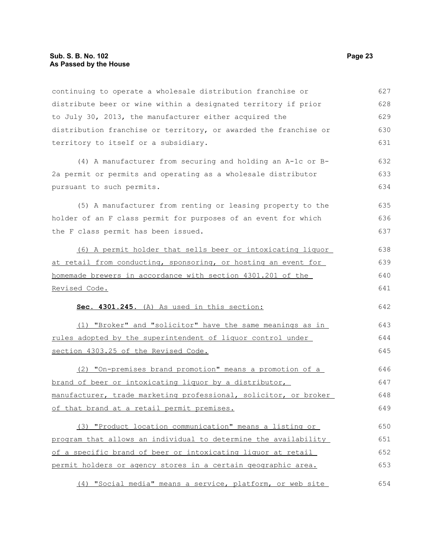continuing to operate a wholesale distribution franchise or distribute beer or wine within a designated territory if prior to July 30, 2013, the manufacturer either acquired the distribution franchise or territory, or awarded the franchise or territory to itself or a subsidiary. 627 628 629 630 631

(4) A manufacturer from securing and holding an A-1c or B-2a permit or permits and operating as a wholesale distributor pursuant to such permits. 632 633 634

(5) A manufacturer from renting or leasing property to the holder of an F class permit for purposes of an event for which the F class permit has been issued. 635 636 637

| (6) A permit holder that sells beer or intoxicating liquor     | 638 |
|----------------------------------------------------------------|-----|
| at retail from conducting, sponsoring, or hosting an event for | 639 |
| homemade brewers in accordance with section 4301.201 of the    | 640 |
| Revised Code.                                                  | 641 |

### **Sec. 4301.245.** (A) As used in this section:

(1) "Broker" and "solicitor" have the same meanings as in rules adopted by the superintendent of liquor control under section 4303.25 of the Revised Code. 643 644 645

(2) "On-premises brand promotion" means a promotion of a brand of beer or intoxicating liquor by a distributor, manufacturer, trade marketing professional, solicitor, or broker of that brand at a retail permit premises. 646 647 648 649

(3) "Product location communication" means a listing or program that allows an individual to determine the availability of a specific brand of beer or intoxicating liquor at retail permit holders or agency stores in a certain geographic area. 650 651 652 653

(4) "Social media" means a service, platform, or web site 654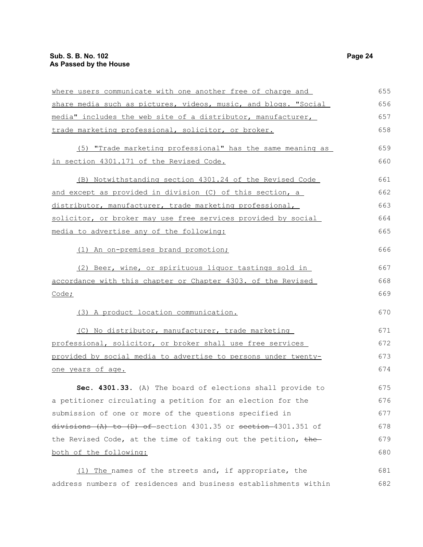| where users communicate with one another free of charge and      | 655 |
|------------------------------------------------------------------|-----|
| share media such as pictures, videos, music, and blogs. "Social  | 656 |
| media" includes the web site of a distributor, manufacturer,     | 657 |
| trade marketing professional, solicitor, or broker.              | 658 |
| (5) "Trade marketing professional" has the same meaning as       | 659 |
| in section 4301.171 of the Revised Code.                         | 660 |
| (B) Notwithstanding section 4301.24 of the Revised Code          | 661 |
| and except as provided in division (C) of this section, a        | 662 |
| distributor, manufacturer, trade marketing professional,         | 663 |
| solicitor, or broker may use free services provided by social    | 664 |
| media to advertise any of the following:                         | 665 |
| (1) An on-premises brand promotion;                              | 666 |
| (2) Beer, wine, or spirituous liquor tastings sold in            | 667 |
| accordance with this chapter or Chapter 4303. of the Revised     | 668 |
| Code;                                                            | 669 |
| (3) A product location communication.                            | 670 |
| (C) No distributor, manufacturer, trade marketing                | 671 |
| professional, solicitor, or broker shall use free services       | 672 |
| provided by social media to advertise to persons under twenty-   | 673 |
| <u>one years of age.</u>                                         | 674 |
| Sec. 4301.33. (A) The board of elections shall provide to        | 675 |
| a petitioner circulating a petition for an election for the      | 676 |
| submission of one or more of the questions specified in          | 677 |
| $divisions$ (A) to (D) of section 4301.35 or section 4301.351 of | 678 |
| the Revised Code, at the time of taking out the petition, the-   | 679 |
| both of the following:                                           | 680 |
| (1) The names of the streets and, if appropriate, the            | 681 |
| address numbers of residences and business establishments within | 682 |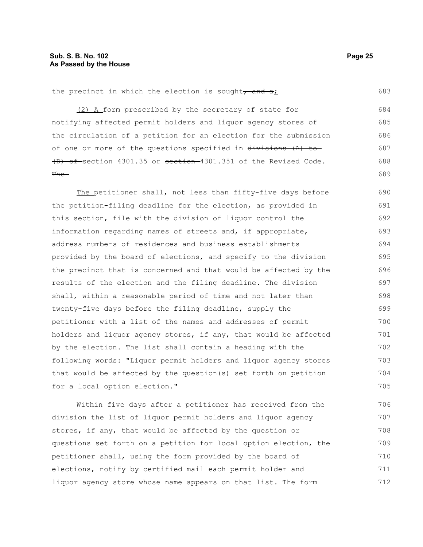the precinct in which the election is sought, and  $a_i$ 

(2) A form prescribed by the secretary of state for notifying affected permit holders and liquor agency stores of the circulation of a petition for an election for the submission of one or more of the questions specified in  $d$ ivisions  $(A)$  to (D) of section 4301.35 or section 4301.351 of the Revised Code. The 684 685 686 687 688 689

The petitioner shall, not less than fifty-five days before the petition-filing deadline for the election, as provided in this section, file with the division of liquor control the information regarding names of streets and, if appropriate, address numbers of residences and business establishments provided by the board of elections, and specify to the division the precinct that is concerned and that would be affected by the results of the election and the filing deadline. The division shall, within a reasonable period of time and not later than twenty-five days before the filing deadline, supply the petitioner with a list of the names and addresses of permit holders and liquor agency stores, if any, that would be affected by the election. The list shall contain a heading with the following words: "Liquor permit holders and liquor agency stores that would be affected by the question(s) set forth on petition for a local option election." 690 691 692 693 694 695 696 697 698 699 700 701 702 703 704 705

Within five days after a petitioner has received from the division the list of liquor permit holders and liquor agency stores, if any, that would be affected by the question or questions set forth on a petition for local option election, the petitioner shall, using the form provided by the board of elections, notify by certified mail each permit holder and liquor agency store whose name appears on that list. The form 706 707 708 709 710 711 712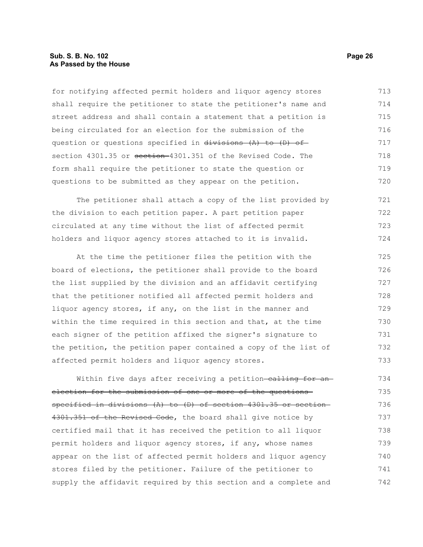#### **Sub. S. B. No. 102 Page 26 As Passed by the House**

for notifying affected permit holders and liquor agency stores shall require the petitioner to state the petitioner's name and street address and shall contain a statement that a petition is being circulated for an election for the submission of the question or questions specified in divisions (A) to (D) ofsection 4301.35 or section 4301.351 of the Revised Code. The form shall require the petitioner to state the question or questions to be submitted as they appear on the petition. 713 714 715 716 717 718 719 720

The petitioner shall attach a copy of the list provided by the division to each petition paper. A part petition paper circulated at any time without the list of affected permit holders and liquor agency stores attached to it is invalid. 721 722 723 724

At the time the petitioner files the petition with the board of elections, the petitioner shall provide to the board the list supplied by the division and an affidavit certifying that the petitioner notified all affected permit holders and liquor agency stores, if any, on the list in the manner and within the time required in this section and that, at the time each signer of the petition affixed the signer's signature to the petition, the petition paper contained a copy of the list of affected permit holders and liquor agency stores. 725 726 727 728 729 730 731 732 733

Within five days after receiving a petition-calling for anelection for the submission of one or more of the questions specified in divisions (A) to (D) of section 4301.35 or section 4301.351 of the Revised Code, the board shall give notice by certified mail that it has received the petition to all liquor permit holders and liquor agency stores, if any, whose names appear on the list of affected permit holders and liquor agency stores filed by the petitioner. Failure of the petitioner to supply the affidavit required by this section and a complete and 734 735 736 737 738 739 740 741 742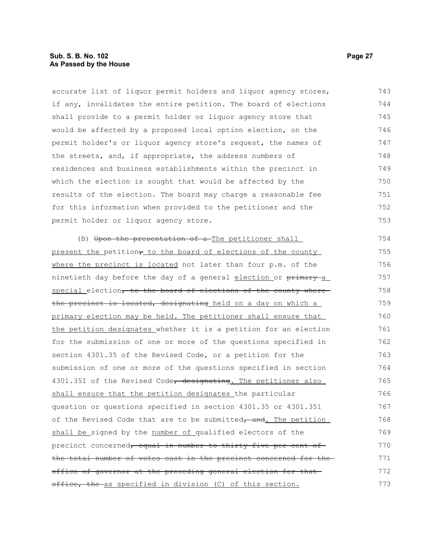#### **Sub. S. B. No. 102 Page 27 As Passed by the House**

accurate list of liquor permit holders and liquor agency stores, if any, invalidates the entire petition. The board of elections shall provide to a permit holder or liquor agency store that would be affected by a proposed local option election, on the permit holder's or liquor agency store's request, the names of the streets, and, if appropriate, the address numbers of residences and business establishments within the precinct in which the election is sought that would be affected by the results of the election. The board may charge a reasonable fee for this information when provided to the petitioner and the permit holder or liquor agency store. 743 744 745 746 747 748 749 750 751 752 753

(B) Upon the presentation of a The petitioner shall present the petition $_{\tau}$  to the board of elections of the county where the precinct is located not later than four p.m. of the ninetieth day before the day of a general election or primary a special election, to the board of elections of the county wherethe precinct is located, designating held on a day on which a primary election may be held. The petitioner shall ensure that the petition designates whether it is a petition for an election for the submission of one or more of the questions specified in section 4301.35 of the Revised Code, or a petition for the submission of one or more of the questions specified in section 4301.351 of the Revised Code, designating. The petitioner also shall ensure that the petition designates the particular question or questions specified in section 4301.35 or 4301.351 of the Revised Code that are to be submitted, and. The petition shall be signed by the number of qualified electors of the precinct concerned, equal in number to thirty-five per cent of the total number of votes cast in the precinct concerned for the office of governor at the preceding general election for that office, the as specified in division (C) of this section. 754 755 756 757 758 759 760 761 762 763 764 765 766 767 768 769 770 771 772 773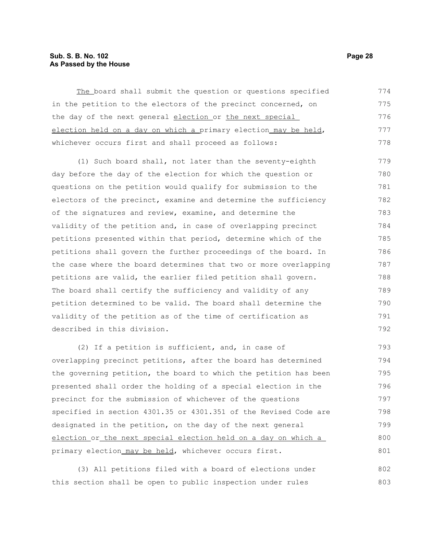#### **Sub. S. B. No. 102 Page 28 As Passed by the House**

The board shall submit the question or questions specified in the petition to the electors of the precinct concerned, on the day of the next general election or the next special election held on a day on which a primary election may be held, whichever occurs first and shall proceed as follows: 774 775 776 777 778

(1) Such board shall, not later than the seventy-eighth day before the day of the election for which the question or questions on the petition would qualify for submission to the electors of the precinct, examine and determine the sufficiency of the signatures and review, examine, and determine the validity of the petition and, in case of overlapping precinct petitions presented within that period, determine which of the petitions shall govern the further proceedings of the board. In the case where the board determines that two or more overlapping petitions are valid, the earlier filed petition shall govern. The board shall certify the sufficiency and validity of any petition determined to be valid. The board shall determine the validity of the petition as of the time of certification as described in this division. 779 780 781 782 783 784 785 786 787 788 789 790 791 792

(2) If a petition is sufficient, and, in case of overlapping precinct petitions, after the board has determined the governing petition, the board to which the petition has been presented shall order the holding of a special election in the precinct for the submission of whichever of the questions specified in section 4301.35 or 4301.351 of the Revised Code are designated in the petition, on the day of the next general election or the next special election held on a day on which a primary election may be held, whichever occurs first. 793 794 795 796 797 798 799 800 801

(3) All petitions filed with a board of elections under this section shall be open to public inspection under rules 802 803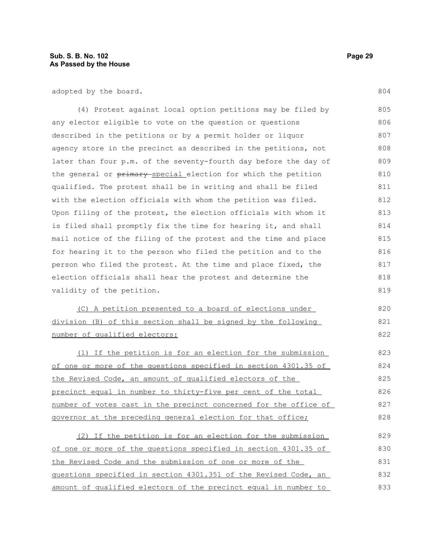adopted by the board.

(4) Protest against local option petitions may be filed by any elector eligible to vote on the question or questions described in the petitions or by a permit holder or liquor agency store in the precinct as described in the petitions, not later than four p.m. of the seventy-fourth day before the day of the general or primary special election for which the petition qualified. The protest shall be in writing and shall be filed with the election officials with whom the petition was filed. Upon filing of the protest, the election officials with whom it is filed shall promptly fix the time for hearing it, and shall mail notice of the filing of the protest and the time and place for hearing it to the person who filed the petition and to the person who filed the protest. At the time and place fixed, the election officials shall hear the protest and determine the validity of the petition. 805 806 807 808 809 810 811 812 813 814 815 816 817 818 819

(C) A petition presented to a board of elections under division (B) of this section shall be signed by the following number of qualified electors:

(1) If the petition is for an election for the submission of one or more of the questions specified in section 4301.35 of the Revised Code, an amount of qualified electors of the precinct equal in number to thirty-five per cent of the total number of votes cast in the precinct concerned for the office of governor at the preceding general election for that office; 823 824 825 826 827 828

(2) If the petition is for an election for the submission of one or more of the questions specified in section 4301.35 of the Revised Code and the submission of one or more of the questions specified in section 4301.351 of the Revised Code, an amount of qualified electors of the precinct equal in number to 829 830 831 832 833

804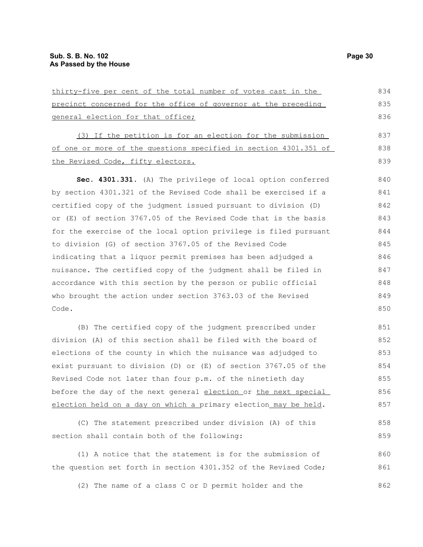|                                                                  | 834 |
|------------------------------------------------------------------|-----|
| thirty-five per cent of the total number of votes cast in the    |     |
| precinct concerned for the office of governor at the preceding   | 835 |
| general election for that office;                                | 836 |
|                                                                  |     |
| (3) If the petition is for an election for the submission        | 837 |
| of one or more of the questions specified in section 4301.351 of | 838 |
| the Revised Code, fifty electors.                                | 839 |
| Sec. 4301.331. (A) The privilege of local option conferred       | 840 |
| by section 4301.321 of the Revised Code shall be exercised if a  | 841 |
| certified copy of the judgment issued pursuant to division (D)   | 842 |
| or (E) of section 3767.05 of the Revised Code that is the basis  | 843 |
| for the exercise of the local option privilege is filed pursuant | 844 |
| to division (G) of section 3767.05 of the Revised Code           | 845 |
| indicating that a liquor permit premises has been adjudged a     | 846 |
| nuisance. The certified copy of the judgment shall be filed in   | 847 |
| accordance with this section by the person or public official    | 848 |
| who brought the action under section 3763.03 of the Revised      | 849 |
| Code.                                                            | 850 |
| (B) The certified copy of the judgment prescribed under          | 851 |
| division (A) of this section shall be filed with the board of    | 852 |
| elections of the county in which the nuisance was adjudged to    | 853 |
| exist pursuant to division (D) or (E) of section 3767.05 of the  | 854 |

Revised Code not later than four p.m. of the ninetieth day before the day of the next general election or the next special election held on a day on which a primary election may be held. 855 856 857

(C) The statement prescribed under division (A) of this section shall contain both of the following: 858 859

(1) A notice that the statement is for the submission of the question set forth in section 4301.352 of the Revised Code; 860 861

(2) The name of a class C or D permit holder and the 862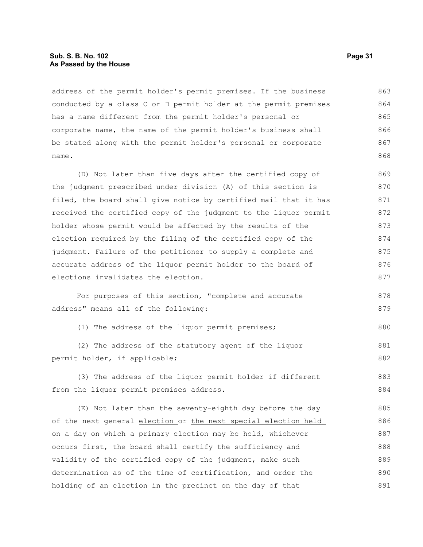#### **Sub. S. B. No. 102 Page 31 As Passed by the House**

address of the permit holder's permit premises. If the business conducted by a class C or D permit holder at the permit premises has a name different from the permit holder's personal or corporate name, the name of the permit holder's business shall be stated along with the permit holder's personal or corporate name. 863 864 865 866 867 868

(D) Not later than five days after the certified copy of the judgment prescribed under division (A) of this section is filed, the board shall give notice by certified mail that it has received the certified copy of the judgment to the liquor permit holder whose permit would be affected by the results of the election required by the filing of the certified copy of the judgment. Failure of the petitioner to supply a complete and accurate address of the liquor permit holder to the board of elections invalidates the election. 869 870 871 872 873 874 875 876 877

For purposes of this section, "complete and accurate address" means all of the following: 878 879

(1) The address of the liquor permit premises;

(2) The address of the statutory agent of the liquor permit holder, if applicable; 881 882

(3) The address of the liquor permit holder if different from the liquor permit premises address. 883 884

(E) Not later than the seventy-eighth day before the day of the next general election or the next special election held on a day on which a primary election may be held, whichever occurs first, the board shall certify the sufficiency and validity of the certified copy of the judgment, make such determination as of the time of certification, and order the holding of an election in the precinct on the day of that 885 886 887 888 889 890 891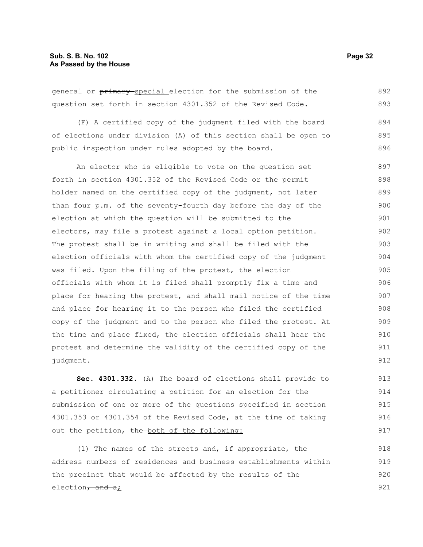general or primary special election for the submission of the question set forth in section 4301.352 of the Revised Code. 892 893

(F) A certified copy of the judgment filed with the board of elections under division (A) of this section shall be open to public inspection under rules adopted by the board. 894 895 896

An elector who is eligible to vote on the question set forth in section 4301.352 of the Revised Code or the permit holder named on the certified copy of the judgment, not later than four p.m. of the seventy-fourth day before the day of the election at which the question will be submitted to the electors, may file a protest against a local option petition. The protest shall be in writing and shall be filed with the election officials with whom the certified copy of the judgment was filed. Upon the filing of the protest, the election officials with whom it is filed shall promptly fix a time and place for hearing the protest, and shall mail notice of the time and place for hearing it to the person who filed the certified copy of the judgment and to the person who filed the protest. At the time and place fixed, the election officials shall hear the protest and determine the validity of the certified copy of the judgment. 897 898 899 900 901 902 903 904 905 906 907 908 909 910 911 912

**Sec. 4301.332.** (A) The board of elections shall provide to a petitioner circulating a petition for an election for the submission of one or more of the questions specified in section 4301.353 or 4301.354 of the Revised Code, at the time of taking out the petition, the both of the following:

(1) The names of the streets and, if appropriate, the address numbers of residences and business establishments within the precinct that would be affected by the results of the election $\frac{1}{2}$  and  $\frac{1}{2}$ ; 918 919 920 921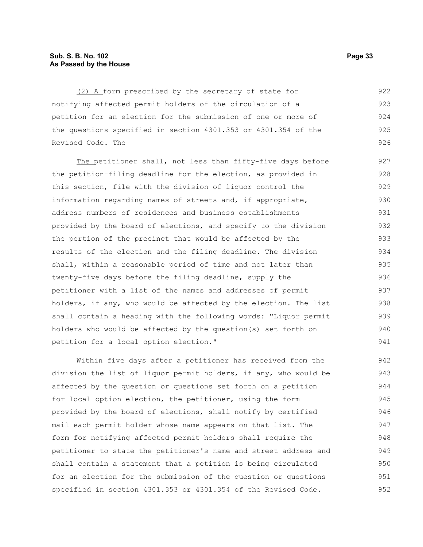#### **Sub. S. B. No. 102 Page 33 As Passed by the House**

(2) A form prescribed by the secretary of state for notifying affected permit holders of the circulation of a petition for an election for the submission of one or more of the questions specified in section 4301.353 or 4301.354 of the Revised Code. The 922 923 924 925 926

The petitioner shall, not less than fifty-five days before the petition-filing deadline for the election, as provided in this section, file with the division of liquor control the information regarding names of streets and, if appropriate, address numbers of residences and business establishments provided by the board of elections, and specify to the division the portion of the precinct that would be affected by the results of the election and the filing deadline. The division shall, within a reasonable period of time and not later than twenty-five days before the filing deadline, supply the petitioner with a list of the names and addresses of permit holders, if any, who would be affected by the election. The list shall contain a heading with the following words: "Liquor permit holders who would be affected by the question(s) set forth on petition for a local option election." 927 928 929 930 931 932 933 934 935 936 937 938 939 940 941

Within five days after a petitioner has received from the division the list of liquor permit holders, if any, who would be affected by the question or questions set forth on a petition for local option election, the petitioner, using the form provided by the board of elections, shall notify by certified mail each permit holder whose name appears on that list. The form for notifying affected permit holders shall require the petitioner to state the petitioner's name and street address and shall contain a statement that a petition is being circulated for an election for the submission of the question or questions specified in section 4301.353 or 4301.354 of the Revised Code. 942 943 944 945 946 947 948 949 950 951 952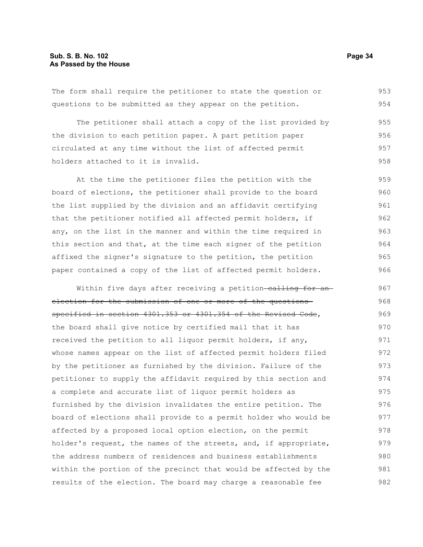#### **Sub. S. B. No. 102 Page 34 As Passed by the House**

The form shall require the petitioner to state the question or questions to be submitted as they appear on the petition. 953 954

The petitioner shall attach a copy of the list provided by the division to each petition paper. A part petition paper circulated at any time without the list of affected permit holders attached to it is invalid. 955 956 957

At the time the petitioner files the petition with the board of elections, the petitioner shall provide to the board the list supplied by the division and an affidavit certifying that the petitioner notified all affected permit holders, if any, on the list in the manner and within the time required in this section and that, at the time each signer of the petition affixed the signer's signature to the petition, the petition paper contained a copy of the list of affected permit holders. 959 960 961 962 963 964 965 966

Within five days after receiving a petition-calling for anelection for the submission of one or more of the questions specified in section 4301.353 or 4301.354 of the Revised Code, the board shall give notice by certified mail that it has received the petition to all liquor permit holders, if any, whose names appear on the list of affected permit holders filed by the petitioner as furnished by the division. Failure of the petitioner to supply the affidavit required by this section and a complete and accurate list of liquor permit holders as furnished by the division invalidates the entire petition. The board of elections shall provide to a permit holder who would be affected by a proposed local option election, on the permit holder's request, the names of the streets, and, if appropriate, the address numbers of residences and business establishments within the portion of the precinct that would be affected by the results of the election. The board may charge a reasonable fee 967 968 969 970 971 972 973 974 975 976 977 978 979 980 981 982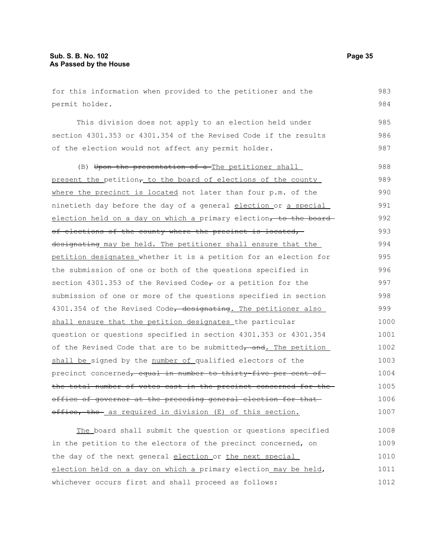for this information when provided to the petitioner and the permit holder. 983 984

This division does not apply to an election held under section 4301.353 or 4301.354 of the Revised Code if the results of the election would not affect any permit holder. 985 986 987

(B) Upon the presentation of a The petitioner shall present the petition<sub></sub> to the board of elections of the county where the precinct is located not later than four p.m. of the ninetieth day before the day of a general election or a special election held on a day on which a primary election, to the board of elections of the county where the precinct is located,designating may be held. The petitioner shall ensure that the petition designates whether it is a petition for an election for the submission of one or both of the questions specified in section 4301.353 of the Revised Code $_7$  or a petition for the submission of one or more of the questions specified in section 4301.354 of the Revised Code, designating. The petitioner also shall ensure that the petition designates the particular question or questions specified in section 4301.353 or 4301.354 of the Revised Code that are to be submitted, and. The petition shall be signed by the number of qualified electors of the precinct concerned, equal in number to thirty-five per cent of the total number of votes cast in the precinct concerned for the office of governor at the preceding general election for that office, the as required in division (E) of this section. 988 989 990 991 992 993 994 995 996 997 998 999 1000 1001 1002 1003 1004 1005 1006 1007

The board shall submit the question or questions specified in the petition to the electors of the precinct concerned, on the day of the next general election or the next special election held on a day on which a primary election may be held, whichever occurs first and shall proceed as follows: 1008 1009 1010 1011 1012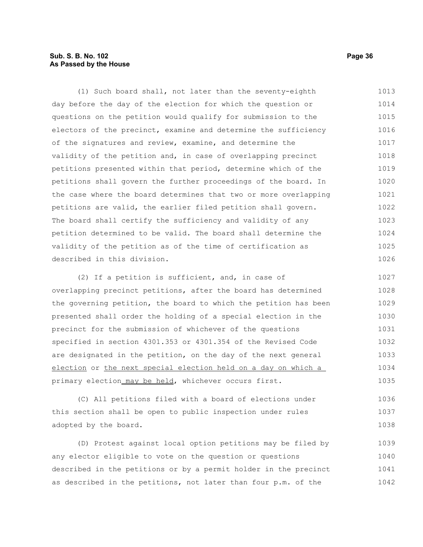#### **Sub. S. B. No. 102 Page 36 As Passed by the House**

(1) Such board shall, not later than the seventy-eighth day before the day of the election for which the question or questions on the petition would qualify for submission to the electors of the precinct, examine and determine the sufficiency of the signatures and review, examine, and determine the validity of the petition and, in case of overlapping precinct petitions presented within that period, determine which of the petitions shall govern the further proceedings of the board. In the case where the board determines that two or more overlapping petitions are valid, the earlier filed petition shall govern. The board shall certify the sufficiency and validity of any petition determined to be valid. The board shall determine the validity of the petition as of the time of certification as described in this division. 1013 1014 1015 1016 1017 1018 1019 1020 1021 1022 1023 1024 1025 1026

(2) If a petition is sufficient, and, in case of overlapping precinct petitions, after the board has determined the governing petition, the board to which the petition has been presented shall order the holding of a special election in the precinct for the submission of whichever of the questions specified in section 4301.353 or 4301.354 of the Revised Code are designated in the petition, on the day of the next general election or the next special election held on a day on which a primary election may be held, whichever occurs first. 1027 1028 1029 1030 1031 1032 1033 1034 1035

(C) All petitions filed with a board of elections under this section shall be open to public inspection under rules adopted by the board. 1036 1037 1038

(D) Protest against local option petitions may be filed by any elector eligible to vote on the question or questions described in the petitions or by a permit holder in the precinct as described in the petitions, not later than four p.m. of the 1039 1040 1041 1042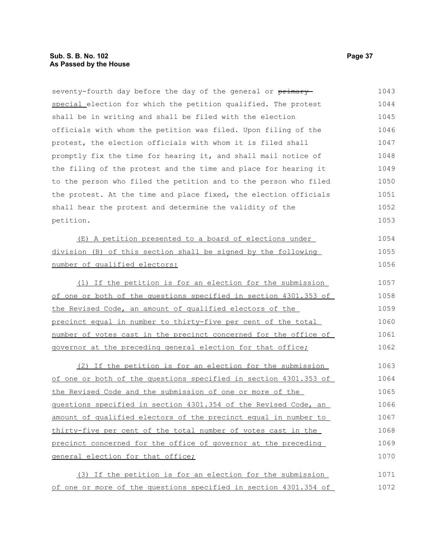seventy-fourth day before the day of the general or primaryspecial election for which the petition qualified. The protest shall be in writing and shall be filed with the election officials with whom the petition was filed. Upon filing of the protest, the election officials with whom it is filed shall promptly fix the time for hearing it, and shall mail notice of the filing of the protest and the time and place for hearing it to the person who filed the petition and to the person who filed the protest. At the time and place fixed, the election officials shall hear the protest and determine the validity of the petition. 1043 1044 1045 1046 1047 1048 1049 1050 1051 1052 1053

(E) A petition presented to a board of elections under division (B) of this section shall be signed by the following number of qualified electors: 1054 1055 1056

(1) If the petition is for an election for the submission of one or both of the questions specified in section 4301.353 of the Revised Code, an amount of qualified electors of the precinct equal in number to thirty-five per cent of the total number of votes cast in the precinct concerned for the office of governor at the preceding general election for that office; 1057 1058 1059 1060 1061 1062

(2) If the petition is for an election for the submission of one or both of the questions specified in section 4301.353 of the Revised Code and the submission of one or more of the questions specified in section 4301.354 of the Revised Code, an amount of qualified electors of the precinct equal in number to thirty-five per cent of the total number of votes cast in the precinct concerned for the office of governor at the preceding general election for that office; 1063 1064 1065 1066 1067 1068 1069 1070

(3) If the petition is for an election for the submission of one or more of the questions specified in section 4301.354 of 1071 1072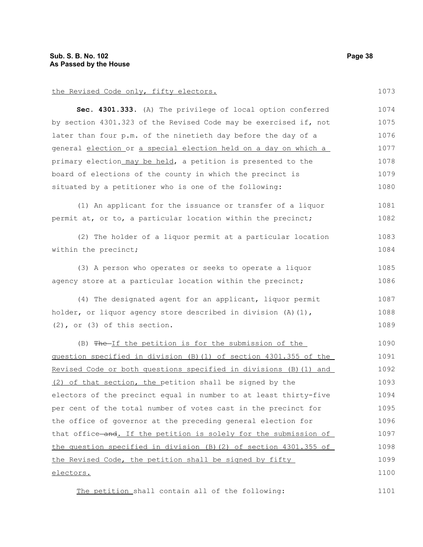1073

# the Revised Code only, fifty electors.

**Sec. 4301.333.** (A) The privilege of local option conferred by section 4301.323 of the Revised Code may be exercised if, not later than four p.m. of the ninetieth day before the day of a general election or a special election held on a day on which a primary election may be held, a petition is presented to the board of elections of the county in which the precinct is situated by a petitioner who is one of the following: 1074 1075 1076 1077 1078 1079 1080

(1) An applicant for the issuance or transfer of a liquor permit at, or to, a particular location within the precinct; 1081 1082

|  |                      |  |  |  | (2) The holder of a liquor permit at a particular location |  | 1083 |
|--|----------------------|--|--|--|------------------------------------------------------------|--|------|
|  | within the precinct; |  |  |  |                                                            |  | 1084 |

(3) A person who operates or seeks to operate a liquor agency store at a particular location within the precinct; 1085 1086

(4) The designated agent for an applicant, liquor permit holder, or liquor agency store described in division  $(A)$   $(1)$ , (2), or (3) of this section. 1087 1088 1089

(B) The If the petition is for the submission of the question specified in division (B)(1) of section 4301.355 of the Revised Code or both questions specified in divisions (B)(1) and (2) of that section, the petition shall be signed by the electors of the precinct equal in number to at least thirty-five per cent of the total number of votes cast in the precinct for the office of governor at the preceding general election for that office—and. If the petition is solely for the submission of the question specified in division (B)(2) of section 4301.355 of the Revised Code, the petition shall be signed by fifty electors. 1090 1091 1092 1093 1094 1095 1096 1097 1098 1099 1100

The petition shall contain all of the following: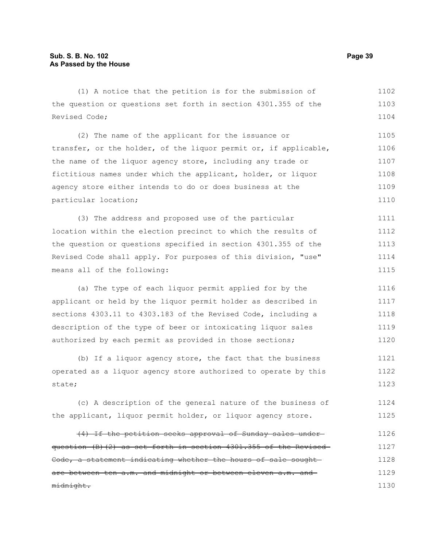(1) A notice that the petition is for the submission of the question or questions set forth in section 4301.355 of the Revised Code; 1102 1103 1104

(2) The name of the applicant for the issuance or transfer, or the holder, of the liquor permit or, if applicable, the name of the liquor agency store, including any trade or fictitious names under which the applicant, holder, or liquor agency store either intends to do or does business at the particular location; 1105 1106 1107 1108 1109 1110

(3) The address and proposed use of the particular location within the election precinct to which the results of the question or questions specified in section 4301.355 of the Revised Code shall apply. For purposes of this division, "use" means all of the following: 1111 1112 1113 1114 1115

(a) The type of each liquor permit applied for by the applicant or held by the liquor permit holder as described in sections 4303.11 to 4303.183 of the Revised Code, including a description of the type of beer or intoxicating liquor sales authorized by each permit as provided in those sections; 1116 1117 1118 1119 1120

(b) If a liquor agency store, the fact that the business operated as a liquor agency store authorized to operate by this state; 1121 1122 1123

(c) A description of the general nature of the business of the applicant, liquor permit holder, or liquor agency store. 1124 1125

(4) If the petition seeks approval of Sunday sales under question (B)(2) as set forth in section 4301.355 of the Revised Code, a statement indicating whether the hours of sale sought are between ten a.m. and midnight or between eleven a.m. and midnight. 1126 1127 1128 1129 1130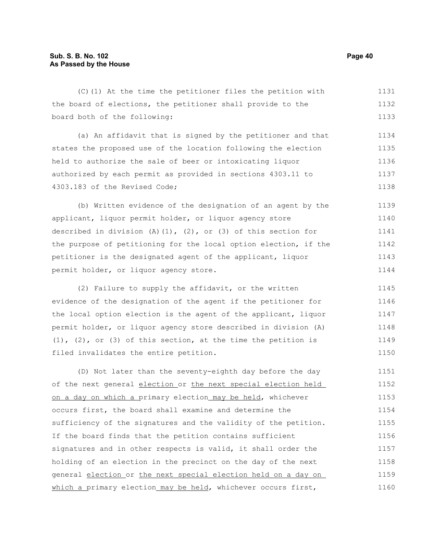(C)(1) At the time the petitioner files the petition with the board of elections, the petitioner shall provide to the board both of the following: (a) An affidavit that is signed by the petitioner and that states the proposed use of the location following the election held to authorize the sale of beer or intoxicating liquor authorized by each permit as provided in sections 4303.11 to 4303.183 of the Revised Code; 1131 1132 1133 1134 1135 1136 1137 1138

(b) Written evidence of the designation of an agent by the applicant, liquor permit holder, or liquor agency store described in division  $(A)$   $(1)$ ,  $(2)$ , or  $(3)$  of this section for the purpose of petitioning for the local option election, if the petitioner is the designated agent of the applicant, liquor permit holder, or liquor agency store. 1139 1140 1141 1142 1143 1144

(2) Failure to supply the affidavit, or the written evidence of the designation of the agent if the petitioner for the local option election is the agent of the applicant, liquor permit holder, or liquor agency store described in division (A) (1), (2), or (3) of this section, at the time the petition is filed invalidates the entire petition. 1145 1146 1147 1148 1149 1150

(D) Not later than the seventy-eighth day before the day of the next general election or the next special election held on a day on which a primary election may be held, whichever occurs first, the board shall examine and determine the sufficiency of the signatures and the validity of the petition. If the board finds that the petition contains sufficient signatures and in other respects is valid, it shall order the holding of an election in the precinct on the day of the next general election or the next special election held on a day on which a primary election may be held, whichever occurs first, 1151 1152 1153 1154 1155 1156 1157 1158 1159 1160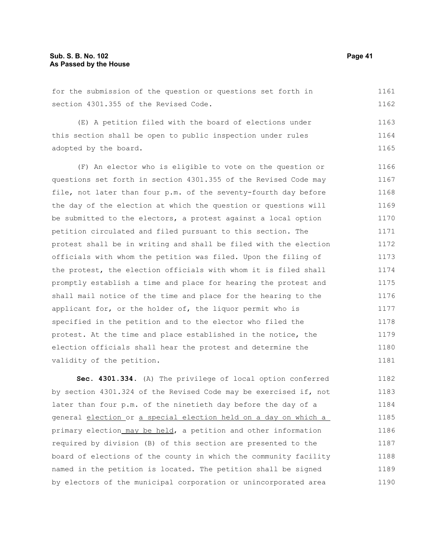for the submission of the question or questions set forth in section 4301.355 of the Revised Code. 1161 1162

(E) A petition filed with the board of elections under this section shall be open to public inspection under rules adopted by the board. 1163 1164 1165

(F) An elector who is eligible to vote on the question or questions set forth in section 4301.355 of the Revised Code may file, not later than four p.m. of the seventy-fourth day before the day of the election at which the question or questions will be submitted to the electors, a protest against a local option petition circulated and filed pursuant to this section. The protest shall be in writing and shall be filed with the election officials with whom the petition was filed. Upon the filing of the protest, the election officials with whom it is filed shall promptly establish a time and place for hearing the protest and shall mail notice of the time and place for the hearing to the applicant for, or the holder of, the liquor permit who is specified in the petition and to the elector who filed the protest. At the time and place established in the notice, the election officials shall hear the protest and determine the validity of the petition. 1166 1167 1168 1169 1170 1171 1172 1173 1174 1175 1176 1177 1178 1179 1180 1181

**Sec. 4301.334.** (A) The privilege of local option conferred by section 4301.324 of the Revised Code may be exercised if, not later than four p.m. of the ninetieth day before the day of a general election or a special election held on a day on which a primary election may be held, a petition and other information required by division (B) of this section are presented to the board of elections of the county in which the community facility named in the petition is located. The petition shall be signed by electors of the municipal corporation or unincorporated area 1182 1183 1184 1185 1186 1187 1188 1189 1190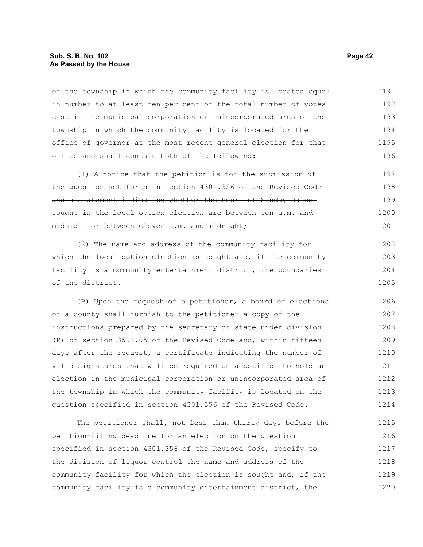#### **Sub. S. B. No. 102 Page 42 As Passed by the House**

of the township in which the community facility is located equal in number to at least ten per cent of the total number of votes cast in the municipal corporation or unincorporated area of the township in which the community facility is located for the office of governor at the most recent general election for that office and shall contain both of the following: 1191 1192 1193 1194 1195 1196

(1) A notice that the petition is for the submission of the question set forth in section 4301.356 of the Revised Code and a statement indicating whether the hours of Sunday sales sought in the local option election are between ten a.m. and midnight or between eleven a.m. and midnight; 1197 1198 1199 1200 1201

(2) The name and address of the community facility for which the local option election is sought and, if the community facility is a community entertainment district, the boundaries of the district. 1202 1203 1204 1205

(B) Upon the request of a petitioner, a board of elections of a county shall furnish to the petitioner a copy of the instructions prepared by the secretary of state under division (P) of section 3501.05 of the Revised Code and, within fifteen days after the request, a certificate indicating the number of valid signatures that will be required on a petition to hold an election in the municipal corporation or unincorporated area of the township in which the community facility is located on the question specified in section 4301.356 of the Revised Code. 1206 1207 1208 1209 1210 1211 1212 1213 1214

The petitioner shall, not less than thirty days before the petition-filing deadline for an election on the question specified in section 4301.356 of the Revised Code, specify to the division of liquor control the name and address of the community facility for which the election is sought and, if the community facility is a community entertainment district, the 1215 1216 1217 1218 1219 1220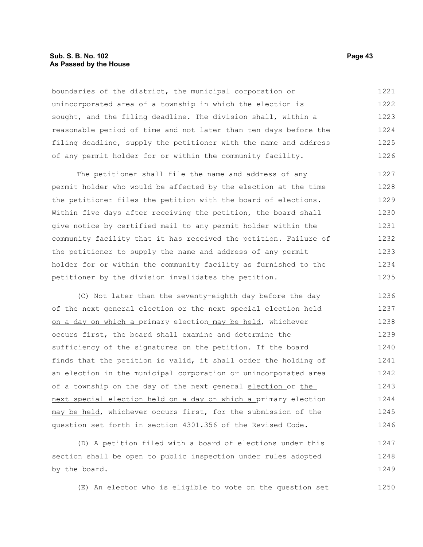## **Sub. S. B. No. 102 Page 43 As Passed by the House**

boundaries of the district, the municipal corporation or unincorporated area of a township in which the election is sought, and the filing deadline. The division shall, within a reasonable period of time and not later than ten days before the filing deadline, supply the petitioner with the name and address of any permit holder for or within the community facility. 1221 1222 1223 1224 1225 1226

The petitioner shall file the name and address of any permit holder who would be affected by the election at the time the petitioner files the petition with the board of elections. Within five days after receiving the petition, the board shall give notice by certified mail to any permit holder within the community facility that it has received the petition. Failure of the petitioner to supply the name and address of any permit holder for or within the community facility as furnished to the petitioner by the division invalidates the petition. 1227 1228 1229 1230 1231 1232 1233 1234 1235

(C) Not later than the seventy-eighth day before the day of the next general election or the next special election held on a day on which a primary election may be held, whichever occurs first, the board shall examine and determine the sufficiency of the signatures on the petition. If the board finds that the petition is valid, it shall order the holding of an election in the municipal corporation or unincorporated area of a township on the day of the next general election or the next special election held on a day on which a primary election may be held, whichever occurs first, for the submission of the question set forth in section 4301.356 of the Revised Code. 1236 1237 1238 1239 1240 1241 1242 1243 1244 1245 1246

(D) A petition filed with a board of elections under this section shall be open to public inspection under rules adopted by the board. 1247 1248 1249

(E) An elector who is eligible to vote on the question set 1250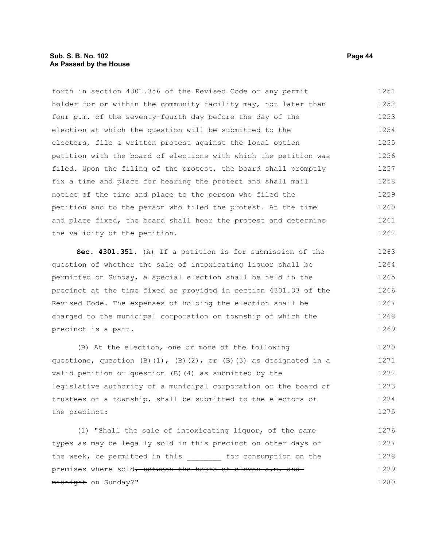forth in section 4301.356 of the Revised Code or any permit holder for or within the community facility may, not later than four p.m. of the seventy-fourth day before the day of the election at which the question will be submitted to the electors, file a written protest against the local option petition with the board of elections with which the petition was filed. Upon the filing of the protest, the board shall promptly fix a time and place for hearing the protest and shall mail notice of the time and place to the person who filed the petition and to the person who filed the protest. At the time and place fixed, the board shall hear the protest and determine the validity of the petition. 1251 1252 1253 1254 1255 1256 1257 1258 1259 1260 1261 1262

**Sec. 4301.351.** (A) If a petition is for submission of the question of whether the sale of intoxicating liquor shall be permitted on Sunday, a special election shall be held in the precinct at the time fixed as provided in section 4301.33 of the Revised Code. The expenses of holding the election shall be charged to the municipal corporation or township of which the precinct is a part. 1263 1264 1265 1266 1267 1268 1269

(B) At the election, one or more of the following questions, question  $(B)$ (1),  $(B)$ (2), or  $(B)$ (3) as designated in a valid petition or question (B)(4) as submitted by the legislative authority of a municipal corporation or the board of trustees of a township, shall be submitted to the electors of the precinct: 1270 1271 1272 1273 1274 1275

(1) "Shall the sale of intoxicating liquor, of the same types as may be legally sold in this precinct on other days of the week, be permitted in this for consumption on the premises where sold, between the hours of eleven a.m. and midnight on Sunday?" 1276 1277 1278 1279 1280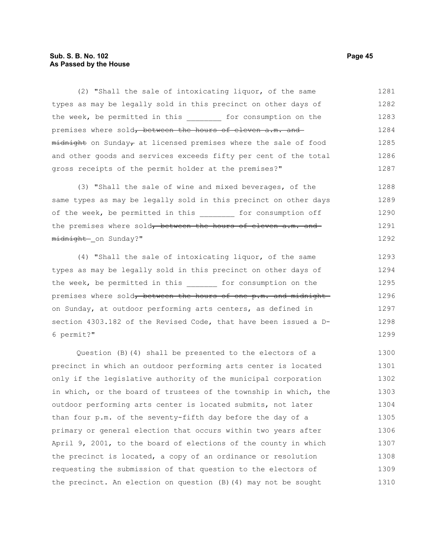# **Sub. S. B. No. 102 Page 45 As Passed by the House**

(2) "Shall the sale of intoxicating liquor, of the same types as may be legally sold in this precinct on other days of the week, be permitted in this for consumption on the premises where sold, between the hours of eleven a.m. and  $m$ idnight on Sunday, at licensed premises where the sale of food and other goods and services exceeds fifty per cent of the total gross receipts of the permit holder at the premises?" 1281 1282 1283 1284 1285 1286 1287

(3) "Shall the sale of wine and mixed beverages, of the same types as may be legally sold in this precinct on other days of the week, be permitted in this for consumption off the premises where sold, between the hours of eleven a.m. and midnight \_\_ on Sunday?" 1288 1289 1290 1291 1292

(4) "Shall the sale of intoxicating liquor, of the same types as may be legally sold in this precinct on other days of the week, be permitted in this for consumption on the premises where sold, between the hours of one p.m. and midnighton Sunday, at outdoor performing arts centers, as defined in section 4303.182 of the Revised Code, that have been issued a D-6 permit?" 1293 1294 1295 1296 1297 1298 1299

Question (B)(4) shall be presented to the electors of a precinct in which an outdoor performing arts center is located only if the legislative authority of the municipal corporation in which, or the board of trustees of the township in which, the outdoor performing arts center is located submits, not later than four p.m. of the seventy-fifth day before the day of a primary or general election that occurs within two years after April 9, 2001, to the board of elections of the county in which the precinct is located, a copy of an ordinance or resolution requesting the submission of that question to the electors of the precinct. An election on question (B)(4) may not be sought 1300 1301 1302 1303 1304 1305 1306 1307 1308 1309 1310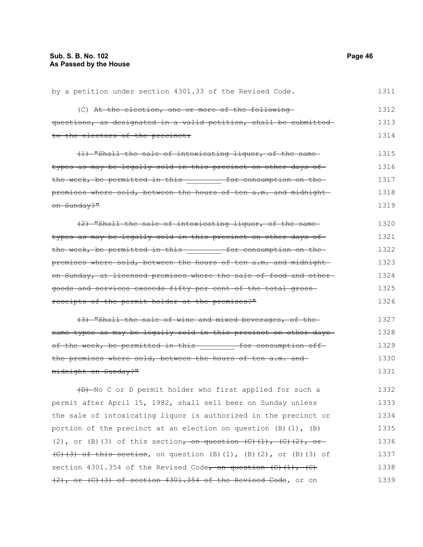| by a petition under section 4301.33 of the Revised Code.          | 1311 |
|-------------------------------------------------------------------|------|
| (C) At the election, one or more of the following-                | 1312 |
| questions, as designated in a valid petition, shall be submitted  | 1313 |
| to the electors of the precinct:                                  | 1314 |
| (1) "Shall the sale of intoxicating liquor, of the same           | 1315 |
| types as may be legally sold in this precinct on other days of-   | 1316 |
| the week, be permitted in this The for consumption on the         | 1317 |
| premises where sold, between the hours of ten a.m. and midnight   | 1318 |
| on Sunday?"                                                       | 1319 |
| (2) "Shall the sale of intoxicating liquor, of the same           | 1320 |
| types as may be legally sold in this precinct on other days of-   | 1321 |
| the week, be permitted in this The for consumption on the         | 1322 |
| premises where sold, between the hours of ten a.m. and midnight   | 1323 |
| on Sunday, at licensed premises where the sale of food and other- | 1324 |
| goods and services exceeds fifty per cent of the total gross-     | 1325 |
| receipts of the permit holder at the premises?"                   | 1326 |
| (3) "Shall the sale of wine and mixed beverages, of the           | 1327 |
| same types as may be legally sold in this precinct on other days- | 1328 |
| of the week, be permitted in this - - - - for consumption off-    | 1329 |
| the premises where sold, between the hours of ten a.m. and        | 1330 |

midnight on Sunday?"

(D) No C or D permit holder who first applied for such a permit after April 15, 1982, shall sell beer on Sunday unless the sale of intoxicating liquor is authorized in the precinct or portion of the precinct at an election on question  $(B)$   $(1)$ ,  $(B)$ (2), or (B)(3) of this section, on question  $(C)$  (1),  $(C)$  (2), or (C)(3) of this section, on question (B)(1), (B)(2), or (B)(3) of section 4301.354 of the Revised Code, on question  $(C)$   $(1)$ ,  $(C)$ (2), or (C)(3) of section 4301.354 of the Revised Code, or on 1332 1333 1334 1335 1336 1337 1338 1339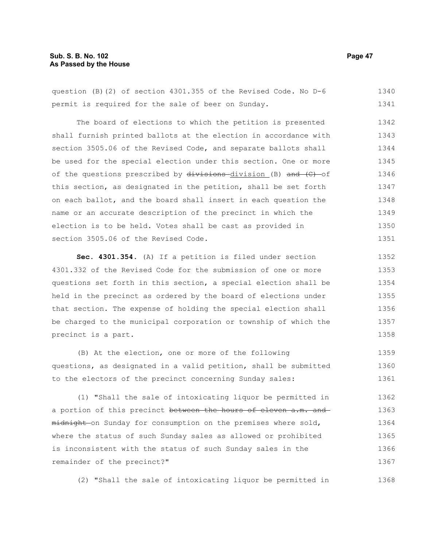# **Sub. S. B. No. 102 Page 47 As Passed by the House**

question (B)(2) of section 4301.355 of the Revised Code. No D-6 permit is required for the sale of beer on Sunday. 1340 1341

The board of elections to which the petition is presented shall furnish printed ballots at the election in accordance with section 3505.06 of the Revised Code, and separate ballots shall be used for the special election under this section. One or more of the questions prescribed by  $divisions-division$  (B) and  $(C)$  of this section, as designated in the petition, shall be set forth on each ballot, and the board shall insert in each question the name or an accurate description of the precinct in which the election is to be held. Votes shall be cast as provided in section 3505.06 of the Revised Code. 1342 1343 1344 1345 1346 1347 1348 1349 1350 1351

**Sec. 4301.354.** (A) If a petition is filed under section 4301.332 of the Revised Code for the submission of one or more questions set forth in this section, a special election shall be held in the precinct as ordered by the board of elections under that section. The expense of holding the special election shall be charged to the municipal corporation or township of which the precinct is a part. 1352 1353 1354 1355 1356 1357 1358

(B) At the election, one or more of the following questions, as designated in a valid petition, shall be submitted to the electors of the precinct concerning Sunday sales: 1359 1360 1361

(1) "Shall the sale of intoxicating liquor be permitted in a portion of this precinct between the hours of eleven a.m. and midnight on Sunday for consumption on the premises where sold, where the status of such Sunday sales as allowed or prohibited is inconsistent with the status of such Sunday sales in the remainder of the precinct?" 1362 1363 1364 1365 1366 1367

(2) "Shall the sale of intoxicating liquor be permitted in 1368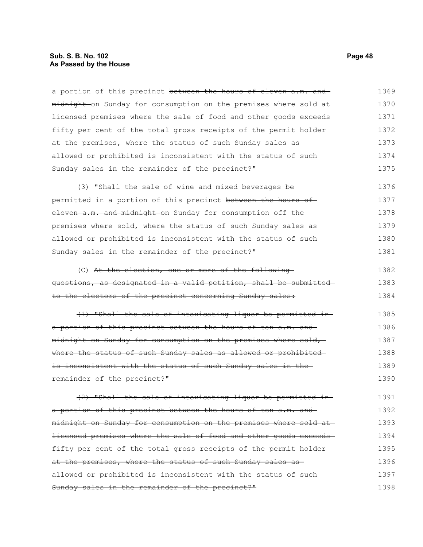### **Sub. S. B. No. 102 Page 48 As Passed by the House**

a portion of this precinct between the hours of eleven a.m. and midnight on Sunday for consumption on the premises where sold at licensed premises where the sale of food and other goods exceeds fifty per cent of the total gross receipts of the permit holder at the premises, where the status of such Sunday sales as allowed or prohibited is inconsistent with the status of such Sunday sales in the remainder of the precinct?" 1369 1370 1371 1372 1373 1374 1375

(3) "Shall the sale of wine and mixed beverages be permitted in a portion of this precinct between the hours of eleven a.m. and midnight on Sunday for consumption off the premises where sold, where the status of such Sunday sales as allowed or prohibited is inconsistent with the status of such Sunday sales in the remainder of the precinct?" 1376 1377 1378 1379 1380 1381

| (C) At the election, one or more of the following                | 1382 |
|------------------------------------------------------------------|------|
| questions, as designated in a valid petition, shall be submitted | 1383 |
| to the electors of the precinct concerning Sunday sales:         | 1384 |

| (1) "Shall the sale of intoxicating liquor be permitted in-     | 1385 |
|-----------------------------------------------------------------|------|
| a portion of this precinct between the hours of ten a.m. and    | 1386 |
| midnight on Sunday for consumption on the premises where sold,  | 1387 |
| where the status of such Sunday sales as allowed or prohibited- | 1388 |
| is inconsistent with the status of such Sunday sales in the-    | 1389 |
| remainder of the precinct?"                                     | 1390 |

(2) "Shall the sale of intoxicating liquor be permitted in a portion of this precinct between the hours of ten a.m. and midnight on Sunday for consumption on the premises where sold at licensed premises where the sale of food and other goods exceeds fifty per cent of the total gross receipts of the permit holderat the premises, where the status of such Sunday sales as allowed or prohibited is inconsistent with the status of such Sunday sales in the remainder of the precinct?" 1391 1392 1393 1394 1395 1396 1397 1398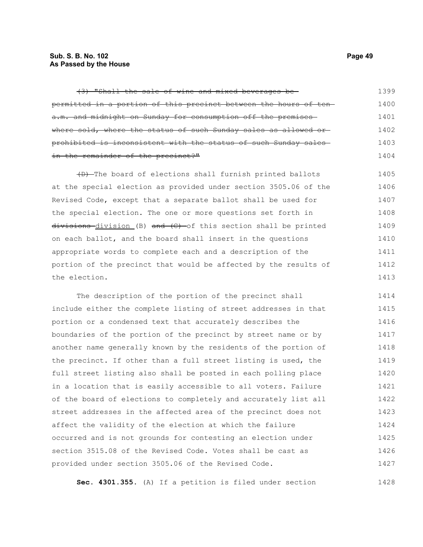#### **Sub. S. B. No. 102 Page 49 As Passed by the House**

(3) "Shall the sale of wine and mixed beverages be permitted in a portion of this precinct between the hours of ten a.m. and midnight on Sunday for consumption off the premises where sold, where the status of such Sunday sales as allowed orprohibited is inconsistent with the status of such Sunday sales in the remainder of the precinct?" 1399 1400 1401 1402 1403 1404

(D) The board of elections shall furnish printed ballots at the special election as provided under section 3505.06 of the Revised Code, except that a separate ballot shall be used for the special election. The one or more questions set forth in  $divisions-division (B) and (C) of this section shall be printed$ on each ballot, and the board shall insert in the questions appropriate words to complete each and a description of the portion of the precinct that would be affected by the results of the election. 1405 1406 1407 1408 1409 1410 1411 1412 1413

The description of the portion of the precinct shall include either the complete listing of street addresses in that portion or a condensed text that accurately describes the boundaries of the portion of the precinct by street name or by another name generally known by the residents of the portion of the precinct. If other than a full street listing is used, the full street listing also shall be posted in each polling place in a location that is easily accessible to all voters. Failure of the board of elections to completely and accurately list all street addresses in the affected area of the precinct does not affect the validity of the election at which the failure occurred and is not grounds for contesting an election under section 3515.08 of the Revised Code. Votes shall be cast as provided under section 3505.06 of the Revised Code. 1414 1415 1416 1417 1418 1419 1420 1421 1422 1423 1424 1425 1426 1427

**Sec. 4301.355.** (A) If a petition is filed under section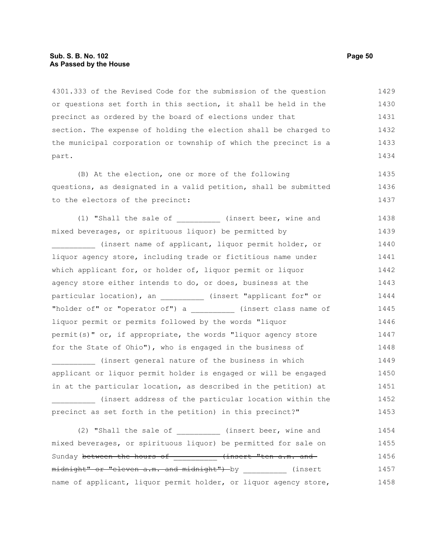#### **Sub. S. B. No. 102 Page 50 As Passed by the House**

4301.333 of the Revised Code for the submission of the question or questions set forth in this section, it shall be held in the precinct as ordered by the board of elections under that section. The expense of holding the election shall be charged to the municipal corporation or township of which the precinct is a part. 1429 1430 1431 1432 1433 1434

(B) At the election, one or more of the following questions, as designated in a valid petition, shall be submitted to the electors of the precinct: 1435 1436 1437

(1) "Shall the sale of  $($ insert beer, wine and mixed beverages, or spirituous liquor) be permitted by (insert name of applicant, liquor permit holder, or liquor agency store, including trade or fictitious name under which applicant for, or holder of, liquor permit or liquor agency store either intends to do, or does, business at the particular location), an \_\_\_\_\_\_\_\_\_\_\_ (insert "applicant for" or "holder of" or "operator of") a (insert class name of liquor permit or permits followed by the words "liquor permit(s)" or, if appropriate, the words "liquor agency store for the State of Ohio"), who is engaged in the business of (insert general nature of the business in which applicant or liquor permit holder is engaged or will be engaged in at the particular location, as described in the petition) at \_\_\_\_\_\_\_\_\_\_ (insert address of the particular location within the precinct as set forth in the petition) in this precinct?" 1438 1439 1440 1441 1442 1443 1444 1445 1446 1447 1448 1449 1450 1451 1452 1453

(2) "Shall the sale of  $($ insert beer, wine and mixed beverages, or spirituous liquor) be permitted for sale on Sunday between the hours of **Fig. 2018** (insert "ten a.m. and midnight" or "eleven a.m. and midnight") by  $(insert)$ name of applicant, liquor permit holder, or liquor agency store, 1454 1455 1456 1457 1458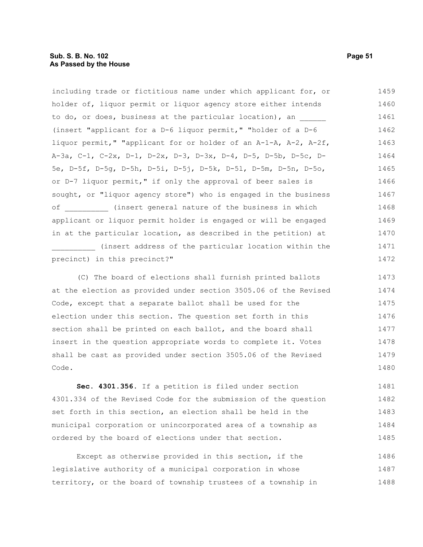including trade or fictitious name under which applicant for, or holder of, liquor permit or liquor agency store either intends to do, or does, business at the particular location), an (insert "applicant for a D-6 liquor permit," "holder of a D-6 liquor permit," "applicant for or holder of an A-1-A, A-2, A-2f, A-3a, C-1, C-2x, D-1, D-2x, D-3, D-3x, D-4, D-5, D-5b, D-5c, D-5e, D-5f, D-5g, D-5h, D-5i, D-5j, D-5k, D-5l, D-5m, D-5n, D-5o, or D-7 liquor permit," if only the approval of beer sales is sought, or "liquor agency store") who is engaged in the business of \_\_\_\_\_\_\_\_\_\_ (insert general nature of the business in which applicant or liquor permit holder is engaged or will be engaged in at the particular location, as described in the petition) at (insert address of the particular location within the precinct) in this precinct?" (C) The board of elections shall furnish printed ballots at the election as provided under section 3505.06 of the Revised 1459 1460 1461 1462 1463 1464 1465 1466 1467 1468 1469 1470 1471 1472 1473 1474 1475

Code, except that a separate ballot shall be used for the election under this section. The question set forth in this section shall be printed on each ballot, and the board shall insert in the question appropriate words to complete it. Votes shall be cast as provided under section 3505.06 of the Revised Code. 1476 1477 1478 1479 1480

**Sec. 4301.356.** If a petition is filed under section 4301.334 of the Revised Code for the submission of the question set forth in this section, an election shall be held in the municipal corporation or unincorporated area of a township as ordered by the board of elections under that section. 1481 1482 1483 1484 1485

Except as otherwise provided in this section, if the legislative authority of a municipal corporation in whose territory, or the board of township trustees of a township in 1486 1487 1488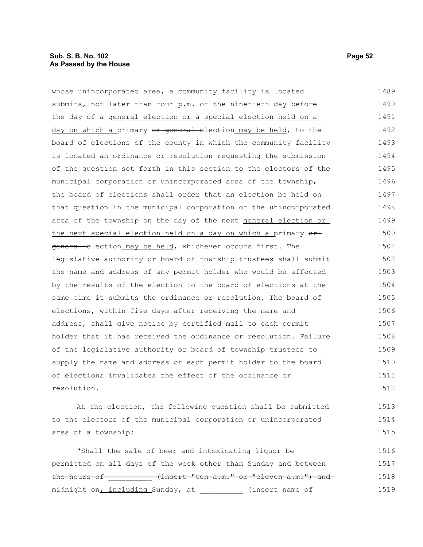## **Sub. S. B. No. 102 Page 52 As Passed by the House**

whose unincorporated area, a community facility is located submits, not later than four p.m. of the ninetieth day before the day of a general election or a special election held on a day on which a primary or general election may be held, to the board of elections of the county in which the community facility is located an ordinance or resolution requesting the submission of the question set forth in this section to the electors of the municipal corporation or unincorporated area of the township, the board of elections shall order that an election be held on that question in the municipal corporation or the unincorporated area of the township on the day of the next general election or the next special election held on a day on which a primary  $o$ rgeneral election may be held, whichever occurs first. The legislative authority or board of township trustees shall submit the name and address of any permit holder who would be affected by the results of the election to the board of elections at the same time it submits the ordinance or resolution. The board of elections, within five days after receiving the name and address, shall give notice by certified mail to each permit holder that it has received the ordinance or resolution. Failure of the legislative authority or board of township trustees to supply the name and address of each permit holder to the board of elections invalidates the effect of the ordinance or resolution. At the election, the following question shall be submitted 1489 1490 1491 1492 1493 1494 1495 1496 1497 1498 1499 1500 1501 1502 1503 1504 1505 1506 1507 1508 1509 1510 1511 1512 1513

to the electors of the municipal corporation or unincorporated area of a township: 1514 1515

"Shall the sale of beer and intoxicating liquor be permitted on all days of the week-other than Sunday and betweenthe hours of \_\_\_\_\_\_\_\_\_\_\_\_ (insert "ten a.m." or "eleven a.m.") and midnight on, including Sunday, at (insert name of 1516 1517 1518 1519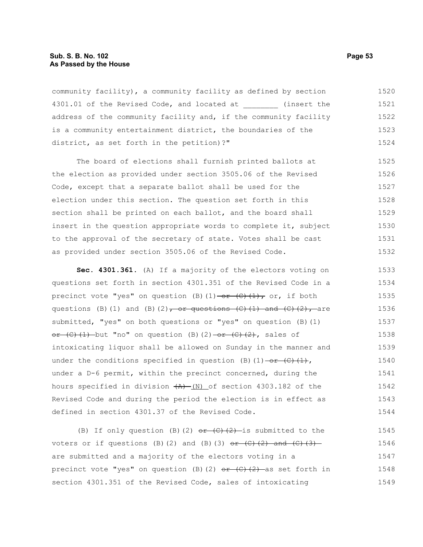### **Sub. S. B. No. 102 Page 53 As Passed by the House**

community facility), a community facility as defined by section 4301.01 of the Revised Code, and located at (insert the address of the community facility and, if the community facility is a community entertainment district, the boundaries of the district, as set forth in the petition)?" 1520 1521 1522 1523 1524

The board of elections shall furnish printed ballots at the election as provided under section 3505.06 of the Revised Code, except that a separate ballot shall be used for the election under this section. The question set forth in this section shall be printed on each ballot, and the board shall insert in the question appropriate words to complete it, subject to the approval of the secretary of state. Votes shall be cast as provided under section 3505.06 of the Revised Code. 1525 1526 1527 1528 1529 1530 1531 1532

**Sec. 4301.361.** (A) If a majority of the electors voting on questions set forth in section 4301.351 of the Revised Code in a precinct vote "yes" on question (B)(1)  $-$ or (C)(1), or, if both questions (B)(1) and (B)(2), or questions  $(C)$  (1) and  $(C)$  (2), are submitted, "yes" on both questions or "yes" on question (B)(1) or  $(C)$   $(1)$  but "no" on question (B)(2) -or  $(C)$   $(2)$ , sales of intoxicating liquor shall be allowed on Sunday in the manner and under the conditions specified in question (B)(1) -or  $(C)$  (1), under a D-6 permit, within the precinct concerned, during the hours specified in division  $(A)$  (N) of section 4303.182 of the Revised Code and during the period the election is in effect as defined in section 4301.37 of the Revised Code. 1533 1534 1535 1536 1537 1538 1539 1540 1541 1542 1543 1544

(B) If only question (B)(2)  $\theta$  + (C)(2) is submitted to the voters or if questions (B)(2) and (B)(3)  $\theta$   $\theta$  + (C)(2) and (C)(3) are submitted and a majority of the electors voting in a precinct vote "yes" on question (B)(2)  $\sigma$   $\rightarrow$   $(C)$   $(2)$  as set forth in section 4301.351 of the Revised Code, sales of intoxicating 1545 1546 1547 1548 1549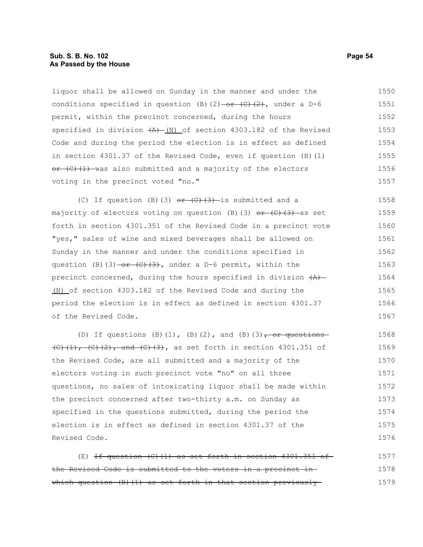liquor shall be allowed on Sunday in the manner and under the conditions specified in question (B)(2)  $-6$  (C)(2), under a D-6 permit, within the precinct concerned, during the hours specified in division  $(A)$  (N) of section 4303.182 of the Revised Code and during the period the election is in effect as defined in section 4301.37 of the Revised Code, even if question (B)(1)  $e^{i}$   $\left($   $\epsilon$  $\right)$   $\left($   $\pm$   $\right)$  was also submitted and a majority of the electors voting in the precinct voted "no." 1550 1551 1552 1553 1554 1555 1556 1557

(C) If question (B)(3)  $or$   $(C)$   $(3)$  is submitted and a majority of electors voting on question (B)(3)  $\theta$  (C)(3) as set forth in section 4301.351 of the Revised Code in a precinct vote "yes," sales of wine and mixed beverages shall be allowed on Sunday in the manner and under the conditions specified in question (B)(3)  $-$ or (C)(3), under a D-6 permit, within the precinct concerned, during the hours specified in division  $(A)$ -(N) of section 4303.182 of the Revised Code and during the period the election is in effect as defined in section 4301.37 of the Revised Code. 1558 1559 1560 1561 1562 1563 1564 1565 1566 1567

(D) If questions (B)(1), (B)(2), and (B)(3), or questions  $(C)$ (1), (C)(2), and (C)(3), as set forth in section 4301.351 of the Revised Code, are all submitted and a majority of the electors voting in such precinct vote "no" on all three questions, no sales of intoxicating liquor shall be made within the precinct concerned after two-thirty a.m. on Sunday as specified in the questions submitted, during the period the election is in effect as defined in section 4301.37 of the Revised Code. 1568 1569 1570 1571 1572 1573 1574 1575 1576

 $(E)$  If question  $(C)$  (1) as set forth in section 4301.351 ofthe Revised Code is submitted to the voters in a precinct in which question (B)(1) as set forth in that section previously 1577 1578 1579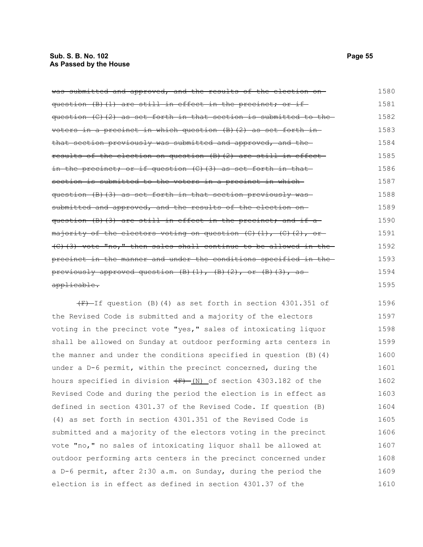| was submitted and approved, and the results of the election on-              | 1580 |
|------------------------------------------------------------------------------|------|
| question (B)(1) are still in effect in the precinct; or if-                  | 1581 |
| question (C)(2) as set forth in that section is submitted to the             | 1582 |
| voters in a precinct in which question (B) (2) as set forth in-              | 1583 |
| that section previously was submitted and approved, and the-                 | 1584 |
| results of the election on question (B) (2) are still in effect-             | 1585 |
| in the precinct; or if question (C) (3) as set forth in that                 | 1586 |
| section is submitted to the voters in a precinct in which-                   | 1587 |
| question (B)(3) as set forth in that section previously was                  | 1588 |
| submitted and approved, and the results of the election on-                  | 1589 |
| question (B)(3) are still in effect in the precinct; and if a                | 1590 |
| majority of the electors voting on question $(C)$ $(1)$ , $(C)$ $(2)$ , or-  | 1591 |
| (C)(3) vote "no," then sales shall continue to be allowed in the             | 1592 |
| precinct in the manner and under the conditions specified in the             | 1593 |
| previously approved question $(B)$ $(1)$ , $(B)$ $(2)$ , or $(B)$ $(3)$ , as | 1594 |
| applicable.                                                                  | 1595 |

 $(F)$ -If question (B)(4) as set forth in section 4301.351 of the Revised Code is submitted and a majority of the electors voting in the precinct vote "yes," sales of intoxicating liquor shall be allowed on Sunday at outdoor performing arts centers in the manner and under the conditions specified in question (B)(4) under a D-6 permit, within the precinct concerned, during the hours specified in division  $(F)$  (N) of section 4303.182 of the Revised Code and during the period the election is in effect as defined in section 4301.37 of the Revised Code. If question (B) (4) as set forth in section 4301.351 of the Revised Code is submitted and a majority of the electors voting in the precinct vote "no," no sales of intoxicating liquor shall be allowed at outdoor performing arts centers in the precinct concerned under a D-6 permit, after 2:30 a.m. on Sunday, during the period the election is in effect as defined in section 4301.37 of the 1596 1597 1598 1599 1600 1601 1602 1603 1604 1605 1606 1607 1608 1609 1610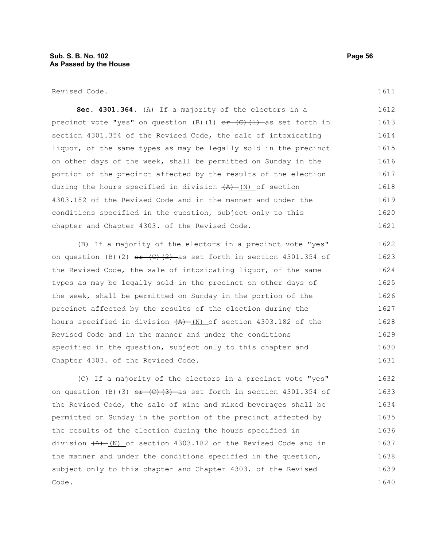Revised Code.

**Sec. 4301.364.** (A) If a majority of the electors in a precinct vote "yes" on question (B)(1)  $\theta$ r (C)(1) as set forth in section 4301.354 of the Revised Code, the sale of intoxicating liquor, of the same types as may be legally sold in the precinct on other days of the week, shall be permitted on Sunday in the portion of the precinct affected by the results of the election during the hours specified in division  $(A)$  (N) of section 4303.182 of the Revised Code and in the manner and under the conditions specified in the question, subject only to this chapter and Chapter 4303. of the Revised Code. 1612 1613 1614 1615 1616 1617 1618 1619 1620 1621

(B) If a majority of the electors in a precinct vote "yes" on question (B)(2)  $e^2 + (c^2)^2$  as set forth in section 4301.354 of the Revised Code, the sale of intoxicating liquor, of the same types as may be legally sold in the precinct on other days of the week, shall be permitted on Sunday in the portion of the precinct affected by the results of the election during the hours specified in division  $(A)$  (N) of section 4303.182 of the Revised Code and in the manner and under the conditions specified in the question, subject only to this chapter and Chapter 4303. of the Revised Code. 1622 1623 1624 1625 1626 1627 1628 1629 1630 1631

(C) If a majority of the electors in a precinct vote "yes" on question (B)(3)  $e^+$  (C)(3) as set forth in section 4301.354 of the Revised Code, the sale of wine and mixed beverages shall be permitted on Sunday in the portion of the precinct affected by the results of the election during the hours specified in division  $(A)$  (N) of section 4303.182 of the Revised Code and in the manner and under the conditions specified in the question, subject only to this chapter and Chapter 4303. of the Revised Code. 1632 1633 1634 1635 1636 1637 1638 1639 1640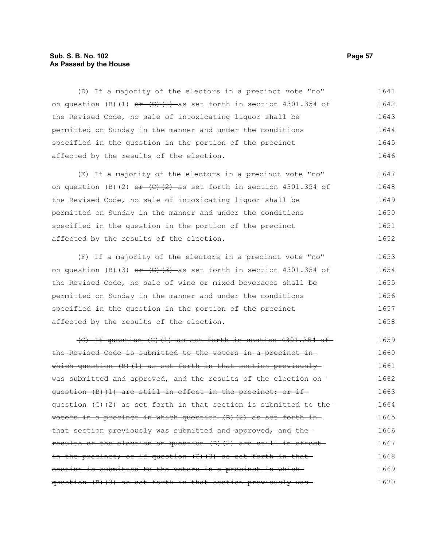# **Sub. S. B. No. 102 Page 57 As Passed by the House**

(D) If a majority of the electors in a precinct vote "no" on question (B)(1)  $\theta$  + (C)(1) as set forth in section 4301.354 of the Revised Code, no sale of intoxicating liquor shall be permitted on Sunday in the manner and under the conditions specified in the question in the portion of the precinct affected by the results of the election. 1641 1642 1643 1644 1645 1646

(E) If a majority of the electors in a precinct vote "no" on question (B)(2)  $\theta$  + (C)(2) as set forth in section 4301.354 of the Revised Code, no sale of intoxicating liquor shall be permitted on Sunday in the manner and under the conditions specified in the question in the portion of the precinct affected by the results of the election. 1647 1648 1649 1650 1651 1652

(F) If a majority of the electors in a precinct vote "no" on question (B)(3)  $e^2 + (c^2 + 3)$  as set forth in section 4301.354 of the Revised Code, no sale of wine or mixed beverages shall be permitted on Sunday in the manner and under the conditions specified in the question in the portion of the precinct affected by the results of the election. 1653 1654 1655 1656 1657 1658

(G) If question (C)(1) as set forth in section 4301.354 of the Revised Code is submitted to the voters in a precinct in which question (B)(1) as set forth in that section previously was submitted and approved, and the results of the election onquestion (B)(1) are still in effect in the precinct; or ifquestion (C)(2) as set forth in that section is submitted to the voters in a precinct in which question (B)(2) as set forth in that section previously was submitted and approved, and the results of the election on question (B)(2) are still in effect in the precinct; or if question (C)(3) as set forth in that section is submitted to the voters in a precinct in which question (B)(3) as set forth in that section previously was 1659 1660 1661 1662 1663 1664 1665 1666 1667 1668 1669 1670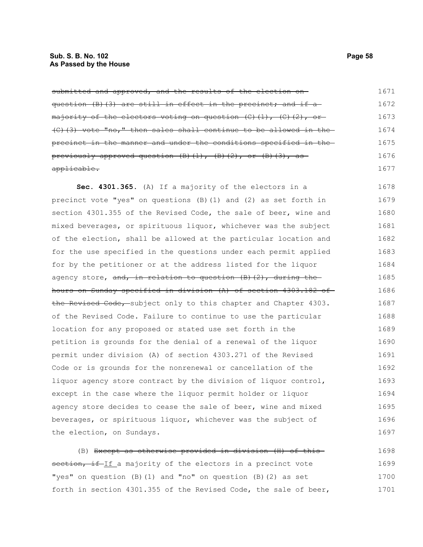submitted and approved, and the results of the election onquestion (B)(3) are still in effect in the precinct; and if a majority of the electors voting on question  $(C)$   $(1)$ ,  $(C)$   $(2)$ , or (C)(3) vote "no," then sales shall continue to be allowed in the precinct in the manner and under the conditions specified in the previously approved question (B)(1), (B)(2), or (B)(3), asapplicable. 1671 1672 1673 1674 1675 1676 1677

**Sec. 4301.365.** (A) If a majority of the electors in a precinct vote "yes" on questions (B)(1) and (2) as set forth in section 4301.355 of the Revised Code, the sale of beer, wine and mixed beverages, or spirituous liquor, whichever was the subject of the election, shall be allowed at the particular location and for the use specified in the questions under each permit applied for by the petitioner or at the address listed for the liquor agency store, and, in relation to question  $(B)$  (2), during the hours on Sunday specified in division (A) of section 4303.182 of the Revised Code, subject only to this chapter and Chapter 4303. of the Revised Code. Failure to continue to use the particular location for any proposed or stated use set forth in the petition is grounds for the denial of a renewal of the liquor permit under division (A) of section 4303.271 of the Revised Code or is grounds for the nonrenewal or cancellation of the liquor agency store contract by the division of liquor control, except in the case where the liquor permit holder or liquor agency store decides to cease the sale of beer, wine and mixed beverages, or spirituous liquor, whichever was the subject of the election, on Sundays. 1678 1679 1680 1681 1682 1683 1684 1685 1686 1687 1688 1689 1690 1691 1692 1693 1694 1695 1696 1697

(B) Except as otherwise provided in division (H) of this section, if If a majority of the electors in a precinct vote "yes" on question (B)(1) and "no" on question (B)(2) as set forth in section 4301.355 of the Revised Code, the sale of beer, 1698 1699 1700 1701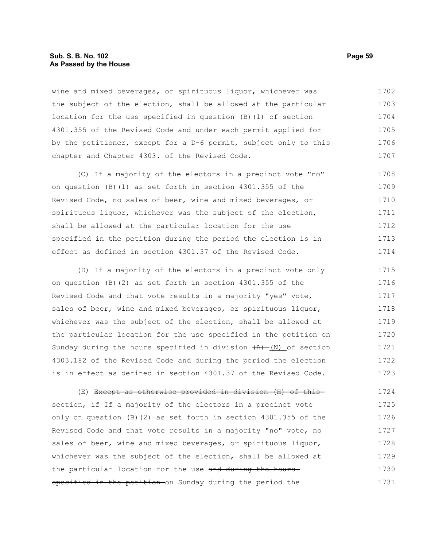### **Sub. S. B. No. 102 Page 59 As Passed by the House**

wine and mixed beverages, or spirituous liquor, whichever was the subject of the election, shall be allowed at the particular location for the use specified in question (B)(1) of section 4301.355 of the Revised Code and under each permit applied for by the petitioner, except for a D-6 permit, subject only to this chapter and Chapter 4303. of the Revised Code. 1702 1703 1704 1705 1706 1707

(C) If a majority of the electors in a precinct vote "no" on question (B)(1) as set forth in section 4301.355 of the Revised Code, no sales of beer, wine and mixed beverages, or spirituous liquor, whichever was the subject of the election, shall be allowed at the particular location for the use specified in the petition during the period the election is in effect as defined in section 4301.37 of the Revised Code. 1708 1709 1710 1711 1712 1713 1714

(D) If a majority of the electors in a precinct vote only on question (B)(2) as set forth in section 4301.355 of the Revised Code and that vote results in a majority "yes" vote, sales of beer, wine and mixed beverages, or spirituous liquor, whichever was the subject of the election, shall be allowed at the particular location for the use specified in the petition on Sunday during the hours specified in division  $(A)$  (N) of section 4303.182 of the Revised Code and during the period the election is in effect as defined in section 4301.37 of the Revised Code. 1715 1716 1717 1718 1719 1720 1721 1722 1723

(E) Except as otherwise provided in division (H) of this section, if If a majority of the electors in a precinct vote only on question (B)(2) as set forth in section 4301.355 of the Revised Code and that vote results in a majority "no" vote, no sales of beer, wine and mixed beverages, or spirituous liquor, whichever was the subject of the election, shall be allowed at the particular location for the use and during the hoursspecified in the petition-on Sunday during the period the 1724 1725 1726 1727 1728 1729 1730 1731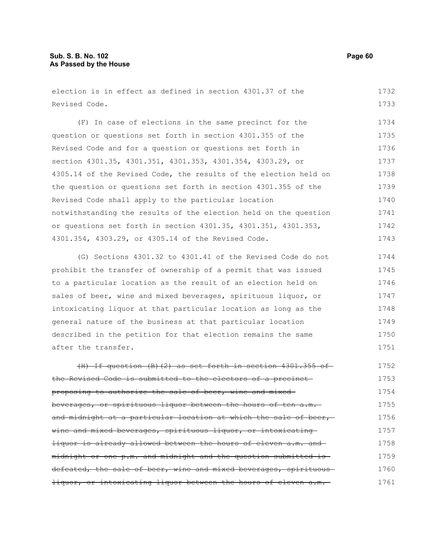election is in effect as defined in section 4301.37 of the Revised Code. 1732 1733

(F) In case of elections in the same precinct for the question or questions set forth in section 4301.355 of the Revised Code and for a question or questions set forth in section 4301.35, 4301.351, 4301.353, 4301.354, 4303.29, or 4305.14 of the Revised Code, the results of the election held on the question or questions set forth in section 4301.355 of the Revised Code shall apply to the particular location notwithstanding the results of the election held on the question or questions set forth in section 4301.35, 4301.351, 4301.353, 4301.354, 4303.29, or 4305.14 of the Revised Code. 1734 1735 1736 1737 1738 1739 1740 1741 1742 1743

(G) Sections 4301.32 to 4301.41 of the Revised Code do not prohibit the transfer of ownership of a permit that was issued to a particular location as the result of an election held on sales of beer, wine and mixed beverages, spirituous liquor, or intoxicating liquor at that particular location as long as the general nature of the business at that particular location described in the petition for that election remains the same after the transfer. 1744 1745 1746 1747 1748 1749 1750 1751

(H) If question (B)(2) as set forth in section 4301.355 of the Revised Code is submitted to the electors of a precinct proposing to authorize the sale of beer, wine and mixed beverages, or spirituous liquor between the hours of ten a.m. and midnight at a particular location at which the sale of beer, wine and mixed beverages, spirituous liquor, or intoxicating liquor is already allowed between the hours of eleven a.m. and midnight or one p.m. and midnight and the question submitted is defeated, the sale of beer, wine and mixed beverages, spirituous liquor, or intoxicating liquor between the hours of eleven a.m. 1752 1753 1754 1755 1756 1757 1758 1759 1760 1761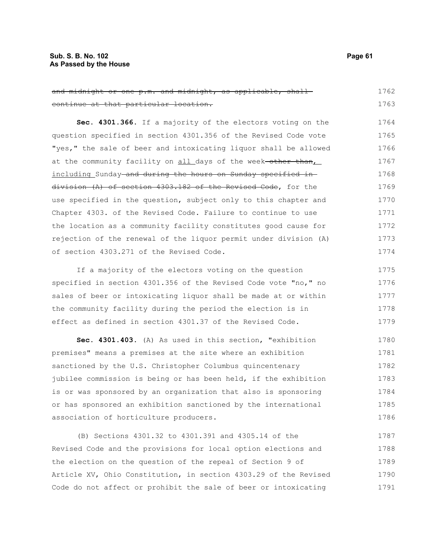continue at that particular location.

**Sec. 4301.366.** If a majority of the electors voting on the question specified in section 4301.356 of the Revised Code vote "yes," the sale of beer and intoxicating liquor shall be allowed at the community facility on all days of the week-other than, including Sunday and during the hours on Sunday specified in division (A) of section 4303.182 of the Revised Code, for the use specified in the question, subject only to this chapter and Chapter 4303. of the Revised Code. Failure to continue to use the location as a community facility constitutes good cause for rejection of the renewal of the liquor permit under division (A) of section 4303.271 of the Revised Code. 1764 1765 1766 1767 1768 1769 1770 1771 1772 1773 1774

If a majority of the electors voting on the question specified in section 4301.356 of the Revised Code vote "no," no sales of beer or intoxicating liquor shall be made at or within the community facility during the period the election is in effect as defined in section 4301.37 of the Revised Code. 1775 1776 1777 1778 1779

**Sec. 4301.403.** (A) As used in this section, "exhibition premises" means a premises at the site where an exhibition sanctioned by the U.S. Christopher Columbus quincentenary jubilee commission is being or has been held, if the exhibition is or was sponsored by an organization that also is sponsoring or has sponsored an exhibition sanctioned by the international association of horticulture producers. 1780 1781 1782 1783 1784 1785 1786

(B) Sections 4301.32 to 4301.391 and 4305.14 of the Revised Code and the provisions for local option elections and the election on the question of the repeal of Section 9 of Article XV, Ohio Constitution, in section 4303.29 of the Revised Code do not affect or prohibit the sale of beer or intoxicating 1787 1788 1789 1790 1791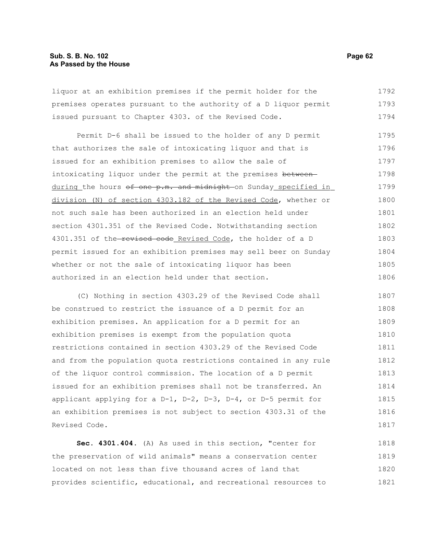liquor at an exhibition premises if the permit holder for the premises operates pursuant to the authority of a D liquor permit issued pursuant to Chapter 4303. of the Revised Code. 1792 1793 1794

Permit D-6 shall be issued to the holder of any D permit that authorizes the sale of intoxicating liquor and that is issued for an exhibition premises to allow the sale of intoxicating liquor under the permit at the premises betweenduring the hours of one p.m. and midnight on Sunday specified in division (N) of section 4303.182 of the Revised Code, whether or not such sale has been authorized in an election held under section 4301.351 of the Revised Code. Notwithstanding section 4301.351 of the-revised code Revised Code, the holder of a D permit issued for an exhibition premises may sell beer on Sunday whether or not the sale of intoxicating liquor has been authorized in an election held under that section. 1795 1796 1797 1798 1799 1800 1801 1802 1803 1804 1805 1806

(C) Nothing in section 4303.29 of the Revised Code shall be construed to restrict the issuance of a D permit for an exhibition premises. An application for a D permit for an exhibition premises is exempt from the population quota restrictions contained in section 4303.29 of the Revised Code and from the population quota restrictions contained in any rule of the liquor control commission. The location of a D permit issued for an exhibition premises shall not be transferred. An applicant applying for a  $D-1$ ,  $D-2$ ,  $D-3$ ,  $D-4$ , or  $D-5$  permit for an exhibition premises is not subject to section 4303.31 of the Revised Code. 1807 1808 1809 1810 1811 1812 1813 1814 1815 1816 1817

**Sec. 4301.404.** (A) As used in this section, "center for the preservation of wild animals" means a conservation center located on not less than five thousand acres of land that provides scientific, educational, and recreational resources to 1818 1819 1820 1821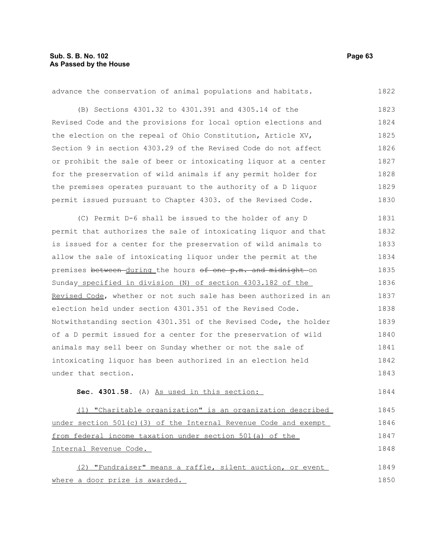advance the conservation of animal populations and habitats. (B) Sections 4301.32 to 4301.391 and 4305.14 of the Revised Code and the provisions for local option elections and the election on the repeal of Ohio Constitution, Article XV, Section 9 in section 4303.29 of the Revised Code do not affect or prohibit the sale of beer or intoxicating liquor at a center for the preservation of wild animals if any permit holder for the premises operates pursuant to the authority of a D liquor permit issued pursuant to Chapter 4303. of the Revised Code. (C) Permit D-6 shall be issued to the holder of any D permit that authorizes the sale of intoxicating liquor and that 1823 1824 1825 1826 1827 1828 1829 1830 1831 1832

is issued for a center for the preservation of wild animals to allow the sale of intoxicating liquor under the permit at the premises between during the hours of one p.m. and midnight on Sunday specified in division (N) of section 4303.182 of the Revised Code, whether or not such sale has been authorized in an election held under section 4301.351 of the Revised Code. Notwithstanding section 4301.351 of the Revised Code, the holder of a D permit issued for a center for the preservation of wild animals may sell beer on Sunday whether or not the sale of intoxicating liquor has been authorized in an election held under that section. 1833 1834 1835 1836 1837 1838 1839 1840 1841 1842 1843

**Sec. 4301.58.** (A) As used in this section: 1844

| (1) "Charitable organization" is an organization described         | 1845 |
|--------------------------------------------------------------------|------|
| under section $501(c)$ (3) of the Internal Revenue Code and exempt | 1846 |
| from federal income taxation under section 501(a) of the           | 1847 |
| Internal Revenue Code.                                             | 1848 |
|                                                                    |      |

(2) "Fundraiser" means a raffle, silent auction, or event where a door prize is awarded. 1849 1850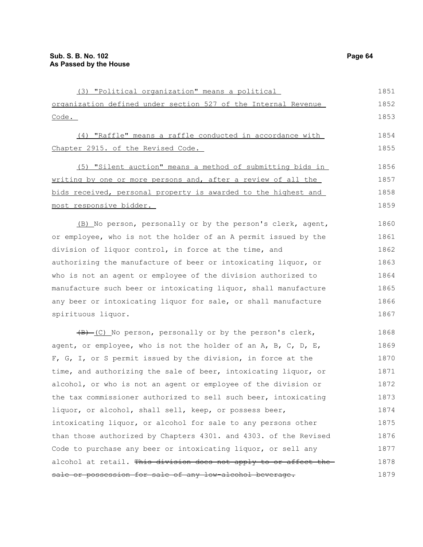organization defined under section 527 of the Internal Revenue Code. (4) "Raffle" means a raffle conducted in accordance with Chapter 2915. of the Revised Code. (5) "Silent auction" means a method of submitting bids in writing by one or more persons and, after a review of all the bids received, personal property is awarded to the highest and most responsive bidder. (B) No person, personally or by the person's clerk, agent, or employee, who is not the holder of an A permit issued by the division of liquor control, in force at the time, and authorizing the manufacture of beer or intoxicating liquor, or who is not an agent or employee of the division authorized to manufacture such beer or intoxicating liquor, shall manufacture any beer or intoxicating liquor for sale, or shall manufacture spirituous liquor. 1852 1853 1854 1855 1856 1857 1858 1859 1860 1861 1862 1863 1864 1865 1866 1867

(3) "Political organization" means a political

 $(B)$  (C) No person, personally or by the person's clerk, agent, or employee, who is not the holder of an A, B, C, D, E, F, G, I, or S permit issued by the division, in force at the time, and authorizing the sale of beer, intoxicating liquor, or alcohol, or who is not an agent or employee of the division or the tax commissioner authorized to sell such beer, intoxicating liquor, or alcohol, shall sell, keep, or possess beer, intoxicating liquor, or alcohol for sale to any persons other than those authorized by Chapters 4301. and 4303. of the Revised Code to purchase any beer or intoxicating liquor, or sell any alcohol at retail. This division does not apply to or affect the sale or possession for sale of any low-alcohol beverage. 1868 1869 1870 1871 1872 1873 1874 1875 1876 1877 1878 1879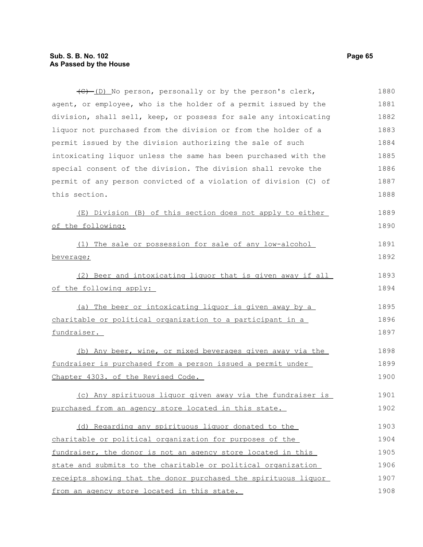# **Sub. S. B. No. 102 Page 65 As Passed by the House**

 $\overline{(C) - (D)}$  No person, personally or by the person's clerk, agent, or employee, who is the holder of a permit issued by the division, shall sell, keep, or possess for sale any intoxicating liquor not purchased from the division or from the holder of a permit issued by the division authorizing the sale of such intoxicating liquor unless the same has been purchased with the special consent of the division. The division shall revoke the permit of any person convicted of a violation of division (C) of this section. (E) Division (B) of this section does not apply to either of the following: (1) The sale or possession for sale of any low-alcohol beverage; (2) Beer and intoxicating liquor that is given away if all of the following apply: (a) The beer or intoxicating liquor is given away by a charitable or political organization to a participant in a fundraiser. (b) Any beer, wine, or mixed beverages given away via the fundraiser is purchased from a person issued a permit under Chapter 4303. of the Revised Code. (c) Any spirituous liquor given away via the fundraiser is purchased from an agency store located in this state. (d) Regarding any spirituous liquor donated to the charitable or political organization for purposes of the fundraiser, the donor is not an agency store located in this state and submits to the charitable or political organization receipts showing that the donor purchased the spirituous liquor from an agency store located in this state. 1880 1881 1882 1883 1884 1885 1886 1887 1888 1889 1890 1891 1892 1893 1894 1895 1896 1897 1898 1899 1900 1901 1902 1903 1904 1905 1906 1907 1908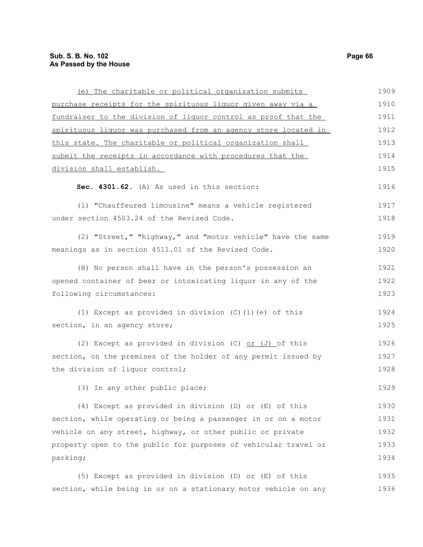| (e) The charitable or political organization submits            | 1909 |
|-----------------------------------------------------------------|------|
| purchase receipts for the spirituous liquor given away via a    | 1910 |
| fundraiser to the division of liquor control as proof that the  | 1911 |
| spirituous liquor was purchased from an agency store located in | 1912 |
| this state. The charitable or political organization shall      | 1913 |
| submit the receipts in accordance with procedures that the      | 1914 |
| division shall establish.                                       | 1915 |
| Sec. 4301.62. (A) As used in this section:                      | 1916 |
| (1) "Chauffeured limousine" means a vehicle registered          | 1917 |
| under section 4503.24 of the Revised Code.                      | 1918 |
| (2) "Street," "highway," and "motor vehicle" have the same      | 1919 |
| meanings as in section 4511.01 of the Revised Code.             | 1920 |
| (B) No person shall have in the person's possession an          | 1921 |
| opened container of beer or intoxicating liquor in any of the   | 1922 |
| following circumstances:                                        | 1923 |
| (1) Except as provided in division (C) (1) (e) of this          | 1924 |
| section, in an agency store;                                    | 1925 |
| (2) Except as provided in division (C) $or$ (J) of this         | 1926 |
| section, on the premises of the holder of any permit issued by  | 1927 |
| the division of liquor control;                                 | 1928 |
| (3) In any other public place;                                  | 1929 |
| (4) Except as provided in division (D) or (E) of this           | 1930 |
| section, while operating or being a passenger in or on a motor  | 1931 |
| vehicle on any street, highway, or other public or private      | 1932 |
| property open to the public for purposes of vehicular travel or | 1933 |
| parking;                                                        | 1934 |
| (5) Except as provided in division (D) or (E) of this           | 1935 |
| section, while being in or on a stationary motor vehicle on any | 1936 |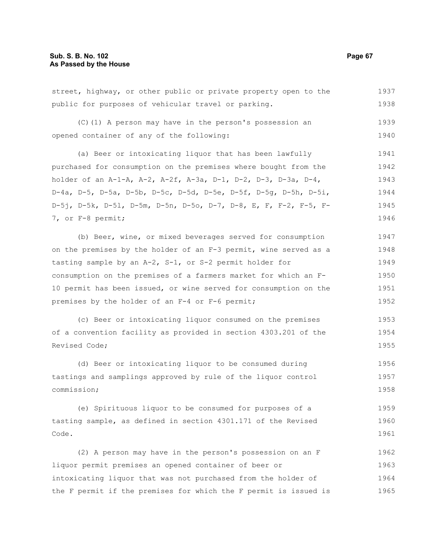street, highway, or other public or private property open to the public for purposes of vehicular travel or parking. 1937 1938

(C)(1) A person may have in the person's possession an opened container of any of the following: 1939 1940

(a) Beer or intoxicating liquor that has been lawfully purchased for consumption on the premises where bought from the holder of an A-1-A, A-2, A-2f, A-3a, D-1, D-2, D-3, D-3a, D-4, D-4a, D-5, D-5a, D-5b, D-5c, D-5d, D-5e, D-5f, D-5g, D-5h, D-5i, D-5j, D-5k, D-5l, D-5m, D-5n, D-5o, D-7, D-8, E, F, F-2, F-5, F-7, or F-8 permit; 1941 1942 1943 1944 1945 1946

(b) Beer, wine, or mixed beverages served for consumption on the premises by the holder of an F-3 permit, wine served as a tasting sample by an A-2, S-1, or S-2 permit holder for consumption on the premises of a farmers market for which an F-10 permit has been issued, or wine served for consumption on the premises by the holder of an F-4 or F-6 permit; 1947 1948 1949 1950 1951 1952

(c) Beer or intoxicating liquor consumed on the premises of a convention facility as provided in section 4303.201 of the Revised Code; 1953 1954 1955

(d) Beer or intoxicating liquor to be consumed during tastings and samplings approved by rule of the liquor control commission; 1956 1957 1958

(e) Spirituous liquor to be consumed for purposes of a tasting sample, as defined in section 4301.171 of the Revised Code. 1959 1960 1961

(2) A person may have in the person's possession on an F liquor permit premises an opened container of beer or intoxicating liquor that was not purchased from the holder of the F permit if the premises for which the F permit is issued is 1962 1963 1964 1965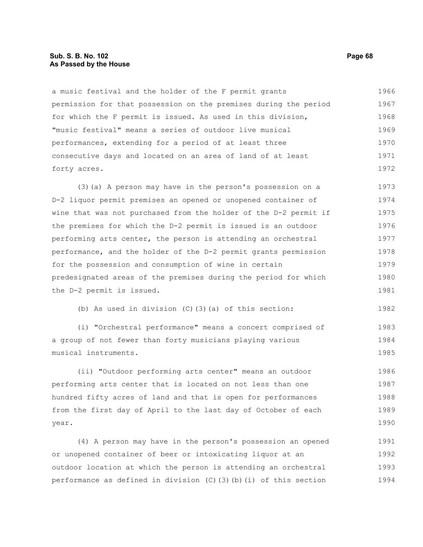## **Sub. S. B. No. 102 Page 68 As Passed by the House**

a music festival and the holder of the F permit grants permission for that possession on the premises during the period for which the F permit is issued. As used in this division, "music festival" means a series of outdoor live musical performances, extending for a period of at least three consecutive days and located on an area of land of at least forty acres. 1966 1967 1968 1969 1970 1971 1972

(3)(a) A person may have in the person's possession on a D-2 liquor permit premises an opened or unopened container of wine that was not purchased from the holder of the D-2 permit if the premises for which the D-2 permit is issued is an outdoor performing arts center, the person is attending an orchestral performance, and the holder of the D-2 permit grants permission for the possession and consumption of wine in certain predesignated areas of the premises during the period for which the D-2 permit is issued. 1973 1974 1975 1976 1977 1978 1979 1980 1981

(b) As used in division (C)(3)(a) of this section:

(i) "Orchestral performance" means a concert comprised of a group of not fewer than forty musicians playing various musical instruments. 1983 1984 1985

(ii) "Outdoor performing arts center" means an outdoor performing arts center that is located on not less than one hundred fifty acres of land and that is open for performances from the first day of April to the last day of October of each year. 1986 1987 1988 1989 1990

(4) A person may have in the person's possession an opened or unopened container of beer or intoxicating liquor at an outdoor location at which the person is attending an orchestral performance as defined in division  $(C)$  (3)(b)(i) of this section 1991 1992 1993 1994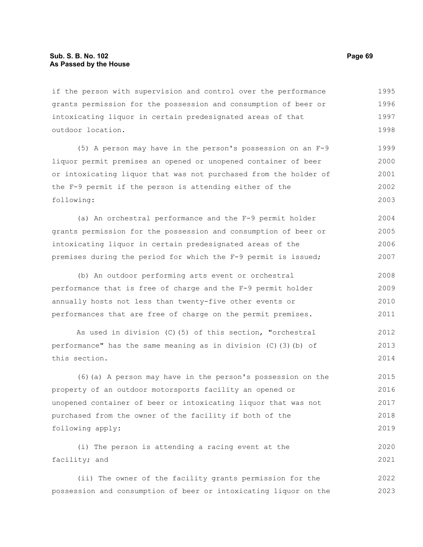if the person with supervision and control over the performance grants permission for the possession and consumption of beer or intoxicating liquor in certain predesignated areas of that outdoor location. 1995 1996 1997 1998

(5) A person may have in the person's possession on an F-9 liquor permit premises an opened or unopened container of beer or intoxicating liquor that was not purchased from the holder of the F-9 permit if the person is attending either of the following: 1999 2000 2001 2002 2003

(a) An orchestral performance and the F-9 permit holder grants permission for the possession and consumption of beer or intoxicating liquor in certain predesignated areas of the premises during the period for which the F-9 permit is issued; 2004 2005 2006 2007

(b) An outdoor performing arts event or orchestral performance that is free of charge and the F-9 permit holder annually hosts not less than twenty-five other events or performances that are free of charge on the permit premises. 2008 2009 2010 2011

As used in division (C)(5) of this section, "orchestral performance" has the same meaning as in division (C)(3)(b) of this section. 2012 2013 2014

(6)(a) A person may have in the person's possession on the property of an outdoor motorsports facility an opened or unopened container of beer or intoxicating liquor that was not purchased from the owner of the facility if both of the following apply: 2015 2016 2017 2018 2019

(i) The person is attending a racing event at the facility; and 2020 2021

(ii) The owner of the facility grants permission for the possession and consumption of beer or intoxicating liquor on the 2022 2023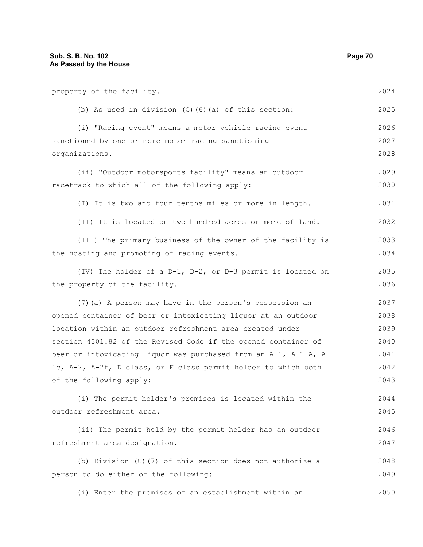property of the facility.

(b) As used in division (C)(6)(a) of this section: (i) "Racing event" means a motor vehicle racing event sanctioned by one or more motor racing sanctioning organizations. (ii) "Outdoor motorsports facility" means an outdoor racetrack to which all of the following apply: (I) It is two and four-tenths miles or more in length. (II) It is located on two hundred acres or more of land. (III) The primary business of the owner of the facility is the hosting and promoting of racing events. (IV) The holder of a D-1, D-2, or D-3 permit is located on the property of the facility. (7)(a) A person may have in the person's possession an opened container of beer or intoxicating liquor at an outdoor location within an outdoor refreshment area created under section 4301.82 of the Revised Code if the opened container of beer or intoxicating liquor was purchased from an A-1, A-1-A, A-1c, A-2, A-2f, D class, or F class permit holder to which both of the following apply: 2025 2026 2027 2028 2029 2030 2031 2032 2033 2034 2035 2036 2037 2038 2039 2040 2041 2042 2043

(i) The permit holder's premises is located within the outdoor refreshment area. 2044 2045

(ii) The permit held by the permit holder has an outdoor refreshment area designation. 2046 2047

(b) Division (C)(7) of this section does not authorize a person to do either of the following: 2048 2049

(i) Enter the premises of an establishment within an

2024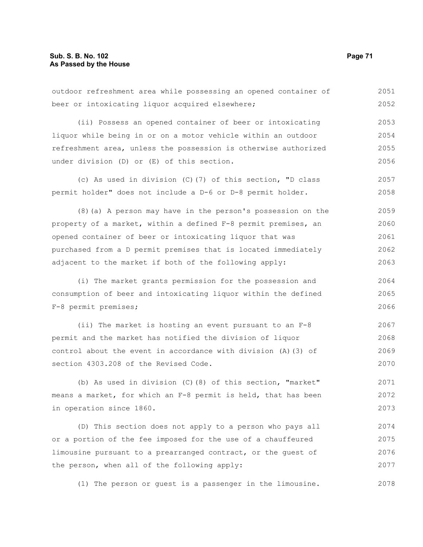outdoor refreshment area while possessing an opened container of beer or intoxicating liquor acquired elsewhere; (ii) Possess an opened container of beer or intoxicating liquor while being in or on a motor vehicle within an outdoor refreshment area, unless the possession is otherwise authorized under division (D) or (E) of this section. (c) As used in division (C)(7) of this section, "D class permit holder" does not include a D-6 or D-8 permit holder. (8)(a) A person may have in the person's possession on the property of a market, within a defined F-8 permit premises, an opened container of beer or intoxicating liquor that was purchased from a D permit premises that is located immediately adjacent to the market if both of the following apply: (i) The market grants permission for the possession and consumption of beer and intoxicating liquor within the defined F-8 permit premises; (ii) The market is hosting an event pursuant to an F-8 permit and the market has notified the division of liquor control about the event in accordance with division (A)(3) of section 4303.208 of the Revised Code. 2051 2052 2053 2054 2055 2056 2057 2058 2059 2060 2061 2062 2063 2064 2065 2066 2067 2068 2069 2070

(b) As used in division (C)(8) of this section, "market" means a market, for which an F-8 permit is held, that has been in operation since 1860. 2071 2072 2073

(D) This section does not apply to a person who pays all or a portion of the fee imposed for the use of a chauffeured limousine pursuant to a prearranged contract, or the guest of the person, when all of the following apply: 2074 2075 2076 2077

(1) The person or guest is a passenger in the limousine. 2078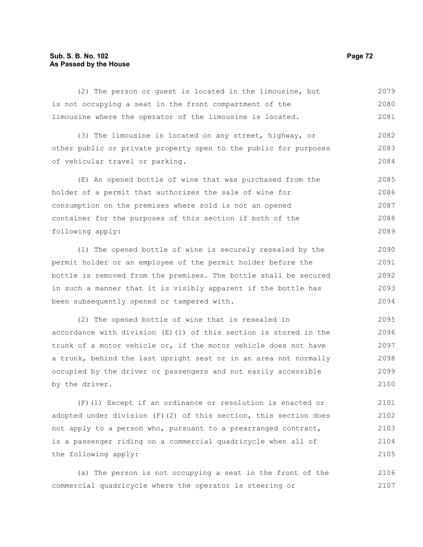# **Sub. S. B. No. 102 Page 72 As Passed by the House**

(2) The person or guest is located in the limousine, but is not occupying a seat in the front compartment of the limousine where the operator of the limousine is located. (3) The limousine is located on any street, highway, or other public or private property open to the public for purposes of vehicular travel or parking. (E) An opened bottle of wine that was purchased from the holder of a permit that authorizes the sale of wine for consumption on the premises where sold is not an opened container for the purposes of this section if both of the following apply: (1) The opened bottle of wine is securely resealed by the permit holder or an employee of the permit holder before the bottle is removed from the premises. The bottle shall be secured in such a manner that it is visibly apparent if the bottle has been subsequently opened or tampered with. (2) The opened bottle of wine that is resealed in accordance with division  $(E)$  (1) of this section is stored in the trunk of a motor vehicle or, if the motor vehicle does not have a trunk, behind the last upright seat or in an area not normally occupied by the driver or passengers and not easily accessible by the driver. 2079 2080 2081 2082 2083 2084 2085 2086 2087 2088 2089 2090 2091 2092 2093 2094 2095 2096 2097 2098 2099 2100

(F)(1) Except if an ordinance or resolution is enacted or adopted under division (F)(2) of this section, this section does not apply to a person who, pursuant to a prearranged contract, is a passenger riding on a commercial quadricycle when all of the following apply: 2101 2102 2103 2104 2105

(a) The person is not occupying a seat in the front of the commercial quadricycle where the operator is steering or 2106 2107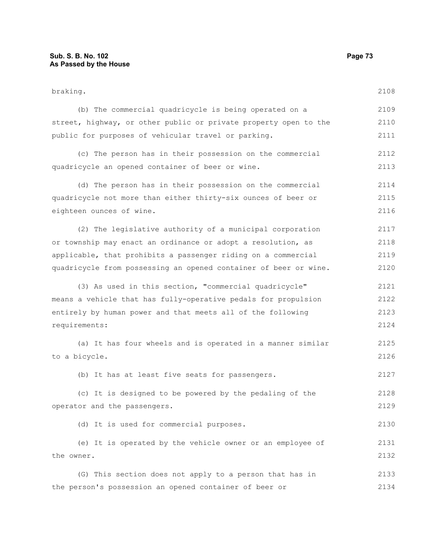| braking.                                                         | 2108 |
|------------------------------------------------------------------|------|
| (b) The commercial quadricycle is being operated on a            | 2109 |
| street, highway, or other public or private property open to the | 2110 |
| public for purposes of vehicular travel or parking.              | 2111 |
| (c) The person has in their possession on the commercial         | 2112 |
| quadricycle an opened container of beer or wine.                 | 2113 |
| (d) The person has in their possession on the commercial         | 2114 |
| quadricycle not more than either thirty-six ounces of beer or    | 2115 |
| eighteen ounces of wine.                                         | 2116 |
| (2) The legislative authority of a municipal corporation         | 2117 |
| or township may enact an ordinance or adopt a resolution, as     | 2118 |
| applicable, that prohibits a passenger riding on a commercial    | 2119 |
| quadricycle from possessing an opened container of beer or wine. | 2120 |
| (3) As used in this section, "commercial quadricycle"            | 2121 |
| means a vehicle that has fully-operative pedals for propulsion   | 2122 |
| entirely by human power and that meets all of the following      | 2123 |
| requirements:                                                    | 2124 |
| (a) It has four wheels and is operated in a manner similar       | 2125 |
| to a bicycle.                                                    | 2126 |
| (b) It has at least five seats for passengers.                   | 2127 |
| (c) It is designed to be powered by the pedaling of the          | 2128 |
| operator and the passengers.                                     | 2129 |
| (d) It is used for commercial purposes.                          | 2130 |
| (e) It is operated by the vehicle owner or an employee of        | 2131 |
| the owner.                                                       | 2132 |
| (G) This section does not apply to a person that has in          | 2133 |
| the person's possession an opened container of beer or           | 2134 |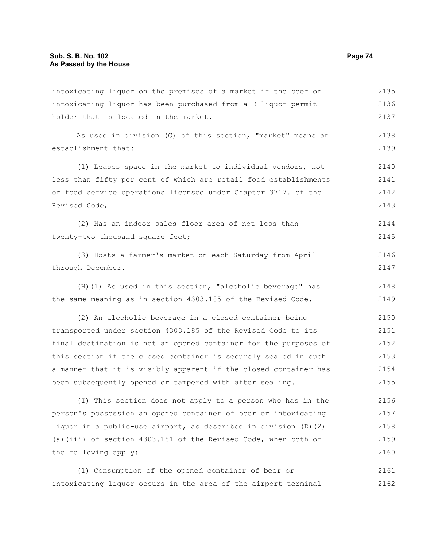intoxicating liquor on the premises of a market if the beer or intoxicating liquor has been purchased from a D liquor permit holder that is located in the market. 2135 2136 2137

As used in division (G) of this section, "market" means an establishment that: 2138 2139

(1) Leases space in the market to individual vendors, not less than fifty per cent of which are retail food establishments or food service operations licensed under Chapter 3717. of the Revised Code; 2140 2141 2142 2143

(2) Has an indoor sales floor area of not less than twenty-two thousand square feet; 2144 2145

(3) Hosts a farmer's market on each Saturday from April through December. 2146 2147

(H)(1) As used in this section, "alcoholic beverage" has the same meaning as in section 4303.185 of the Revised Code. 2148 2149

(2) An alcoholic beverage in a closed container being transported under section 4303.185 of the Revised Code to its final destination is not an opened container for the purposes of this section if the closed container is securely sealed in such a manner that it is visibly apparent if the closed container has been subsequently opened or tampered with after sealing. 2150 2151 2152 2153 2154 2155

(I) This section does not apply to a person who has in the person's possession an opened container of beer or intoxicating liquor in a public-use airport, as described in division (D)(2) (a)(iii) of section 4303.181 of the Revised Code, when both of the following apply: 2156 2157 2158 2159 2160

(1) Consumption of the opened container of beer or intoxicating liquor occurs in the area of the airport terminal 2161 2162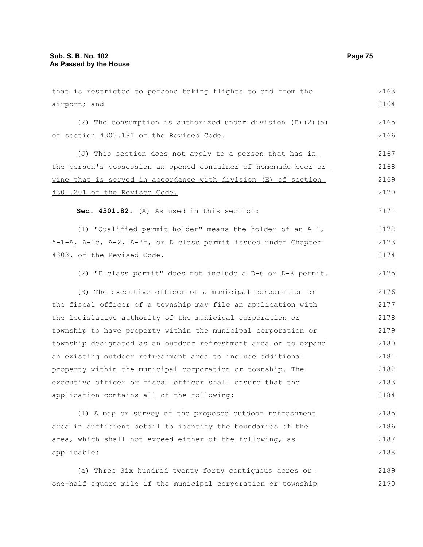that is restricted to persons taking flights to and from the airport; and (2) The consumption is authorized under division (D)(2)(a) of section 4303.181 of the Revised Code. (J) This section does not apply to a person that has in the person's possession an opened container of homemade beer or wine that is served in accordance with division (E) of section 4301.201 of the Revised Code. **Sec. 4301.82.** (A) As used in this section: (1) "Qualified permit holder" means the holder of an A-1, A-1-A, A-1c, A-2, A-2f, or D class permit issued under Chapter 4303. of the Revised Code. (2) "D class permit" does not include a D-6 or D-8 permit. (B) The executive officer of a municipal corporation or the fiscal officer of a township may file an application with the legislative authority of the municipal corporation or township to have property within the municipal corporation or township designated as an outdoor refreshment area or to expand an existing outdoor refreshment area to include additional property within the municipal corporation or township. The executive officer or fiscal officer shall ensure that the application contains all of the following: (1) A map or survey of the proposed outdoor refreshment area in sufficient detail to identify the boundaries of the area, which shall not exceed either of the following, as applicable: (a)  $\frac{m}{2}$  Three-Six hundred twenty-forty contiguous acres or-2163 2164 2165 2166 2167 2168 2169 2170 2171 2172 2173 2174 2175 2176 2177 2178 2179 2180 2181 2182 2183 2184 2185 2186 2187 2188 2189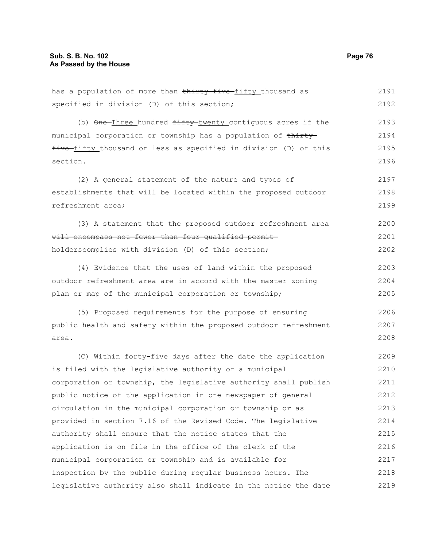| has a population of more than thirty five fifty thousand as      | 2191 |
|------------------------------------------------------------------|------|
| specified in division (D) of this section;                       | 2192 |
| (b) One-Three hundred fifty-twenty contiguous acres if the       | 2193 |
| municipal corporation or township has a population of thirty-    | 2194 |
| five fifty thousand or less as specified in division (D) of this | 2195 |
| section.                                                         | 2196 |
| (2) A general statement of the nature and types of               | 2197 |
| establishments that will be located within the proposed outdoor  | 2198 |
| refreshment area;                                                | 2199 |
| (3) A statement that the proposed outdoor refreshment area       | 2200 |
| will encompass not fewer than four qualified permit-             | 2201 |
| holderscomplies with division (D) of this section;               | 2202 |
| (4) Evidence that the uses of land within the proposed           | 2203 |
| outdoor refreshment area are in accord with the master zoning    | 2204 |
| plan or map of the municipal corporation or township;            | 2205 |
| (5) Proposed requirements for the purpose of ensuring            | 2206 |
| public health and safety within the proposed outdoor refreshment | 2207 |
| area.                                                            | 2208 |
| (C) Within forty-five days after the date the application        | 2209 |
| is filed with the legislative authority of a municipal           | 2210 |
| corporation or township, the legislative authority shall publish | 2211 |
| public notice of the application in one newspaper of general     | 2212 |
| circulation in the municipal corporation or township or as       | 2213 |
| provided in section 7.16 of the Revised Code. The legislative    | 2214 |
| authority shall ensure that the notice states that the           | 2215 |
| application is on file in the office of the clerk of the         | 2216 |
| municipal corporation or township and is available for           | 2217 |
| inspection by the public during regular business hours. The      | 2218 |
| legislative authority also shall indicate in the notice the date | 2219 |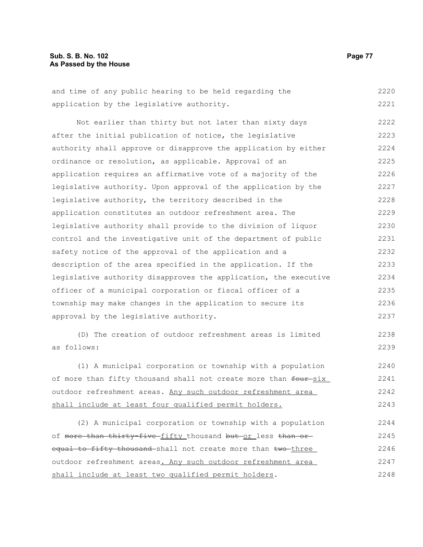# **Sub. S. B. No. 102 Page 77 As Passed by the House**

and time of any public hearing to be held regarding the application by the legislative authority. 2220 2221

Not earlier than thirty but not later than sixty days after the initial publication of notice, the legislative authority shall approve or disapprove the application by either ordinance or resolution, as applicable. Approval of an application requires an affirmative vote of a majority of the legislative authority. Upon approval of the application by the legislative authority, the territory described in the application constitutes an outdoor refreshment area. The legislative authority shall provide to the division of liquor control and the investigative unit of the department of public safety notice of the approval of the application and a description of the area specified in the application. If the legislative authority disapproves the application, the executive officer of a municipal corporation or fiscal officer of a township may make changes in the application to secure its approval by the legislative authority. 2222 2223 2224 2225 2226 2227 2228 2229 2230 2231 2232 2233 2234 2235 2236 2237

(D) The creation of outdoor refreshment areas is limited as follows:

(1) A municipal corporation or township with a population of more than fifty thousand shall not create more than four six outdoor refreshment areas. Any such outdoor refreshment area shall include at least four qualified permit holders. 2240 2241 2242 2243

(2) A municipal corporation or township with a population of more than thirty-five fifty thousand but or less than or equal to fifty thousand shall not create more than two three outdoor refreshment areas. Any such outdoor refreshment area shall include at least two qualified permit holders. 2244 2245 2246 2247 2248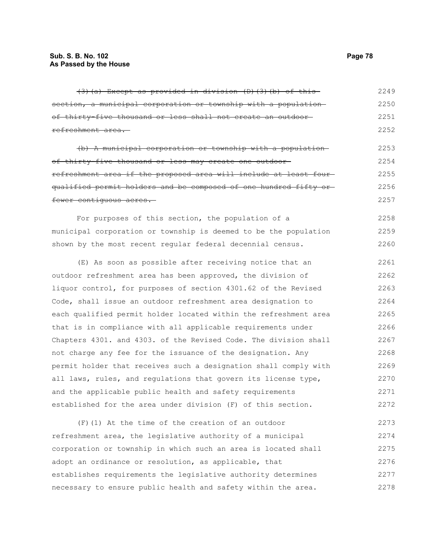| $(3)$ (a) Except as provided in division (D) $(3)$ (b) of this    | 2249 |
|-------------------------------------------------------------------|------|
| section, a municipal corporation or township with a population-   | 2250 |
| of thirty-five thousand or less shall not create an outdoor-      | 2251 |
| <del>refreshment area.</del>                                      | 2252 |
| (b) A municipal corporation or township with a population-        | 2253 |
| of thirty-five thousand or less may create one outdoor-           | 2254 |
| refreshment area if the proposed area will include at least four- | 2255 |
| qualified permit holders and be composed of one hundred fifty or  | 2256 |
| fewer contiguous acres.                                           | 2257 |
| For purposes of this section, the population of a                 | 2258 |
| municipal corporation or township is deemed to be the population  | 2259 |
| shown by the most recent regular federal decennial census.        | 2260 |
| (E) As soon as possible after receiving notice that an            | 2261 |
| outdoor refreshment area has been approved, the division of       | 2262 |
| liquor control, for purposes of section 4301.62 of the Revised    | 2263 |
| Code, shall issue an outdoor refreshment area designation to      | 2264 |
| each qualified permit holder located within the refreshment area  | 2265 |
| that is in compliance with all applicable requirements under      | 2266 |
| Chapters 4301. and 4303. of the Revised Code. The division shall  | 2267 |
| not charge any fee for the issuance of the designation. Any       | 2268 |
| permit holder that receives such a designation shall comply with  | 2269 |
| all laws, rules, and requlations that govern its license type,    | 2270 |
| and the applicable public health and safety requirements          | 2271 |
| established for the area under division (F) of this section.      | 2272 |
| $(F)$ (1) At the time of the creation of an outdoor               | 2273 |
| refreshment area, the legislative authority of a municipal        | 2274 |
| corporation or township in which such an area is located shall    | 2275 |

adopt an ordinance or resolution, as applicable, that establishes requirements the legislative authority determines necessary to ensure public health and safety within the area. 2276 2277 2278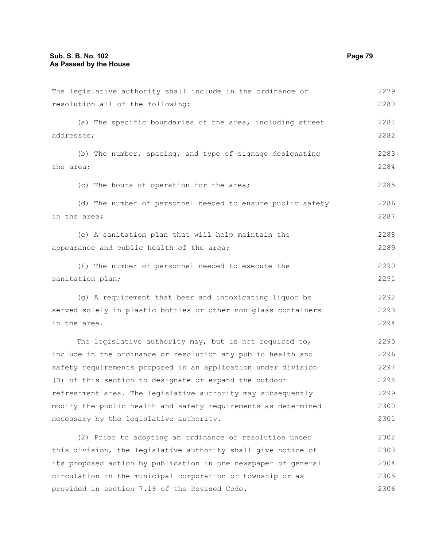resolution all of the following: (a) The specific boundaries of the area, including street addresses; (b) The number, spacing, and type of signage designating the area; (c) The hours of operation for the area; (d) The number of personnel needed to ensure public safety in the area; (e) A sanitation plan that will help maintain the appearance and public health of the area; (f) The number of personnel needed to execute the sanitation plan; (g) A requirement that beer and intoxicating liquor be served solely in plastic bottles or other non-glass containers in the area. The legislative authority may, but is not required to, include in the ordinance or resolution any public health and safety requirements proposed in an application under division (B) of this section to designate or expand the outdoor refreshment area. The legislative authority may subsequently modify the public health and safety requirements as determined necessary by the legislative authority. (2) Prior to adopting an ordinance or resolution under this division, the legislative authority shall give notice of its proposed action by publication in one newspaper of general circulation in the municipal corporation or township or as 2280 2281 2282 2283 2284 2285 2286 2287 2288 2289 2290 2291 2292 2293 2294 2295 2296 2297 2298 2299 2300 2301 2302 2303 2304 2305

The legislative authority shall include in the ordinance or

provided in section 7.16 of the Revised Code.

2279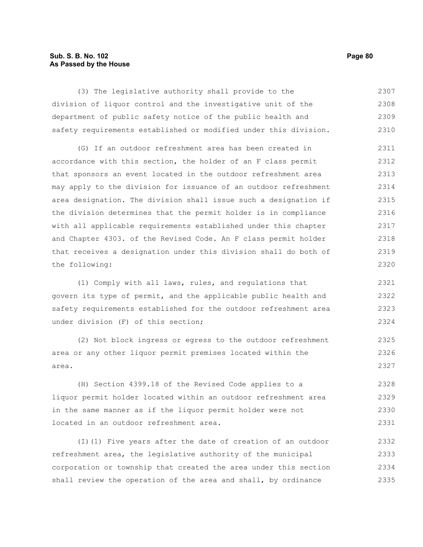# **Sub. S. B. No. 102 Page 80 As Passed by the House**

(3) The legislative authority shall provide to the division of liquor control and the investigative unit of the department of public safety notice of the public health and safety requirements established or modified under this division. 2307 2308 2309 2310

(G) If an outdoor refreshment area has been created in accordance with this section, the holder of an F class permit that sponsors an event located in the outdoor refreshment area may apply to the division for issuance of an outdoor refreshment area designation. The division shall issue such a designation if the division determines that the permit holder is in compliance with all applicable requirements established under this chapter and Chapter 4303. of the Revised Code. An F class permit holder that receives a designation under this division shall do both of the following: 2311 2312 2313 2314 2315 2316 2317 2318 2319 2320

(1) Comply with all laws, rules, and regulations that govern its type of permit, and the applicable public health and safety requirements established for the outdoor refreshment area under division (F) of this section; 2321 2322 2323 2324

(2) Not block ingress or egress to the outdoor refreshment area or any other liquor permit premises located within the area.

(H) Section 4399.18 of the Revised Code applies to a liquor permit holder located within an outdoor refreshment area in the same manner as if the liquor permit holder were not located in an outdoor refreshment area. 2328 2329 2330 2331

(I)(1) Five years after the date of creation of an outdoor refreshment area, the legislative authority of the municipal corporation or township that created the area under this section shall review the operation of the area and shall, by ordinance 2332 2333 2334 2335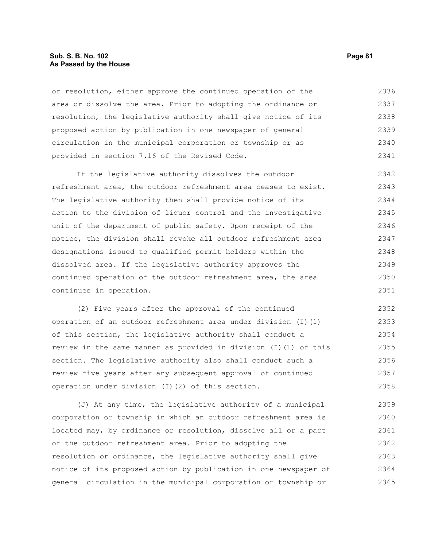## **Sub. S. B. No. 102 Page 81 As Passed by the House**

or resolution, either approve the continued operation of the area or dissolve the area. Prior to adopting the ordinance or resolution, the legislative authority shall give notice of its proposed action by publication in one newspaper of general circulation in the municipal corporation or township or as provided in section 7.16 of the Revised Code. 2336 2337 2338 2339 2340 2341

If the legislative authority dissolves the outdoor refreshment area, the outdoor refreshment area ceases to exist. The legislative authority then shall provide notice of its action to the division of liquor control and the investigative unit of the department of public safety. Upon receipt of the notice, the division shall revoke all outdoor refreshment area designations issued to qualified permit holders within the dissolved area. If the legislative authority approves the continued operation of the outdoor refreshment area, the area continues in operation. 2342 2343 2344 2345 2346 2347 2348 2349 2350 2351

(2) Five years after the approval of the continued operation of an outdoor refreshment area under division (I)(1) of this section, the legislative authority shall conduct a review in the same manner as provided in division (I)(1) of this section. The legislative authority also shall conduct such a review five years after any subsequent approval of continued operation under division (I)(2) of this section. 2352 2353 2354 2355 2356 2357 2358

(J) At any time, the legislative authority of a municipal corporation or township in which an outdoor refreshment area is located may, by ordinance or resolution, dissolve all or a part of the outdoor refreshment area. Prior to adopting the resolution or ordinance, the legislative authority shall give notice of its proposed action by publication in one newspaper of general circulation in the municipal corporation or township or 2359 2360 2361 2362 2363 2364 2365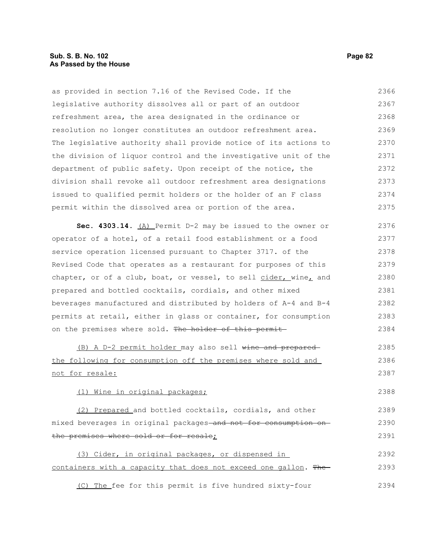as provided in section 7.16 of the Revised Code. If the legislative authority dissolves all or part of an outdoor refreshment area, the area designated in the ordinance or resolution no longer constitutes an outdoor refreshment area. The legislative authority shall provide notice of its actions to the division of liquor control and the investigative unit of the department of public safety. Upon receipt of the notice, the division shall revoke all outdoor refreshment area designations issued to qualified permit holders or the holder of an F class permit within the dissolved area or portion of the area. 2366 2367 2368 2369 2370 2371 2372 2373 2374 2375

**Sec. 4303.14.** (A) Permit D-2 may be issued to the owner or operator of a hotel, of a retail food establishment or a food service operation licensed pursuant to Chapter 3717. of the Revised Code that operates as a restaurant for purposes of this chapter, or of a club, boat, or vessel, to sell cider, wine, and prepared and bottled cocktails, cordials, and other mixed beverages manufactured and distributed by holders of A-4 and B-4 permits at retail, either in glass or container, for consumption on the premises where sold. The holder of this permit-2376 2377 2378 2379 2380 2381 2382 2383 2384

(B) A D-2 permit holder may also sell wine and prepared the following for consumption off the premises where sold and not for resale: 2385 2386 2387

(1) Wine in original packages;

2388

(2) Prepared and bottled cocktails, cordials, and other mixed beverages in original packages and not for consumption on the premises where sold or for resale; 2389 2390 2391

(3) Cider, in original packages, or dispensed in containers with a capacity that does not exceed one gallon. The 2392 2393

(C) The fee for this permit is five hundred sixty-four 2394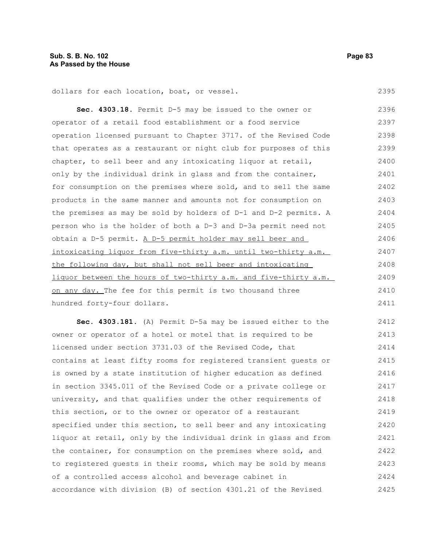dollars for each location, boat, or vessel.

**Sec. 4303.18.** Permit D-5 may be issued to the owner or operator of a retail food establishment or a food service operation licensed pursuant to Chapter 3717. of the Revised Code that operates as a restaurant or night club for purposes of this chapter, to sell beer and any intoxicating liquor at retail, only by the individual drink in glass and from the container, for consumption on the premises where sold, and to sell the same products in the same manner and amounts not for consumption on the premises as may be sold by holders of D-1 and D-2 permits. A person who is the holder of both a D-3 and D-3a permit need not obtain a D-5 permit. A D-5 permit holder may sell beer and intoxicating liquor from five-thirty a.m. until two-thirty a.m. the following day, but shall not sell beer and intoxicating liquor between the hours of two-thirty a.m. and five-thirty a.m. on any day. The fee for this permit is two thousand three hundred forty-four dollars. 2396 2397 2398 2399 2400 2401 2402 2403 2404 2405 2406 2407 2408 2409 2410 2411

**Sec. 4303.181.** (A) Permit D-5a may be issued either to the owner or operator of a hotel or motel that is required to be licensed under section 3731.03 of the Revised Code, that contains at least fifty rooms for registered transient guests or is owned by a state institution of higher education as defined in section 3345.011 of the Revised Code or a private college or university, and that qualifies under the other requirements of this section, or to the owner or operator of a restaurant specified under this section, to sell beer and any intoxicating liquor at retail, only by the individual drink in glass and from the container, for consumption on the premises where sold, and to registered guests in their rooms, which may be sold by means of a controlled access alcohol and beverage cabinet in accordance with division (B) of section 4301.21 of the Revised 2412 2413 2414 2415 2416 2417 2418 2419 2420 2421 2422 2423 2424 2425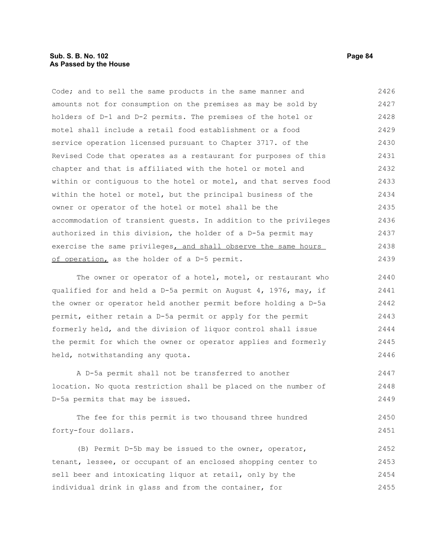| Code; and to sell the same products in the same manner and       | 2426 |
|------------------------------------------------------------------|------|
| amounts not for consumption on the premises as may be sold by    | 2427 |
| holders of D-1 and D-2 permits. The premises of the hotel or     | 2428 |
| motel shall include a retail food establishment or a food        | 2429 |
| service operation licensed pursuant to Chapter 3717. of the      | 2430 |
| Revised Code that operates as a restaurant for purposes of this  | 2431 |
| chapter and that is affiliated with the hotel or motel and       | 2432 |
| within or contiquous to the hotel or motel, and that serves food | 2433 |
| within the hotel or motel, but the principal business of the     | 2434 |
| owner or operator of the hotel or motel shall be the             | 2435 |
| accommodation of transient quests. In addition to the privileges | 2436 |
| authorized in this division, the holder of a D-5a permit may     | 2437 |
| exercise the same privileges, and shall observe the same hours   | 2438 |
| of operation, as the holder of a D-5 permit.                     | 2439 |

The owner or operator of a hotel, motel, or restaurant who qualified for and held a D-5a permit on August 4, 1976, may, if the owner or operator held another permit before holding a D-5a permit, either retain a D-5a permit or apply for the permit formerly held, and the division of liquor control shall issue the permit for which the owner or operator applies and formerly held, notwithstanding any quota. 2440 2441 2442 2443 2444 2445 2446

A D-5a permit shall not be transferred to another location. No quota restriction shall be placed on the number of D-5a permits that may be issued. 2447 2448 2449

The fee for this permit is two thousand three hundred forty-four dollars. 2450 2451

(B) Permit D-5b may be issued to the owner, operator, tenant, lessee, or occupant of an enclosed shopping center to sell beer and intoxicating liquor at retail, only by the individual drink in glass and from the container, for 2452 2453 2454 2455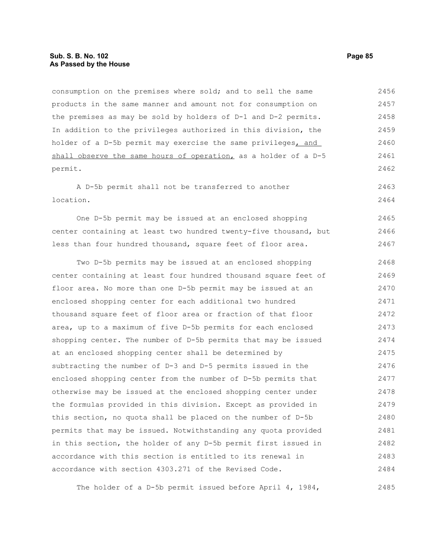## **Sub. S. B. No. 102 Page 85 As Passed by the House**

consumption on the premises where sold; and to sell the same products in the same manner and amount not for consumption on the premises as may be sold by holders of D-1 and D-2 permits. In addition to the privileges authorized in this division, the holder of a D-5b permit may exercise the same privileges, and shall observe the same hours of operation, as a holder of a D-5 permit. 2456 2457 2458 2459 2460 2461 2462

A D-5b permit shall not be transferred to another location. 2463 2464

One D-5b permit may be issued at an enclosed shopping center containing at least two hundred twenty-five thousand, but less than four hundred thousand, square feet of floor area. 2465 2466 2467

Two D-5b permits may be issued at an enclosed shopping center containing at least four hundred thousand square feet of floor area. No more than one D-5b permit may be issued at an enclosed shopping center for each additional two hundred thousand square feet of floor area or fraction of that floor area, up to a maximum of five D-5b permits for each enclosed shopping center. The number of D-5b permits that may be issued at an enclosed shopping center shall be determined by subtracting the number of D-3 and D-5 permits issued in the enclosed shopping center from the number of D-5b permits that otherwise may be issued at the enclosed shopping center under the formulas provided in this division. Except as provided in this section, no quota shall be placed on the number of D-5b permits that may be issued. Notwithstanding any quota provided in this section, the holder of any D-5b permit first issued in accordance with this section is entitled to its renewal in accordance with section 4303.271 of the Revised Code. 2468 2469 2470 2471 2472 2473 2474 2475 2476 2477 2478 2479 2480 2481 2482 2483 2484

The holder of a D-5b permit issued before April 4, 1984, 2485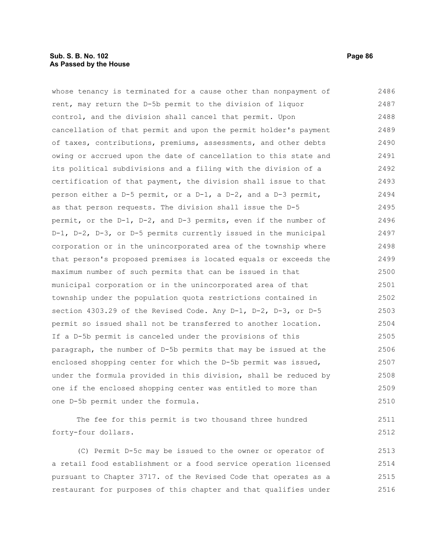## **Sub. S. B. No. 102 Page 86 As Passed by the House**

whose tenancy is terminated for a cause other than nonpayment of rent, may return the D-5b permit to the division of liquor control, and the division shall cancel that permit. Upon cancellation of that permit and upon the permit holder's payment of taxes, contributions, premiums, assessments, and other debts owing or accrued upon the date of cancellation to this state and its political subdivisions and a filing with the division of a certification of that payment, the division shall issue to that person either a D-5 permit, or a D-1, a D-2, and a D-3 permit, as that person requests. The division shall issue the D-5 permit, or the D-1, D-2, and D-3 permits, even if the number of D-1, D-2, D-3, or D-5 permits currently issued in the municipal corporation or in the unincorporated area of the township where that person's proposed premises is located equals or exceeds the maximum number of such permits that can be issued in that municipal corporation or in the unincorporated area of that township under the population quota restrictions contained in section 4303.29 of the Revised Code. Any D-1, D-2, D-3, or D-5 permit so issued shall not be transferred to another location. If a D-5b permit is canceled under the provisions of this paragraph, the number of D-5b permits that may be issued at the enclosed shopping center for which the D-5b permit was issued, under the formula provided in this division, shall be reduced by one if the enclosed shopping center was entitled to more than one D-5b permit under the formula. 2486 2487 2488 2489 2490 2491 2492 2493 2494 2495 2496 2497 2498 2499 2500 2501 2502 2503 2504 2505 2506 2507 2508 2509 2510

The fee for this permit is two thousand three hundred forty-four dollars. 2511 2512

(C) Permit D-5c may be issued to the owner or operator of a retail food establishment or a food service operation licensed pursuant to Chapter 3717. of the Revised Code that operates as a restaurant for purposes of this chapter and that qualifies under 2513 2514 2515 2516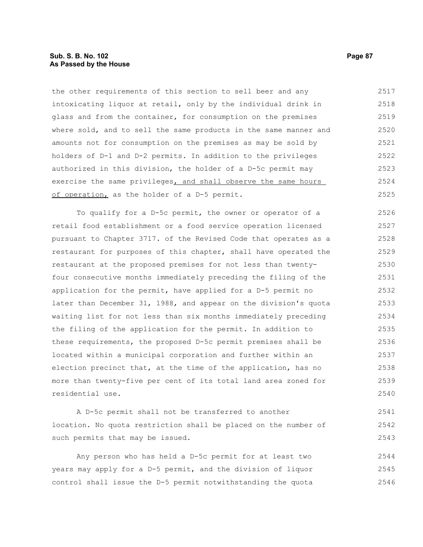# **Sub. S. B. No. 102 Page 87 As Passed by the House**

the other requirements of this section to sell beer and any intoxicating liquor at retail, only by the individual drink in glass and from the container, for consumption on the premises where sold, and to sell the same products in the same manner and amounts not for consumption on the premises as may be sold by holders of D-1 and D-2 permits. In addition to the privileges authorized in this division, the holder of a D-5c permit may exercise the same privileges, and shall observe the same hours of operation, as the holder of a D-5 permit. 2517 2518 2519 2520 2521 2522 2523 2524 2525

To qualify for a D-5c permit, the owner or operator of a retail food establishment or a food service operation licensed pursuant to Chapter 3717. of the Revised Code that operates as a restaurant for purposes of this chapter, shall have operated the restaurant at the proposed premises for not less than twentyfour consecutive months immediately preceding the filing of the application for the permit, have applied for a D-5 permit no later than December 31, 1988, and appear on the division's quota waiting list for not less than six months immediately preceding the filing of the application for the permit. In addition to these requirements, the proposed D-5c permit premises shall be located within a municipal corporation and further within an election precinct that, at the time of the application, has no more than twenty-five per cent of its total land area zoned for residential use. 2526 2527 2528 2529 2530 2531 2532 2533 2534 2535 2536 2537 2538 2539 2540

A D-5c permit shall not be transferred to another location. No quota restriction shall be placed on the number of such permits that may be issued. 2541 2542 2543

Any person who has held a D-5c permit for at least two years may apply for a D-5 permit, and the division of liquor control shall issue the D-5 permit notwithstanding the quota 2544 2545 2546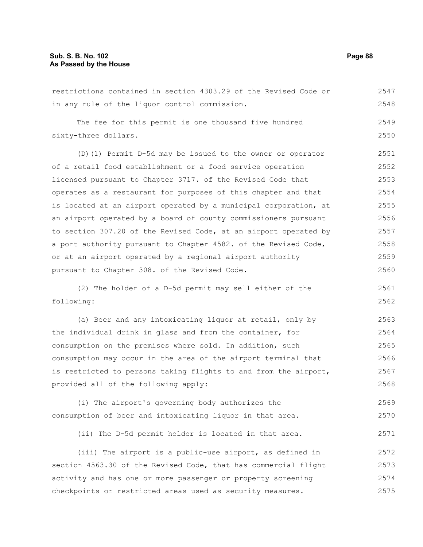restrictions contained in section 4303.29 of the Revised Code or in any rule of the liquor control commission. The fee for this permit is one thousand five hundred sixty-three dollars. (D)(1) Permit D-5d may be issued to the owner or operator of a retail food establishment or a food service operation licensed pursuant to Chapter 3717. of the Revised Code that operates as a restaurant for purposes of this chapter and that is located at an airport operated by a municipal corporation, at an airport operated by a board of county commissioners pursuant to section 307.20 of the Revised Code, at an airport operated by a port authority pursuant to Chapter 4582. of the Revised Code, or at an airport operated by a regional airport authority pursuant to Chapter 308. of the Revised Code. (2) The holder of a D-5d permit may sell either of the following: (a) Beer and any intoxicating liquor at retail, only by the individual drink in glass and from the container, for consumption on the premises where sold. In addition, such consumption may occur in the area of the airport terminal that is restricted to persons taking flights to and from the airport, provided all of the following apply: (i) The airport's governing body authorizes the consumption of beer and intoxicating liquor in that area. (ii) The D-5d permit holder is located in that area. 2547 2548 2549 2550 2551 2552 2553 2554 2555 2556 2557 2558 2559 2560 2561 2562 2563 2564 2565 2566 2567 2568 2569 2570 2571

(iii) The airport is a public-use airport, as defined in section 4563.30 of the Revised Code, that has commercial flight activity and has one or more passenger or property screening checkpoints or restricted areas used as security measures. 2572 2573 2574 2575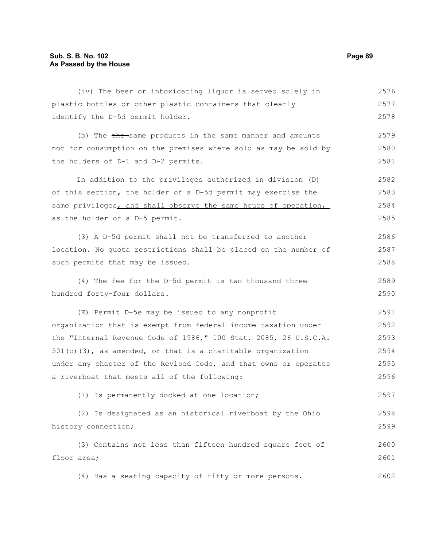(iv) The beer or intoxicating liquor is served solely in plastic bottles or other plastic containers that clearly identify the D-5d permit holder. (b) The the same products in the same manner and amounts not for consumption on the premises where sold as may be sold by the holders of D-1 and D-2 permits. In addition to the privileges authorized in division (D) of this section, the holder of a D-5d permit may exercise the same privileges, and shall observe the same hours of operation, as the holder of a D-5 permit. (3) A D-5d permit shall not be transferred to another location. No quota restrictions shall be placed on the number of such permits that may be issued. (4) The fee for the D-5d permit is two thousand three hundred forty-four dollars. (E) Permit D-5e may be issued to any nonprofit organization that is exempt from federal income taxation under the "Internal Revenue Code of 1986," 100 Stat. 2085, 26 U.S.C.A. 501(c)(3), as amended, or that is a charitable organization under any chapter of the Revised Code, and that owns or operates a riverboat that meets all of the following: (1) Is permanently docked at one location; (2) Is designated as an historical riverboat by the Ohio history connection; (3) Contains not less than fifteen hundred square feet of floor area; 2576 2577 2578 2579 2580 2581 2582 2583 2584 2585 2586 2587 2588 2589 2590 2591 2592 2593 2594 2595 2596 2597 2598 2599 2600 2601

(4) Has a seating capacity of fifty or more persons. 2602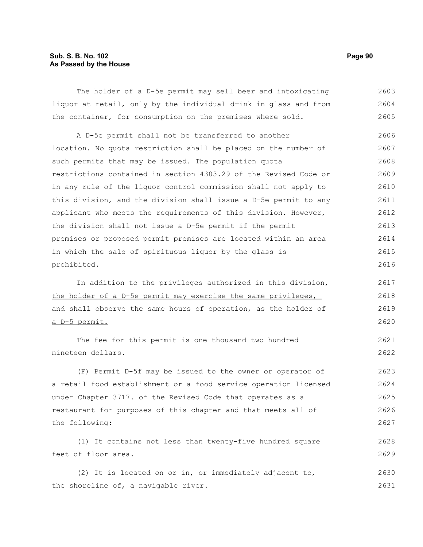# **Sub. S. B. No. 102 Page 90 As Passed by the House**

The holder of a D-5e permit may sell beer and intoxicating liquor at retail, only by the individual drink in glass and from the container, for consumption on the premises where sold. 2603 2604 2605

A D-5e permit shall not be transferred to another location. No quota restriction shall be placed on the number of such permits that may be issued. The population quota restrictions contained in section 4303.29 of the Revised Code or in any rule of the liquor control commission shall not apply to this division, and the division shall issue a D-5e permit to any applicant who meets the requirements of this division. However, the division shall not issue a D-5e permit if the permit premises or proposed permit premises are located within an area in which the sale of spirituous liquor by the glass is prohibited. 2606 2607 2608 2609 2610 2611 2612 2613 2614 2615 2616

In addition to the privileges authorized in this division, the holder of a D-5e permit may exercise the same privileges, and shall observe the same hours of operation, as the holder of a D-5 permit.

The fee for this permit is one thousand two hundred nineteen dollars.

(F) Permit D-5f may be issued to the owner or operator of a retail food establishment or a food service operation licensed under Chapter 3717. of the Revised Code that operates as a restaurant for purposes of this chapter and that meets all of the following: 2623 2624 2625 2626 2627

(1) It contains not less than twenty-five hundred square feet of floor area. 2628 2629

(2) It is located on or in, or immediately adjacent to, the shoreline of, a navigable river. 2630 2631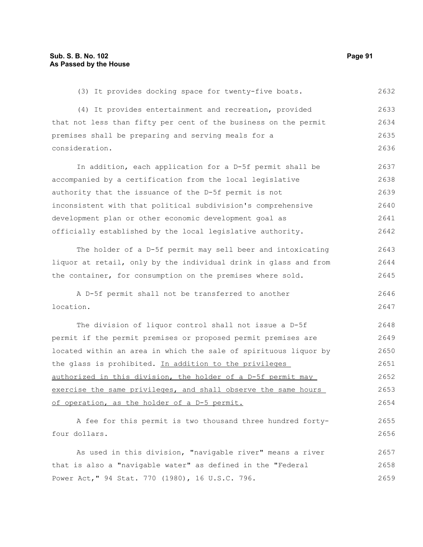(3) It provides docking space for twenty-five boats. 2632

(4) It provides entertainment and recreation, provided that not less than fifty per cent of the business on the permit premises shall be preparing and serving meals for a consideration. 2633 2634 2635 2636

In addition, each application for a D-5f permit shall be accompanied by a certification from the local legislative authority that the issuance of the D-5f permit is not inconsistent with that political subdivision's comprehensive development plan or other economic development goal as officially established by the local legislative authority. 2637 2638 2639 2640 2641 2642

The holder of a D-5f permit may sell beer and intoxicating liquor at retail, only by the individual drink in glass and from the container, for consumption on the premises where sold. 2643 2644 2645

A D-5f permit shall not be transferred to another location. 2646 2647

The division of liquor control shall not issue a D-5f permit if the permit premises or proposed permit premises are located within an area in which the sale of spirituous liquor by the glass is prohibited. In addition to the privileges authorized in this division, the holder of a D-5f permit may exercise the same privileges, and shall observe the same hours of operation, as the holder of a D-5 permit. 2648 2649 2650 2651 2652 2653 2654

A fee for this permit is two thousand three hundred fortyfour dollars. 2655 2656

As used in this division, "navigable river" means a river that is also a "navigable water" as defined in the "Federal Power Act," 94 Stat. 770 (1980), 16 U.S.C. 796. 2657 2658 2659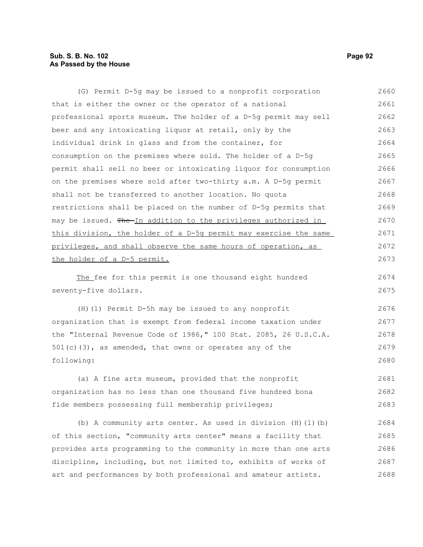# **Sub. S. B. No. 102 Page 92 As Passed by the House**

(G) Permit D-5g may be issued to a nonprofit corporation that is either the owner or the operator of a national professional sports museum. The holder of a D-5g permit may sell beer and any intoxicating liquor at retail, only by the individual drink in glass and from the container, for consumption on the premises where sold. The holder of a D-5g permit shall sell no beer or intoxicating liquor for consumption on the premises where sold after two-thirty a.m. A D-5g permit shall not be transferred to another location. No quota restrictions shall be placed on the number of D-5g permits that may be issued. The In addition to the privileges authorized in this division, the holder of a D-5g permit may exercise the same privileges, and shall observe the same hours of operation, as the holder of a D-5 permit. 2660 2661 2662 2663 2664 2665 2666 2667 2668 2669 2670 2671 2672 2673

The fee for this permit is one thousand eight hundred seventy-five dollars. 2674 2675

(H)(1) Permit D-5h may be issued to any nonprofit organization that is exempt from federal income taxation under the "Internal Revenue Code of 1986," 100 Stat. 2085, 26 U.S.C.A. 501(c)(3), as amended, that owns or operates any of the following: 2676 2677 2678 2679 2680

(a) A fine arts museum, provided that the nonprofit organization has no less than one thousand five hundred bona fide members possessing full membership privileges; 2681 2682 2683

(b) A community arts center. As used in division  $(H)$  (1)(b) of this section, "community arts center" means a facility that provides arts programming to the community in more than one arts discipline, including, but not limited to, exhibits of works of art and performances by both professional and amateur artists. 2684 2685 2686 2687 2688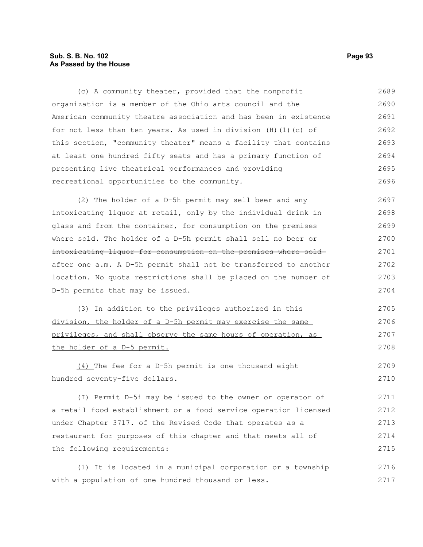# **Sub. S. B. No. 102 Page 93 As Passed by the House**

(c) A community theater, provided that the nonprofit organization is a member of the Ohio arts council and the American community theatre association and has been in existence for not less than ten years. As used in division  $(H)$  (1)(c) of this section, "community theater" means a facility that contains at least one hundred fifty seats and has a primary function of presenting live theatrical performances and providing recreational opportunities to the community. (2) The holder of a D-5h permit may sell beer and any intoxicating liquor at retail, only by the individual drink in glass and from the container, for consumption on the premises where sold. The holder of a D-5h permit shall sell no beer orintoxicating liquor for consumption on the premises where sold after one a.m. A D-5h permit shall not be transferred to another location. No quota restrictions shall be placed on the number of D-5h permits that may be issued. (3) In addition to the privileges authorized in this division, the holder of a D-5h permit may exercise the same privileges, and shall observe the same hours of operation, as the holder of a D-5 permit. (4) The fee for a D-5h permit is one thousand eight hundred seventy-five dollars. (I) Permit D-5i may be issued to the owner or operator of a retail food establishment or a food service operation licensed under Chapter 3717. of the Revised Code that operates as a restaurant for purposes of this chapter and that meets all of the following requirements: (1) It is located in a municipal corporation or a township 2689 2690 2691 2692 2693 2694 2695 2696 2697 2698 2699 2700 2701 2702 2703 2704 2705 2706 2707 2708 2709 2710 2711 2712 2713 2714 2715 2716

with a population of one hundred thousand or less. 2717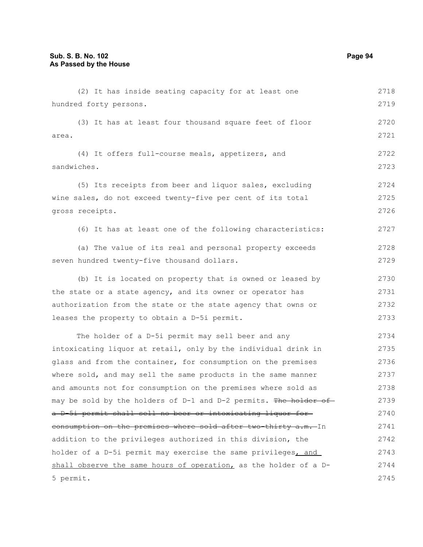| (2) It has inside seating capacity for at least one              | 2718 |
|------------------------------------------------------------------|------|
| hundred forty persons.                                           | 2719 |
|                                                                  |      |
| (3) It has at least four thousand square feet of floor           | 2720 |
| area.                                                            | 2721 |
| (4) It offers full-course meals, appetizers, and                 | 2722 |
| sandwiches.                                                      | 2723 |
| (5) Its receipts from beer and liquor sales, excluding           | 2724 |
| wine sales, do not exceed twenty-five per cent of its total      | 2725 |
| gross receipts.                                                  | 2726 |
| (6) It has at least one of the following characteristics:        | 2727 |
| (a) The value of its real and personal property exceeds          | 2728 |
| seven hundred twenty-five thousand dollars.                      | 2729 |
| (b) It is located on property that is owned or leased by         | 2730 |
| the state or a state agency, and its owner or operator has       | 2731 |
| authorization from the state or the state agency that owns or    | 2732 |
| leases the property to obtain a D-5i permit.                     | 2733 |
| The holder of a D-5i permit may sell beer and any                | 2734 |
| intoxicating liquor at retail, only by the individual drink in   | 2735 |
| glass and from the container, for consumption on the premises    | 2736 |
| where sold, and may sell the same products in the same manner    | 2737 |
| and amounts not for consumption on the premises where sold as    | 2738 |
| may be sold by the holders of D-1 and D-2 permits. The holder of | 2739 |
| a D-5i permit shall sell no beer or intoxicating liquor for-     | 2740 |
| consumption on the premises where sold after two-thirty a.m. In  | 2741 |
| addition to the privileges authorized in this division, the      | 2742 |
| holder of a D-5i permit may exercise the same privileges, and    | 2743 |
| shall observe the same hours of operation, as the holder of a D- | 2744 |
| 5 permit.                                                        | 2745 |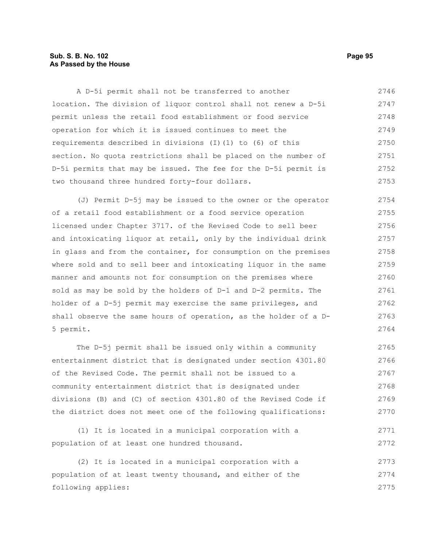# **Sub. S. B. No. 102 Page 95 As Passed by the House**

A D-5i permit shall not be transferred to another location. The division of liquor control shall not renew a D-5i permit unless the retail food establishment or food service operation for which it is issued continues to meet the requirements described in divisions (I)(1) to (6) of this section. No quota restrictions shall be placed on the number of D-5i permits that may be issued. The fee for the D-5i permit is two thousand three hundred forty-four dollars. 2746 2747 2748 2749 2750 2751 2752 2753

(J) Permit D-5j may be issued to the owner or the operator of a retail food establishment or a food service operation licensed under Chapter 3717. of the Revised Code to sell beer and intoxicating liquor at retail, only by the individual drink in glass and from the container, for consumption on the premises where sold and to sell beer and intoxicating liquor in the same manner and amounts not for consumption on the premises where sold as may be sold by the holders of D-1 and D-2 permits. The holder of a D-5j permit may exercise the same privileges, and shall observe the same hours of operation, as the holder of a D-5 permit. 2754 2755 2756 2757 2758 2759 2760 2761 2762 2763 2764

The D-5j permit shall be issued only within a community entertainment district that is designated under section 4301.80 of the Revised Code. The permit shall not be issued to a community entertainment district that is designated under divisions (B) and (C) of section 4301.80 of the Revised Code if the district does not meet one of the following qualifications: 2765 2766 2767 2768 2769 2770

(1) It is located in a municipal corporation with a population of at least one hundred thousand. 2771 2772

(2) It is located in a municipal corporation with a population of at least twenty thousand, and either of the following applies: 2773 2774 2775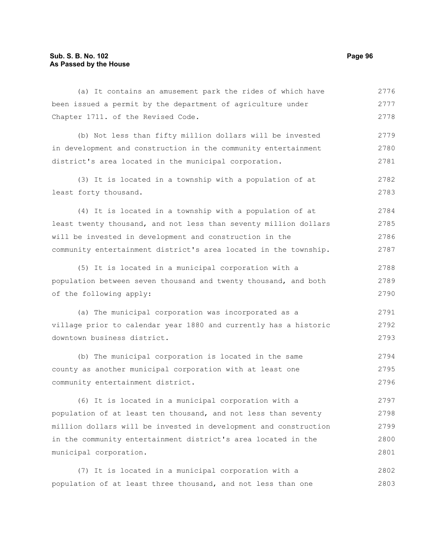# **Sub. S. B. No. 102 Page 96 As Passed by the House**

| (a) It contains an amusement park the rides of which have        | 2776 |
|------------------------------------------------------------------|------|
| been issued a permit by the department of agriculture under      | 2777 |
| Chapter 1711. of the Revised Code.                               | 2778 |
| (b) Not less than fifty million dollars will be invested         | 2779 |
| in development and construction in the community entertainment   | 2780 |
| district's area located in the municipal corporation.            | 2781 |
| (3) It is located in a township with a population of at          | 2782 |
| least forty thousand.                                            | 2783 |
| (4) It is located in a township with a population of at          | 2784 |
| least twenty thousand, and not less than seventy million dollars | 2785 |
| will be invested in development and construction in the          | 2786 |
| community entertainment district's area located in the township. | 2787 |
| (5) It is located in a municipal corporation with a              | 2788 |
| population between seven thousand and twenty thousand, and both  | 2789 |
| of the following apply:                                          | 2790 |
| (a) The municipal corporation was incorporated as a              | 2791 |
| village prior to calendar year 1880 and currently has a historic | 2792 |
| downtown business district.                                      | 2793 |
| (b) The municipal corporation is located in the same             | 2794 |
| county as another municipal corporation with at least one        | 2795 |
| community entertainment district.                                | 2796 |
| (6) It is located in a municipal corporation with a              | 2797 |
| population of at least ten thousand, and not less than seventy   | 2798 |
| million dollars will be invested in development and construction | 2799 |
| in the community entertainment district's area located in the    | 2800 |
| municipal corporation.                                           | 2801 |
|                                                                  |      |

(7) It is located in a municipal corporation with a population of at least three thousand, and not less than one 2802 2803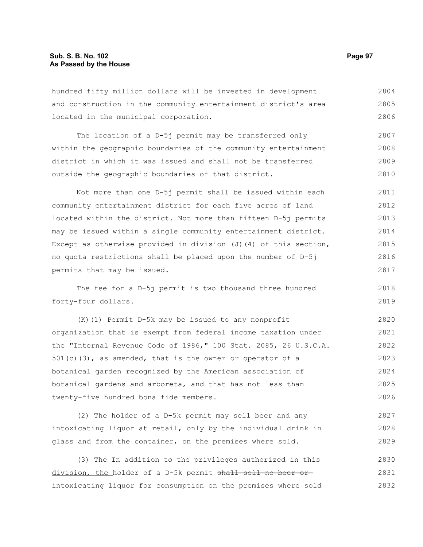hundred fifty million dollars will be invested in development and construction in the community entertainment district's area located in the municipal corporation. 2804 2805 2806

The location of a D-5j permit may be transferred only within the geographic boundaries of the community entertainment district in which it was issued and shall not be transferred outside the geographic boundaries of that district. 2807 2808 2809 2810

Not more than one D-5j permit shall be issued within each community entertainment district for each five acres of land located within the district. Not more than fifteen D-5j permits may be issued within a single community entertainment district. Except as otherwise provided in division  $(J)$  (4) of this section, no quota restrictions shall be placed upon the number of D-5j permits that may be issued. 2811 2812 2813 2814 2815 2816 2817

The fee for a D-5j permit is two thousand three hundred forty-four dollars. 2818 2819

(K)(1) Permit D-5k may be issued to any nonprofit organization that is exempt from federal income taxation under the "Internal Revenue Code of 1986," 100 Stat. 2085, 26 U.S.C.A. 501(c)(3), as amended, that is the owner or operator of a botanical garden recognized by the American association of botanical gardens and arboreta, and that has not less than twenty-five hundred bona fide members. 2820 2821 2822 2823 2824 2825 2826

(2) The holder of a D-5k permit may sell beer and any intoxicating liquor at retail, only by the individual drink in glass and from the container, on the premises where sold. 2827 2828 2829

(3) The-In addition to the privileges authorized in this division, the holder of a D-5k permit shall sell no beer orintoxicating liquor for consumption on the premises where sold 2830 2831 2832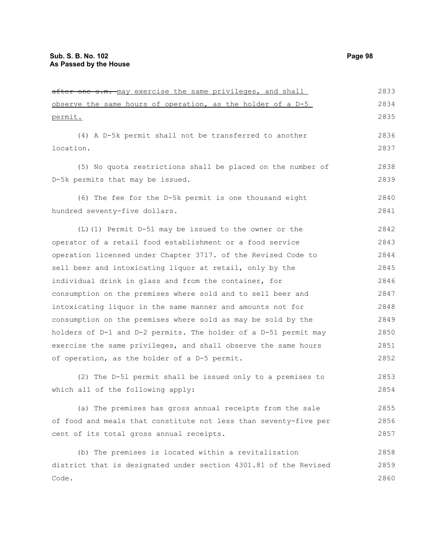after one a.m. may exercise the same privileges, and shall observe the same hours of operation, as the holder of a D-5 permit. (4) A D-5k permit shall not be transferred to another location. (5) No quota restrictions shall be placed on the number of D-5k permits that may be issued. (6) The fee for the D-5k permit is one thousand eight hundred seventy-five dollars. (L)(1) Permit D-5l may be issued to the owner or the operator of a retail food establishment or a food service operation licensed under Chapter 3717. of the Revised Code to sell beer and intoxicating liquor at retail, only by the individual drink in glass and from the container, for consumption on the premises where sold and to sell beer and intoxicating liquor in the same manner and amounts not for consumption on the premises where sold as may be sold by the holders of D-1 and D-2 permits. The holder of a D-5l permit may exercise the same privileges, and shall observe the same hours of operation, as the holder of a D-5 permit. (2) The D-5l permit shall be issued only to a premises to which all of the following apply: (a) The premises has gross annual receipts from the sale of food and meals that constitute not less than seventy-five per cent of its total gross annual receipts. (b) The premises is located within a revitalization 2833 2834 2835 2836 2837 2838 2839 2840 2841 2842 2843 2844 2845 2846 2847 2848 2849 2850 2851 2852 2853 2854 2855 2856 2857 2858

district that is designated under section 4301.81 of the Revised Code. 2859 2860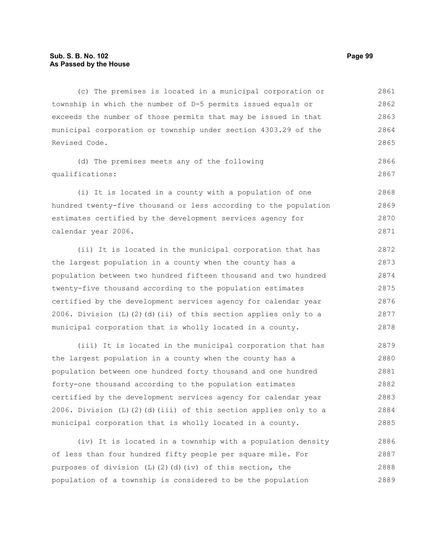# **Sub. S. B. No. 102 Page 99 As Passed by the House**

(c) The premises is located in a municipal corporation or township in which the number of D-5 permits issued equals or exceeds the number of those permits that may be issued in that municipal corporation or township under section 4303.29 of the Revised Code. 2861 2862 2863 2864 2865

```
(d) The premises meets any of the following
qualifications: 
                                                                              2866
                                                                              2867
```
(i) It is located in a county with a population of one hundred twenty-five thousand or less according to the population estimates certified by the development services agency for calendar year 2006. 2868 2869 2870 2871

(ii) It is located in the municipal corporation that has the largest population in a county when the county has a population between two hundred fifteen thousand and two hundred twenty-five thousand according to the population estimates certified by the development services agency for calendar year 2006. Division (L)(2)(d)(ii) of this section applies only to a municipal corporation that is wholly located in a county. 2872 2873 2874 2875 2876 2877 2878

(iii) It is located in the municipal corporation that has the largest population in a county when the county has a population between one hundred forty thousand and one hundred forty-one thousand according to the population estimates certified by the development services agency for calendar year 2006. Division (L)(2)(d)(iii) of this section applies only to a municipal corporation that is wholly located in a county. 2879 2880 2881 2882 2883 2884 2885

(iv) It is located in a township with a population density of less than four hundred fifty people per square mile. For purposes of division (L)(2)(d)(iv) of this section, the population of a township is considered to be the population 2886 2887 2888 2889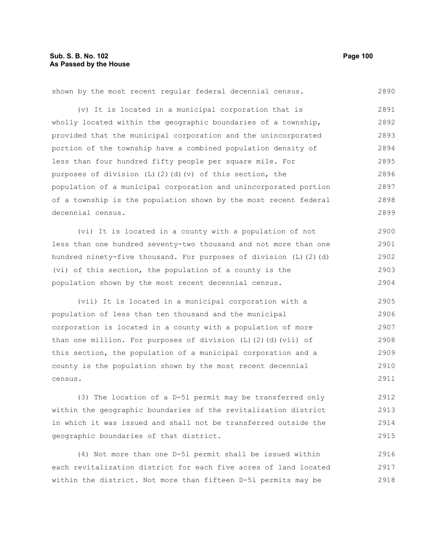2890

| shown by the most recent reqular federal decennial census.        | 2890 |
|-------------------------------------------------------------------|------|
| (v) It is located in a municipal corporation that is              | 2891 |
| wholly located within the geographic boundaries of a township,    | 2892 |
| provided that the municipal corporation and the unincorporated    | 2893 |
| portion of the township have a combined population density of     | 2894 |
| less than four hundred fifty people per square mile. For          | 2895 |
| purposes of division $(L)$ $(2)$ $(d)$ $(v)$ of this section, the | 2896 |
| population of a municipal corporation and unincorporated portion  | 2897 |
| of a township is the population shown by the most recent federal  | 2898 |
| decennial census.                                                 | 2899 |
| (vi) It is located in a county with a population of not           | 2900 |
| less than one hundred seventy-two thousand and not more than one  | 2901 |
|                                                                   |      |

hundred ninety-five thousand. For purposes of division (L)(2)(d) (vi) of this section, the population of a county is the population shown by the most recent decennial census. 2902 2903 2904

(vii) It is located in a municipal corporation with a population of less than ten thousand and the municipal corporation is located in a county with a population of more than one million. For purposes of division  $(L)$  (2)(d)(vii) of this section, the population of a municipal corporation and a county is the population shown by the most recent decennial census. 2905 2906 2907 2908 2909 2910 2911

(3) The location of a D-5l permit may be transferred only within the geographic boundaries of the revitalization district in which it was issued and shall not be transferred outside the geographic boundaries of that district. 2912 2913 2914 2915

(4) Not more than one D-5l permit shall be issued within each revitalization district for each five acres of land located within the district. Not more than fifteen D-5l permits may be 2916 2917 2918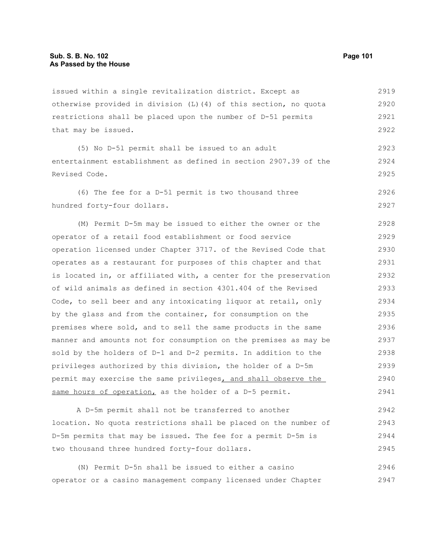issued within a single revitalization district. Except as otherwise provided in division (L)(4) of this section, no quota restrictions shall be placed upon the number of D-5l permits that may be issued. 2919 2920 2921 2922

(5) No D-5l permit shall be issued to an adult entertainment establishment as defined in section 2907.39 of the Revised Code. 2924 2925

(6) The fee for a D-5l permit is two thousand three hundred forty-four dollars. 2926 2927

(M) Permit D-5m may be issued to either the owner or the operator of a retail food establishment or food service operation licensed under Chapter 3717. of the Revised Code that operates as a restaurant for purposes of this chapter and that is located in, or affiliated with, a center for the preservation of wild animals as defined in section 4301.404 of the Revised Code, to sell beer and any intoxicating liquor at retail, only by the glass and from the container, for consumption on the premises where sold, and to sell the same products in the same manner and amounts not for consumption on the premises as may be sold by the holders of D-1 and D-2 permits. In addition to the privileges authorized by this division, the holder of a D-5m permit may exercise the same privileges, and shall observe the same hours of operation, as the holder of a D-5 permit. 2928 2929 2930 2931 2932 2933 2934 2935 2936 2937 2938 2939 2940 2941

A D-5m permit shall not be transferred to another location. No quota restrictions shall be placed on the number of D-5m permits that may be issued. The fee for a permit D-5m is two thousand three hundred forty-four dollars. 2942 2943 2944 2945

(N) Permit D-5n shall be issued to either a casino operator or a casino management company licensed under Chapter 2946 2947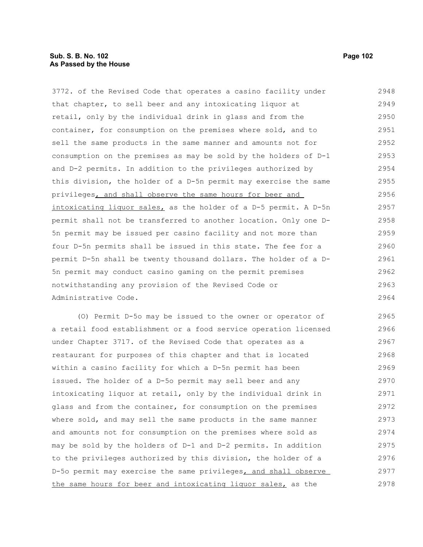## **Sub. S. B. No. 102 Page 102 As Passed by the House**

3772. of the Revised Code that operates a casino facility under that chapter, to sell beer and any intoxicating liquor at retail, only by the individual drink in glass and from the container, for consumption on the premises where sold, and to sell the same products in the same manner and amounts not for consumption on the premises as may be sold by the holders of D-1 and D-2 permits. In addition to the privileges authorized by this division, the holder of a D-5n permit may exercise the same privileges, and shall observe the same hours for beer and intoxicating liquor sales, as the holder of a D-5 permit. A D-5n permit shall not be transferred to another location. Only one D-5n permit may be issued per casino facility and not more than four D-5n permits shall be issued in this state. The fee for a permit D-5n shall be twenty thousand dollars. The holder of a D-5n permit may conduct casino gaming on the permit premises notwithstanding any provision of the Revised Code or Administrative Code. 2948 2949 2950 2951 2952 2953 2954 2955 2956 2957 2958 2959 2960 2961 2962 2963 2964

(O) Permit D-5o may be issued to the owner or operator of a retail food establishment or a food service operation licensed under Chapter 3717. of the Revised Code that operates as a restaurant for purposes of this chapter and that is located within a casino facility for which a D-5n permit has been issued. The holder of a D-5o permit may sell beer and any intoxicating liquor at retail, only by the individual drink in glass and from the container, for consumption on the premises where sold, and may sell the same products in the same manner and amounts not for consumption on the premises where sold as may be sold by the holders of D-1 and D-2 permits. In addition to the privileges authorized by this division, the holder of a D-5o permit may exercise the same privileges, and shall observe the same hours for beer and intoxicating liquor sales, as the 2965 2966 2967 2968 2969 2970 2971 2972 2973 2974 2975 2976 2977 2978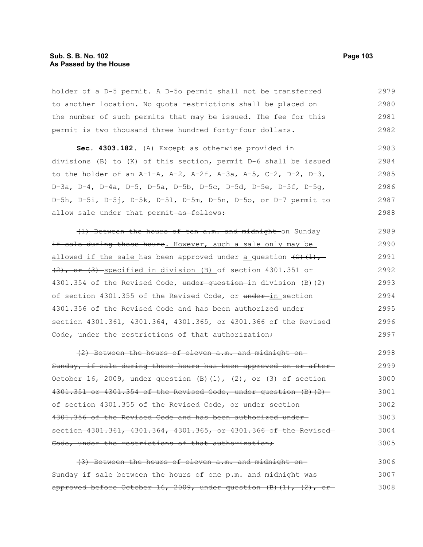holder of a D-5 permit. A D-5o permit shall not be transferred to another location. No quota restrictions shall be placed on the number of such permits that may be issued. The fee for this permit is two thousand three hundred forty-four dollars. 2979 2980 2981 2982

**Sec. 4303.182.** (A) Except as otherwise provided in divisions (B) to (K) of this section, permit D-6 shall be issued to the holder of an A-1-A, A-2, A-2f, A-3a, A-5, C-2, D-2, D-3, D-3a, D-4, D-4a, D-5, D-5a, D-5b, D-5c, D-5d, D-5e, D-5f, D-5g, D-5h, D-5i, D-5j, D-5k, D-5l, D-5m, D-5n, D-5o, or D-7 permit to allow sale under that permit-as follows: 2983 2984 2985 2986 2987 2988

(1) Between the hours of ten a.m. and midnight on Sunday if sale during those hours. However, such a sale only may be allowed if the sale has been approved under a question  $\left(\epsilon\right)\left(1\right),$ (2), or (3) specified in division (B) of section 4301.351 or 4301.354 of the Revised Code, under question in division (B)(2) of section 4301.355 of the Revised Code, or under-in section 4301.356 of the Revised Code and has been authorized under section 4301.361, 4301.364, 4301.365, or 4301.366 of the Revised Code, under the restrictions of that authorization $\div$ 2989 2990 2991 2992 2993 2994 2995 2996 2997

(2) Between the hours of eleven a.m. and midnight on Sunday, if sale during those hours has been approved on or after-October 16, 2009, under question  $(B)$   $(1)$ ,  $(2)$ , or  $(3)$  of section 4301.351 or 4301.354 of the Revised Code, under question (B)(2) of section 4301.355 of the Revised Code, or under section 4301.356 of the Revised Code and has been authorized under section 4301.361, 4301.364, 4301.365, or 4301.366 of the Revised Code, under the restrictions of that authorization, 2998 2999 3000 3001 3002 3003 3004 3005

| (3) Between the hours of eleven a.m. and midnight on-                     | 3006 |
|---------------------------------------------------------------------------|------|
| Sunday if sale between the hours of one p.m. and midnight was-            | 3007 |
| approved before October 16, 2009, under question $(B)$ $(1)$ , $(2)$ , or | 3008 |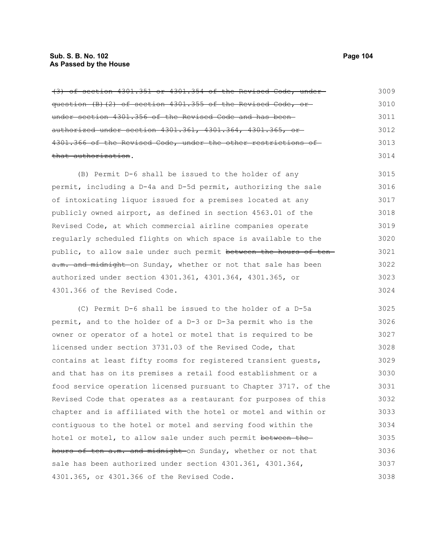(3) of section 4301.351 or 4301.354 of the Revised Code, under question (B)(2) of section 4301.355 of the Revised Code, or under section 4301.356 of the Revised Code and has been authorized under section 4301.361, 4301.364, 4301.365, or 4301.366 of the Revised Code, under the other restrictions of that authorization. (B) Permit D-6 shall be issued to the holder of any permit, including a D-4a and D-5d permit, authorizing the sale of intoxicating liquor issued for a premises located at any publicly owned airport, as defined in section 4563.01 of the Revised Code, at which commercial airline companies operate regularly scheduled flights on which space is available to the public, to allow sale under such permit between the hours of tena.m. and midnight on Sunday, whether or not that sale has been authorized under section 4301.361, 4301.364, 4301.365, or 4301.366 of the Revised Code. 3009 3010 3011 3012 3013 3014 3015 3016 3017 3018 3019 3020 3021 3022 3023 3024

(C) Permit D-6 shall be issued to the holder of a D-5a permit, and to the holder of a D-3 or D-3a permit who is the owner or operator of a hotel or motel that is required to be licensed under section 3731.03 of the Revised Code, that contains at least fifty rooms for registered transient guests, and that has on its premises a retail food establishment or a food service operation licensed pursuant to Chapter 3717. of the Revised Code that operates as a restaurant for purposes of this chapter and is affiliated with the hotel or motel and within or contiguous to the hotel or motel and serving food within the hotel or motel, to allow sale under such permit between the hours of ten a.m. and midnight on Sunday, whether or not that sale has been authorized under section 4301.361, 4301.364, 4301.365, or 4301.366 of the Revised Code. 3025 3026 3027 3028 3029 3030 3031 3032 3033 3034 3035 3036 3037 3038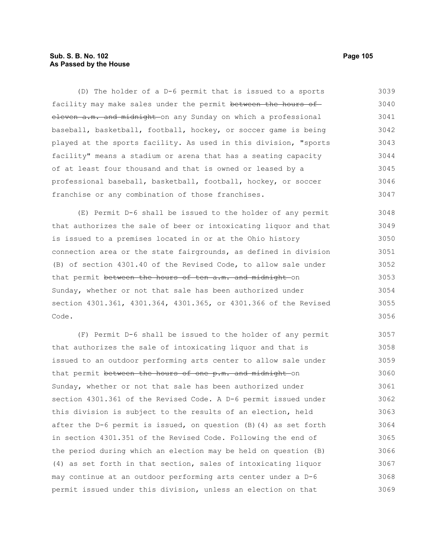# **Sub. S. B. No. 102 Page 105 As Passed by the House**

(D) The holder of a D-6 permit that is issued to a sports facility may make sales under the permit between the hours of eleven a.m. and midnight on any Sunday on which a professional baseball, basketball, football, hockey, or soccer game is being played at the sports facility. As used in this division, "sports facility" means a stadium or arena that has a seating capacity of at least four thousand and that is owned or leased by a professional baseball, basketball, football, hockey, or soccer franchise or any combination of those franchises. 3039 3040 3041 3042 3043 3044 3045 3046 3047

(E) Permit D-6 shall be issued to the holder of any permit that authorizes the sale of beer or intoxicating liquor and that is issued to a premises located in or at the Ohio history connection area or the state fairgrounds, as defined in division (B) of section 4301.40 of the Revised Code, to allow sale under that permit between the hours of ten a.m. and midnight on Sunday, whether or not that sale has been authorized under section 4301.361, 4301.364, 4301.365, or 4301.366 of the Revised Code. 3048 3049 3050 3051 3052 3053 3054 3055 3056

(F) Permit D-6 shall be issued to the holder of any permit that authorizes the sale of intoxicating liquor and that is issued to an outdoor performing arts center to allow sale under that permit between the hours of one p.m. and midnight on Sunday, whether or not that sale has been authorized under section 4301.361 of the Revised Code. A D-6 permit issued under this division is subject to the results of an election, held after the D-6 permit is issued, on question (B)(4) as set forth in section 4301.351 of the Revised Code. Following the end of the period during which an election may be held on question (B) (4) as set forth in that section, sales of intoxicating liquor may continue at an outdoor performing arts center under a D-6 permit issued under this division, unless an election on that 3057 3058 3059 3060 3061 3062 3063 3064 3065 3066 3067 3068 3069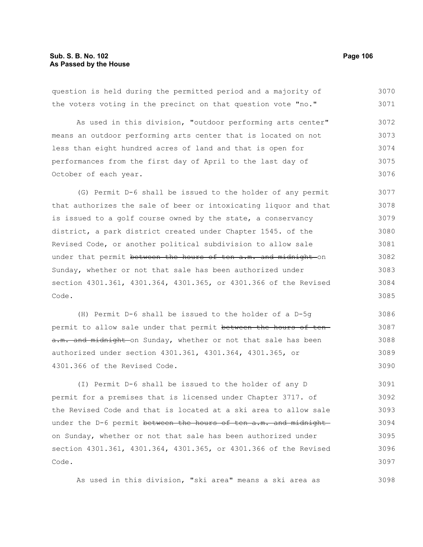question is held during the permitted period and a majority of the voters voting in the precinct on that question vote "no." 3070 3071

As used in this division, "outdoor performing arts center" means an outdoor performing arts center that is located on not less than eight hundred acres of land and that is open for performances from the first day of April to the last day of October of each year. 3072 3073 3074 3075 3076

(G) Permit D-6 shall be issued to the holder of any permit that authorizes the sale of beer or intoxicating liquor and that is issued to a golf course owned by the state, a conservancy district, a park district created under Chapter 1545. of the Revised Code, or another political subdivision to allow sale under that permit between the hours of ten a.m. and midnight on Sunday, whether or not that sale has been authorized under section 4301.361, 4301.364, 4301.365, or 4301.366 of the Revised Code. 3077 3078 3079 3080 3081 3082 3083 3084 3085

(H) Permit D-6 shall be issued to the holder of a D-5g permit to allow sale under that permit between the hours of tena.m. and midnight on Sunday, whether or not that sale has been authorized under section 4301.361, 4301.364, 4301.365, or 4301.366 of the Revised Code. 3086 3087 3088 3089 3090

(I) Permit D-6 shall be issued to the holder of any D permit for a premises that is licensed under Chapter 3717. of the Revised Code and that is located at a ski area to allow sale under the D-6 permit between the hours of ten a.m. and midnighton Sunday, whether or not that sale has been authorized under section 4301.361, 4301.364, 4301.365, or 4301.366 of the Revised Code. 3091 3092 3093 3094 3095 3096 3097

As used in this division, "ski area" means a ski area as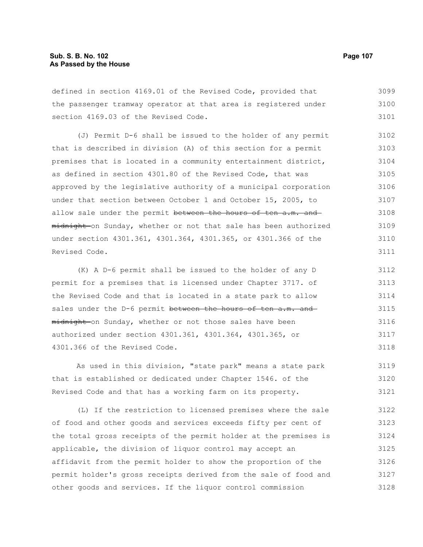defined in section 4169.01 of the Revised Code, provided that the passenger tramway operator at that area is registered under section 4169.03 of the Revised Code. 3099 3100 3101

(J) Permit D-6 shall be issued to the holder of any permit that is described in division (A) of this section for a permit premises that is located in a community entertainment district, as defined in section 4301.80 of the Revised Code, that was approved by the legislative authority of a municipal corporation under that section between October 1 and October 15, 2005, to allow sale under the permit between the hours of ten a.m. and midnight on Sunday, whether or not that sale has been authorized under section 4301.361, 4301.364, 4301.365, or 4301.366 of the Revised Code. 3102 3103 3104 3105 3106 3107 3108 3109 3110 3111

(K) A D-6 permit shall be issued to the holder of any D permit for a premises that is licensed under Chapter 3717. of the Revised Code and that is located in a state park to allow sales under the D-6 permit between the hours of ten a.m. and midnight on Sunday, whether or not those sales have been authorized under section 4301.361, 4301.364, 4301.365, or 4301.366 of the Revised Code. 3112 3113 3114 3115 3116 3117 3118

As used in this division, "state park" means a state park that is established or dedicated under Chapter 1546. of the Revised Code and that has a working farm on its property. 3119 3120 3121

(L) If the restriction to licensed premises where the sale of food and other goods and services exceeds fifty per cent of the total gross receipts of the permit holder at the premises is applicable, the division of liquor control may accept an affidavit from the permit holder to show the proportion of the permit holder's gross receipts derived from the sale of food and other goods and services. If the liquor control commission 3122 3123 3124 3125 3126 3127 3128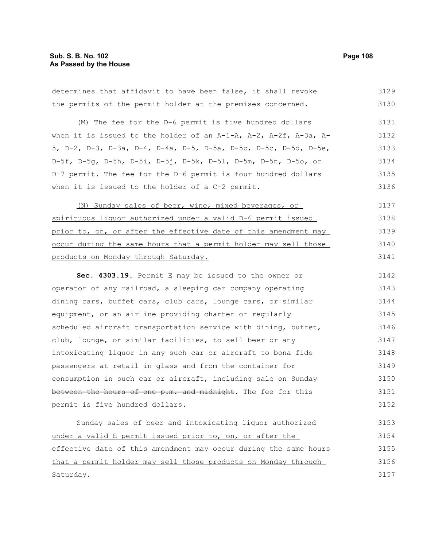Saturday.

the permits of the permit holder at the premises concerned. (M) The fee for the D-6 permit is five hundred dollars when it is issued to the holder of an A-1-A, A-2, A-2f, A-3a, A-5, D-2, D-3, D-3a, D-4, D-4a, D-5, D-5a, D-5b, D-5c, D-5d, D-5e, D-5f, D-5g, D-5h, D-5i, D-5j, D-5k, D-5l, D-5m, D-5n, D-5o, or D-7 permit. The fee for the D-6 permit is four hundred dollars when it is issued to the holder of a C-2 permit. (N) Sunday sales of beer, wine, mixed beverages, or spirituous liquor authorized under a valid D-6 permit issued prior to, on, or after the effective date of this amendment may occur during the same hours that a permit holder may sell those products on Monday through Saturday. **Sec. 4303.19.** Permit E may be issued to the owner or operator of any railroad, a sleeping car company operating dining cars, buffet cars, club cars, lounge cars, or similar equipment, or an airline providing charter or regularly scheduled aircraft transportation service with dining, buffet, club, lounge, or similar facilities, to sell beer or any intoxicating liquor in any such car or aircraft to bona fide passengers at retail in glass and from the container for consumption in such car or aircraft, including sale on Sunday between the hours of one p.m. and midnight. The fee for this permit is five hundred dollars. Sunday sales of beer and intoxicating liquor authorized under a valid E permit issued prior to, on, or after the effective date of this amendment may occur during the same hours that a permit holder may sell those products on Monday through 3130 3131 3132 3133 3134 3135 3136 3137 3138 3139 3140 3141 3142 3143 3144 3145 3146 3147 3148 3149 3150 3151 3152 3153 3154 3155 3156

determines that affidavit to have been false, it shall revoke

3129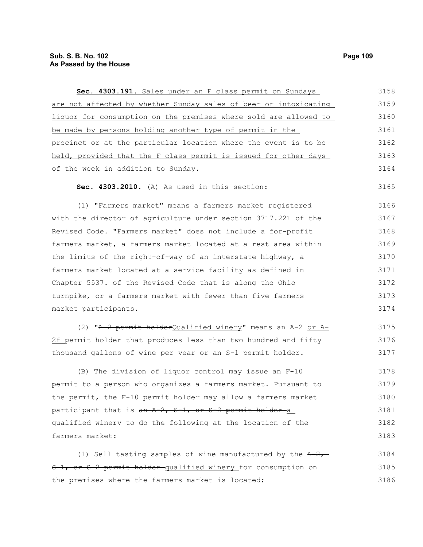**Sec. 4303.191.** Sales under an F class permit on Sundays are not affected by whether Sunday sales of beer or intoxicating liquor for consumption on the premises where sold are allowed to be made by persons holding another type of permit in the precinct or at the particular location where the event is to be held, provided that the F class permit is issued for other days of the week in addition to Sunday. **Sec. 4303.2010.** (A) As used in this section: (1) "Farmers market" means a farmers market registered with the director of agriculture under section 3717.221 of the Revised Code. "Farmers market" does not include a for-profit farmers market, a farmers market located at a rest area within the limits of the right-of-way of an interstate highway, a farmers market located at a service facility as defined in Chapter 5537. of the Revised Code that is along the Ohio turnpike, or a farmers market with fewer than five farmers market participants. (2) "A-2 permit holderQualified winery" means an A-2 or A-2f permit holder that produces less than two hundred and fifty thousand gallons of wine per year or an S-1 permit holder. (B) The division of liquor control may issue an F-10 permit to a person who organizes a farmers market. Pursuant to the permit, the F-10 permit holder may allow a farmers market participant that is an A-2, S-1, or S-2 permit holder-a qualified winery to do the following at the location of the farmers market: (1) Sell tasting samples of wine manufactured by the  $A-2$ , S-1, or S-2 permit holder qualified winery for consumption on the premises where the farmers market is located; 3158 3159 3160 3161 3162 3163 3164 3165 3166 3167 3168 3169 3170 3171 3172 3173 3174 3175 3176 3177 3178 3179 3180 3181 3182 3183 3184 3185 3186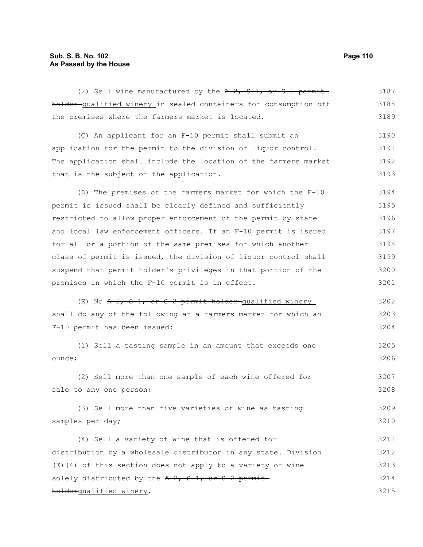## **Sub. S. B. No. 102 Page 110 As Passed by the House**

(2) Sell wine manufactured by the  $A-2$ ,  $S-1$ , or  $S-2$  permitholder-qualified winery in sealed containers for consumption off the premises where the farmers market is located. (C) An applicant for an F-10 permit shall submit an application for the permit to the division of liquor control. The application shall include the location of the farmers market that is the subject of the application. (D) The premises of the farmers market for which the F-10 permit is issued shall be clearly defined and sufficiently restricted to allow proper enforcement of the permit by state and local law enforcement officers. If an F-10 permit is issued for all or a portion of the same premises for which another class of permit is issued, the division of liquor control shall suspend that permit holder's privileges in that portion of the premises in which the F-10 permit is in effect.  $(E)$  No  $A-2$ ,  $S-1$ , or  $S-2$  permit holder-qualified winery shall do any of the following at a farmers market for which an F-10 permit has been issued: (1) Sell a tasting sample in an amount that exceeds one ounce; (2) Sell more than one sample of each wine offered for sale to any one person; (3) Sell more than five varieties of wine as tasting samples per day; (4) Sell a variety of wine that is offered for distribution by a wholesale distributor in any state. Division 3187 3188 3189 3190 3191 3192 3193 3194 3195 3196 3197 3198 3199 3200 3201 3202 3203 3204 3205 3206 3207 3208 3209 3210 3211 3212

(E)(4) of this section does not apply to a variety of wine solely distributed by the  $A-2$ ,  $S-1$ , or  $S-2$  permitholderqualified winery. 3213 3214 3215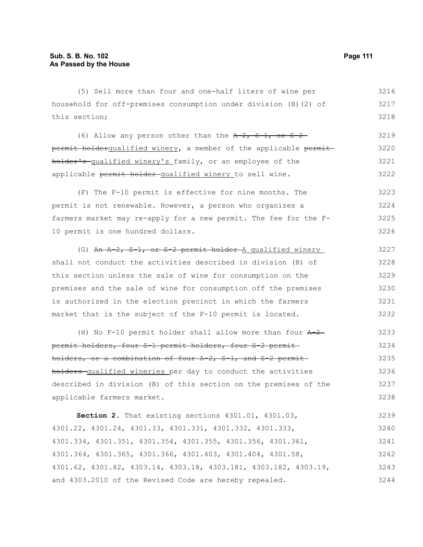(5) Sell more than four and one-half liters of wine per household for off-premises consumption under division (B)(2) of this section; 3216 3217 3218

(6) Allow any person other than the  $A-2$ ,  $S-1$ , or  $S-2$ permit holderqualified winery, a member of the applicable permitholder's qualified winery's family, or an employee of the applicable permit holder-qualified winery to sell wine. 3219 3220 3221 3222

(F) The F-10 permit is effective for nine months. The permit is not renewable. However, a person who organizes a farmers market may re-apply for a new permit. The fee for the F-10 permit is one hundred dollars. 3223 3224 3225 3226

(G) An A-2, S-1, or S-2 permit holder A qualified winery shall not conduct the activities described in division (B) of this section unless the sale of wine for consumption on the premises and the sale of wine for consumption off the premises is authorized in the election precinct in which the farmers market that is the subject of the F-10 permit is located. 3227 3228 3229 3230 3231 3232

(H) No F-10 permit holder shall allow more than four  $A-2$ permit holders, four S-1 permit holders, four S-2 permit holders, or a combination of four  $A-2$ ,  $S-1$ , and  $S-2$  permitholders qualified wineries per day to conduct the activities described in division (B) of this section on the premises of the applicable farmers market. 3233 3234 3235 3236 3237 3238

**Section 2.** That existing sections 4301.01, 4301.03, 4301.22, 4301.24, 4301.33, 4301.331, 4301.332, 4301.333, 4301.334, 4301.351, 4301.354, 4301.355, 4301.356, 4301.361, 4301.364, 4301.365, 4301.366, 4301.403, 4301.404, 4301.58, 4301.62, 4301.82, 4303.14, 4303.18, 4303.181, 4303.182, 4303.19, and 4303.2010 of the Revised Code are hereby repealed. 3239 3240 3241 3242 3243 3244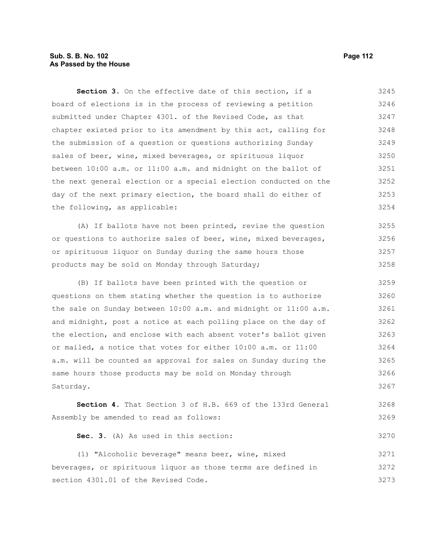## **Sub. S. B. No. 102 Page 112 As Passed by the House**

**Section 3.** On the effective date of this section, if a board of elections is in the process of reviewing a petition submitted under Chapter 4301. of the Revised Code, as that chapter existed prior to its amendment by this act, calling for the submission of a question or questions authorizing Sunday sales of beer, wine, mixed beverages, or spirituous liquor between 10:00 a.m. or 11:00 a.m. and midnight on the ballot of the next general election or a special election conducted on the day of the next primary election, the board shall do either of the following, as applicable: 3245 3246 3247 3248 3249 3250 3251 3252 3253 3254

(A) If ballots have not been printed, revise the question or questions to authorize sales of beer, wine, mixed beverages, or spirituous liquor on Sunday during the same hours those products may be sold on Monday through Saturday; 3255 3256 3257 3258

(B) If ballots have been printed with the question or questions on them stating whether the question is to authorize the sale on Sunday between 10:00 a.m. and midnight or 11:00 a.m. and midnight, post a notice at each polling place on the day of the election, and enclose with each absent voter's ballot given or mailed, a notice that votes for either 10:00 a.m. or 11:00 a.m. will be counted as approval for sales on Sunday during the same hours those products may be sold on Monday through Saturday. 3259 3260 3261 3262 3263 3264 3265 3266 3267

**Section 4.** That Section 3 of H.B. 669 of the 133rd General Assembly be amended to read as follows: 3268 3269

**Sec. 3.** (A) As used in this section: 3270

(1) "Alcoholic beverage" means beer, wine, mixed beverages, or spirituous liquor as those terms are defined in section 4301.01 of the Revised Code. 3271 3272 3273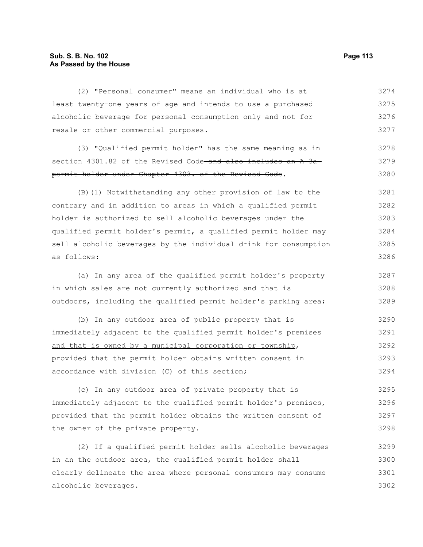## **Sub. S. B. No. 102 Page 113 As Passed by the House**

(2) "Personal consumer" means an individual who is at least twenty-one years of age and intends to use a purchased alcoholic beverage for personal consumption only and not for resale or other commercial purposes. 3274 3275 3276 3277

(3) "Qualified permit holder" has the same meaning as in section  $4301.82$  of the Revised Code and also includes an  $A^{-3}a^{-}$ permit holder under Chapter 4303. of the Revised Code. 3278 3279 3280

(B)(1) Notwithstanding any other provision of law to the contrary and in addition to areas in which a qualified permit holder is authorized to sell alcoholic beverages under the qualified permit holder's permit, a qualified permit holder may sell alcoholic beverages by the individual drink for consumption as follows: 3281 3282 3283 3284 3285 3286

(a) In any area of the qualified permit holder's property in which sales are not currently authorized and that is outdoors, including the qualified permit holder's parking area; 3287 3288 3289

(b) In any outdoor area of public property that is immediately adjacent to the qualified permit holder's premises and that is owned by a municipal corporation or township, provided that the permit holder obtains written consent in accordance with division (C) of this section; 3290 3291 3292 3293 3294

(c) In any outdoor area of private property that is immediately adjacent to the qualified permit holder's premises, provided that the permit holder obtains the written consent of the owner of the private property. 3295 3296 3297 3298

(2) If a qualified permit holder sells alcoholic beverages in an-the outdoor area, the qualified permit holder shall clearly delineate the area where personal consumers may consume alcoholic beverages. 3299 3300 3301 3302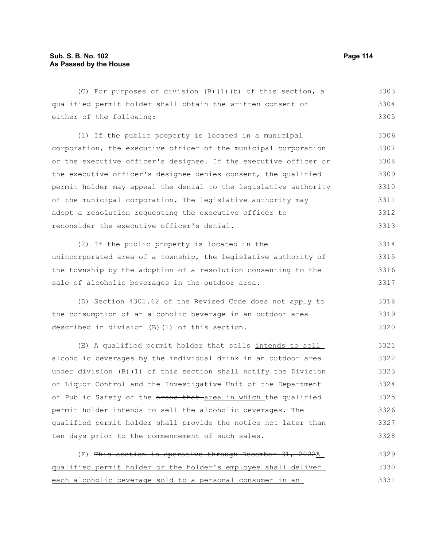| (C) For purposes of division (B) (1) (b) of this section, a        | 3303 |
|--------------------------------------------------------------------|------|
| qualified permit holder shall obtain the written consent of        | 3304 |
| either of the following:                                           | 3305 |
| (1) If the public property is located in a municipal               | 3306 |
| corporation, the executive officer of the municipal corporation    | 3307 |
| or the executive officer's designee. If the executive officer or   | 3308 |
| the executive officer's designee denies consent, the qualified     | 3309 |
| permit holder may appeal the denial to the legislative authority   | 3310 |
| of the municipal corporation. The legislative authority may        | 3311 |
| adopt a resolution requesting the executive officer to             | 3312 |
| reconsider the executive officer's denial.                         | 3313 |
| (2) If the public property is located in the                       | 3314 |
| unincorporated area of a township, the legislative authority of    | 3315 |
| the township by the adoption of a resolution consenting to the     | 3316 |
| sale of alcoholic beverages in the outdoor area.                   | 3317 |
| (D) Section 4301.62 of the Revised Code does not apply to          | 3318 |
| the consumption of an alcoholic beverage in an outdoor area        | 3319 |
| described in division (B) (1) of this section.                     | 3320 |
| (E) A qualified permit holder that sells-intends to sell           | 3321 |
| alcoholic beverages by the individual drink in an outdoor area     | 3322 |
| under division $(B)$ (1) of this section shall notify the Division | 3323 |
| of Liquor Control and the Investigative Unit of the Department     | 3324 |
| of Public Safety of the areas that area in which the qualified     | 3325 |
| permit holder intends to sell the alcoholic beverages. The         | 3326 |
| qualified permit holder shall provide the notice not later than    | 3327 |
| ten days prior to the commencement of such sales.                  | 3328 |
| (F) This section is operative through December 31, 2022A           | 3329 |

qualified permit holder or the holder's employee shall deliver each alcoholic beverage sold to a personal consumer in an 3330 3331